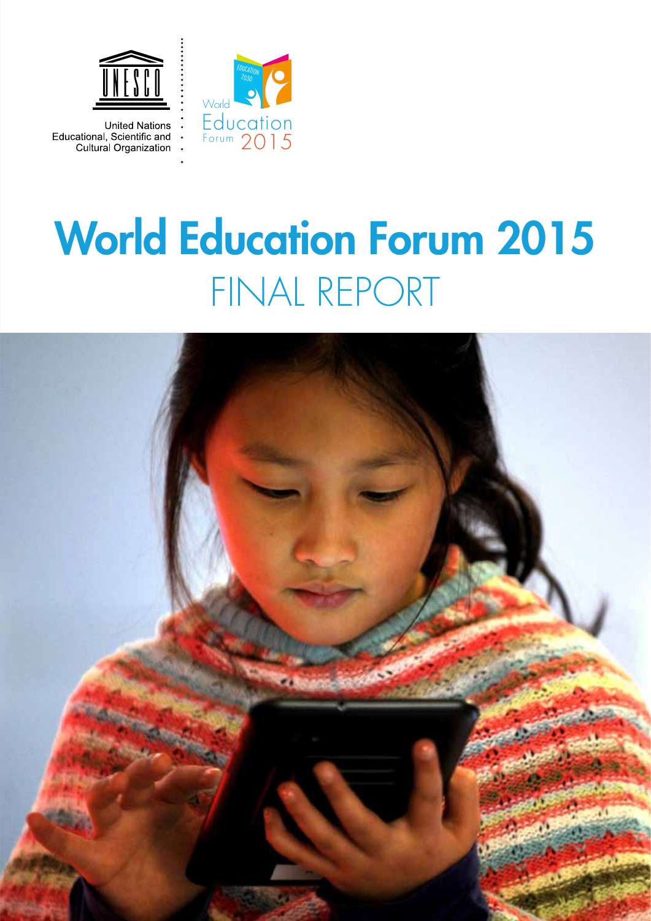



**United Nations** Educational, Scientific and **Cultural Organization** 

# World Education Forum 2015 FINAL REPORT

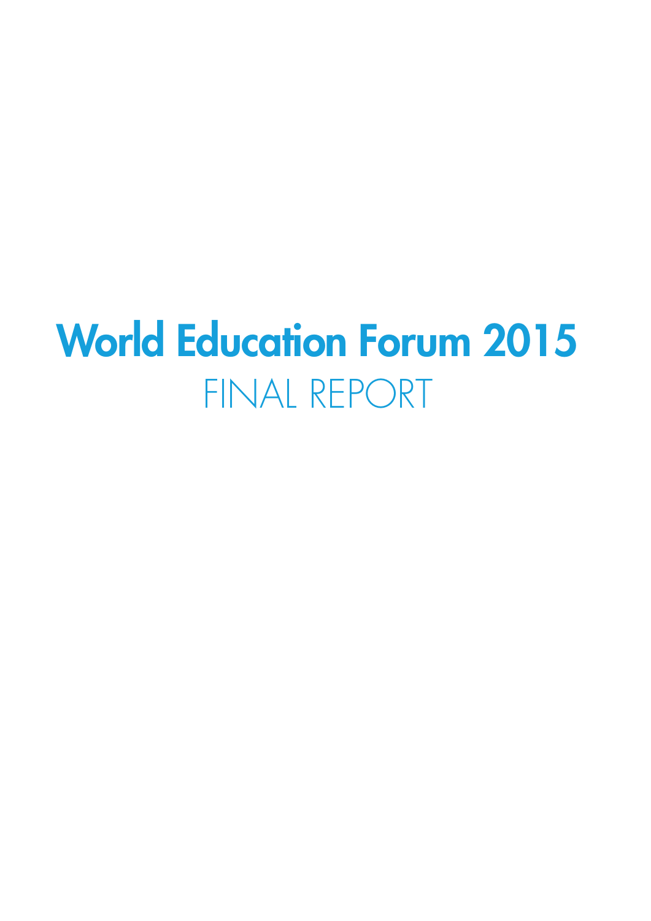# World Education Forum 2015 FINAL REPORT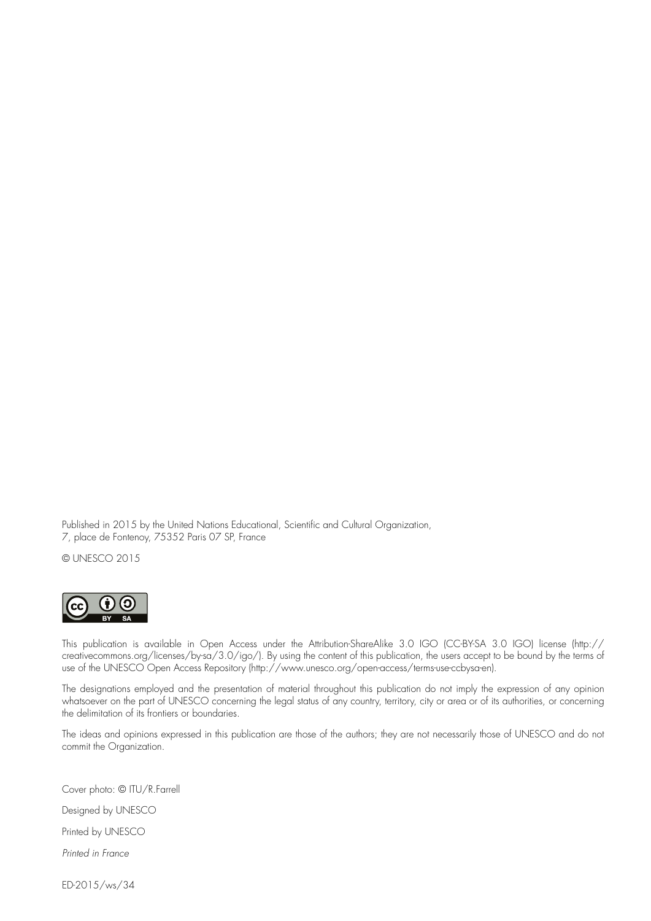Published in 2015 by the United Nations Educational, Scientific and Cultural Organization, 7, place de Fontenoy, 75352 Paris 07 SP, France

© UNESCO 2015



This publication is available in Open Access under the Attribution-ShareAlike 3.0 IGO (CC-BY-SA 3.0 IGO) license (http:// creativecommons.org/licenses/by-sa/3.0/igo/). By using the content of this publication, the users accept to be bound by the terms of use of the UNESCO Open Access Repository (http://www.unesco.org/open-access/terms-use-ccbysa-en).

The designations employed and the presentation of material throughout this publication do not imply the expression of any opinion whatsoever on the part of UNESCO concerning the legal status of any country, territory, city or area or of its authorities, or concerning the delimitation of its frontiers or boundaries.

The ideas and opinions expressed in this publication are those of the authors; they are not necessarily those of UNESCO and do not commit the Organization.

Cover photo: © ITU/R.Farrell Designed by UNESCO Printed by UNESCO *Printed in France*

ED-2015/ws/34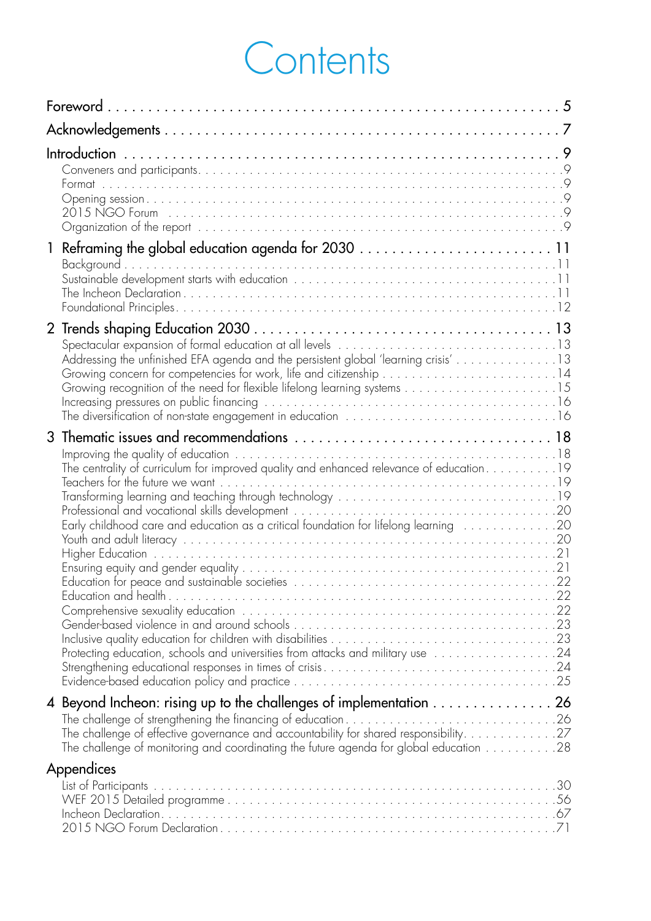# **Contents**

| 1 |                                                                                                                                                                                                                                                                                                                                                 |  |
|---|-------------------------------------------------------------------------------------------------------------------------------------------------------------------------------------------------------------------------------------------------------------------------------------------------------------------------------------------------|--|
|   |                                                                                                                                                                                                                                                                                                                                                 |  |
|   |                                                                                                                                                                                                                                                                                                                                                 |  |
|   | Addressing the unfinished EFA agenda and the persistent global 'learning crisis' 13                                                                                                                                                                                                                                                             |  |
| 3 |                                                                                                                                                                                                                                                                                                                                                 |  |
|   | The centrality of curriculum for improved quality and enhanced relevance of education19<br>Early childhood care and education as a critical foundation for lifelong learning 20<br>Protecting education, schools and universities from attacks and military use 24                                                                              |  |
|   | 4 Beyond Incheon: rising up to the challenges of implementation 26<br>The challenge of strengthening the financing of education26<br>The challenge of effective governance and accountability for shared responsibility. 27<br>The challenge of monitoring and coordinating the future agenda for global education $\dots \dots \dots \dots 28$ |  |
|   | <b>Appendices</b>                                                                                                                                                                                                                                                                                                                               |  |
|   |                                                                                                                                                                                                                                                                                                                                                 |  |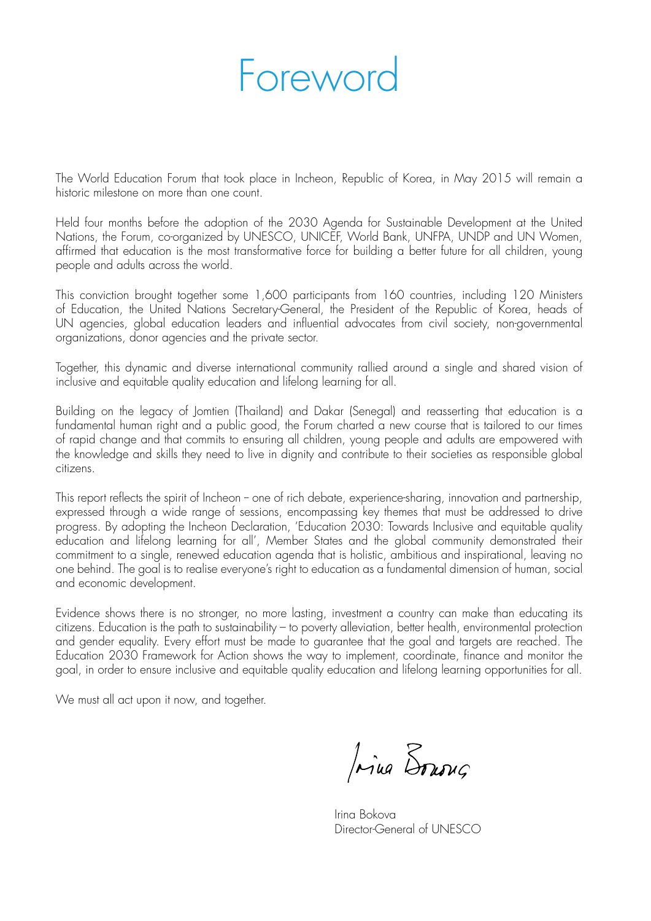# Foreword

<span id="page-4-0"></span>The World Education Forum that took place in Incheon, Republic of Korea, in May 2015 will remain a historic milestone on more than one count.

Held four months before the adoption of the 2030 Agenda for Sustainable Development at the United Nations, the Forum, co-organized by UNESCO, UNICEF, World Bank, UNFPA, UNDP and UN Women, affirmed that education is the most transformative force for building a better future for all children, young people and adults across the world.

This conviction brought together some 1,600 participants from 160 countries, including 120 Ministers of Education, the United Nations Secretary-General, the President of the Republic of Korea, heads of UN agencies, global education leaders and influential advocates from civil society, non-governmental organizations, donor agencies and the private sector.

Together, this dynamic and diverse international community rallied around a single and shared vision of inclusive and equitable quality education and lifelong learning for all.

Building on the legacy of Jomtien (Thailand) and Dakar (Senegal) and reasserting that education is a fundamental human right and a public good, the Forum charted a new course that is tailored to our times of rapid change and that commits to ensuring all children, young people and adults are empowered with the knowledge and skills they need to live in dignity and contribute to their societies as responsible global citizens.

This report reflects the spirit of Incheon - one of rich debate, experience-sharing, innovation and partnership, expressed through a wide range of sessions, encompassing key themes that must be addressed to drive progress. By adopting the Incheon Declaration, 'Education 2030: Towards Inclusive and equitable quality education and lifelong learning for all', Member States and the global community demonstrated their commitment to a single, renewed education agenda that is holistic, ambitious and inspirational, leaving no one behind. The goal is to realise everyone's right to education as a fundamental dimension of human, social and economic development.

Evidence shows there is no stronger, no more lasting, investment a country can make than educating its citizens. Education is the path to sustainability – to poverty alleviation, better health, environmental protection and gender equality. Every effort must be made to guarantee that the goal and targets are reached. The Education 2030 Framework for Action shows the way to implement, coordinate, finance and monitor the goal, in order to ensure inclusive and equitable quality education and lifelong learning opportunities for all.

We must all act upon it now, and together.

Tring Bourg

Irina Bokova Director-General of UNESCO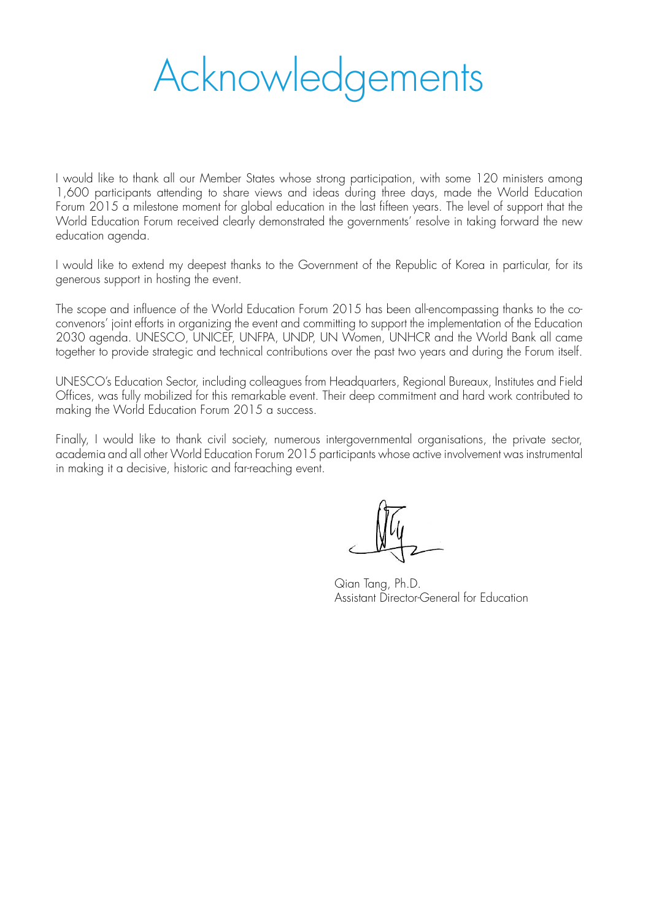# <span id="page-5-0"></span>Acknowledgements

I would like to thank all our Member States whose strong participation, with some 120 ministers among 1,600 participants attending to share views and ideas during three days, made the World Education Forum 2015 a milestone moment for global education in the last fifteen years. The level of support that the World Education Forum received clearly demonstrated the governments' resolve in taking forward the new education agenda.

I would like to extend my deepest thanks to the Government of the Republic of Korea in particular, for its generous support in hosting the event.

The scope and influence of the World Education Forum 2015 has been all-encompassing thanks to the coconvenors' joint efforts in organizing the event and committing to support the implementation of the Education 2030 agenda. UNESCO, UNICEF, UNFPA, UNDP, UN Women, UNHCR and the World Bank all came together to provide strategic and technical contributions over the past two years and during the Forum itself.

UNESCO's Education Sector, including colleagues from Headquarters, Regional Bureaux, Institutes and Field Offices, was fully mobilized for this remarkable event. Their deep commitment and hard work contributed to making the World Education Forum 2015 a success.

Finally, I would like to thank civil society, numerous intergovernmental organisations, the private sector, academia and all other World Education Forum 2015 participants whose active involvement was instrumental in making it a decisive, historic and far-reaching event.

Qian Tang, Ph.D. Assistant Director-General for Education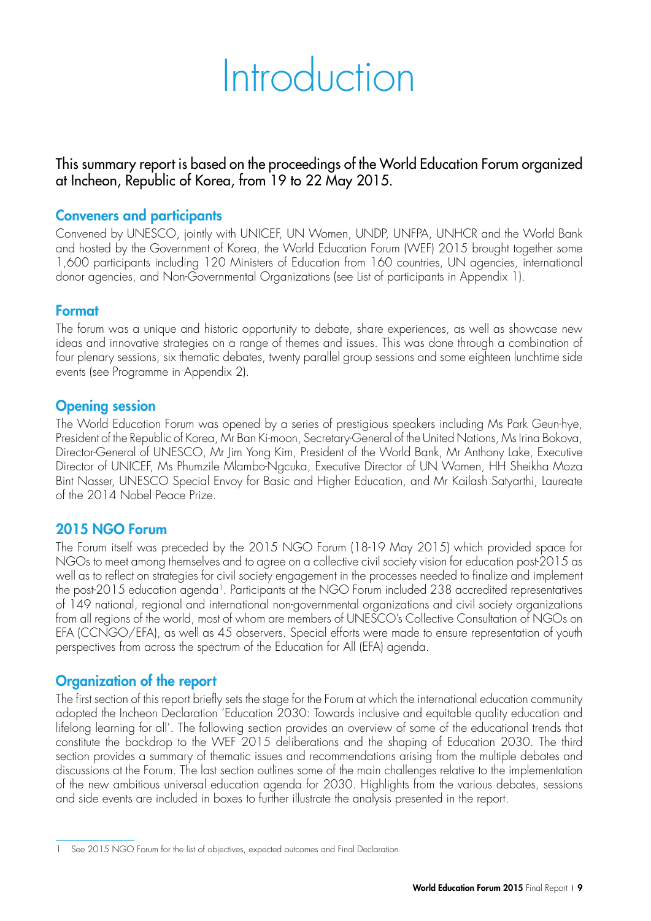# Introduction

# <span id="page-6-0"></span>This summary report is based on the proceedings of the World Education Forum organized at Incheon, Republic of Korea, from 19 to 22 May 2015.

## Conveners and participants

Convened by UNESCO, jointly with UNICEF, UN Women, UNDP, UNFPA, UNHCR and the World Bank and hosted by the Government of Korea, the World Education Forum (WEF) 2015 brought together some 1,600 participants including 120 Ministers of Education from 160 countries, UN agencies, international donor agencies, and Non-Governmental Organizations (see List of participants in Appendix 1).

## Format

The forum was a unique and historic opportunity to debate, share experiences, as well as showcase new ideas and innovative strategies on a range of themes and issues. This was done through a combination of four plenary sessions, six thematic debates, twenty parallel group sessions and some eighteen lunchtime side events (see Programme in Appendix 2).

## Opening session

The World Education Forum was opened by a series of prestigious speakers including Ms Park Geun-hye, President of the Republic of Korea, Mr Ban Ki-moon, Secretary-General of the United Nations, Ms Irina Bokova, Director-General of UNESCO, Mr Jim Yong Kim, President of the World Bank, Mr Anthony Lake, Executive Director of UNICEF, Ms Phumzile Mlambo-Ngcuka, Executive Director of UN Women, HH Sheikha Moza Bint Nasser, UNESCO Special Envoy for Basic and Higher Education, and Mr Kailash Satyarthi, Laureate of the 2014 Nobel Peace Prize.

## 2015 NGO Forum

The Forum itself was preceded by the 2015 NGO Forum (18-19 May 2015) which provided space for NGOs to meet among themselves and to agree on a collective civil society vision for education post-2015 as well as to reflect on strategies for civil society engagement in the processes needed to finalize and implement the post-2015 education agenda<sup>1</sup>. Participants at the NGO Forum included 238 accredited representatives of 149 national, regional and international non-governmental organizations and civil society organizations from all regions of the world, most of whom are members of UNESCO's Collective Consultation of NGOs on EFA (CCNGO/EFA), as well as 45 observers. Special efforts were made to ensure representation of youth perspectives from across the spectrum of the Education for All (EFA) agenda.

# Organization of the report

The first section of this report briefly sets the stage for the Forum at which the international education community adopted the Incheon Declaration 'Education 2030: Towards inclusive and equitable quality education and lifelong learning for all'. The following section provides an overview of some of the educational trends that constitute the backdrop to the WEF 2015 deliberations and the shaping of Education 2030. The third section provides a summary of thematic issues and recommendations arising from the multiple debates and discussions at the Forum. The last section outlines some of the main challenges relative to the implementation of the new ambitious universal education agenda for 2030. Highlights from the various debates, sessions and side events are included in boxes to further illustrate the analysis presented in the report.

<sup>1</sup> See 2015 NGO Forum for the list of objectives, expected outcomes and Final Declaration.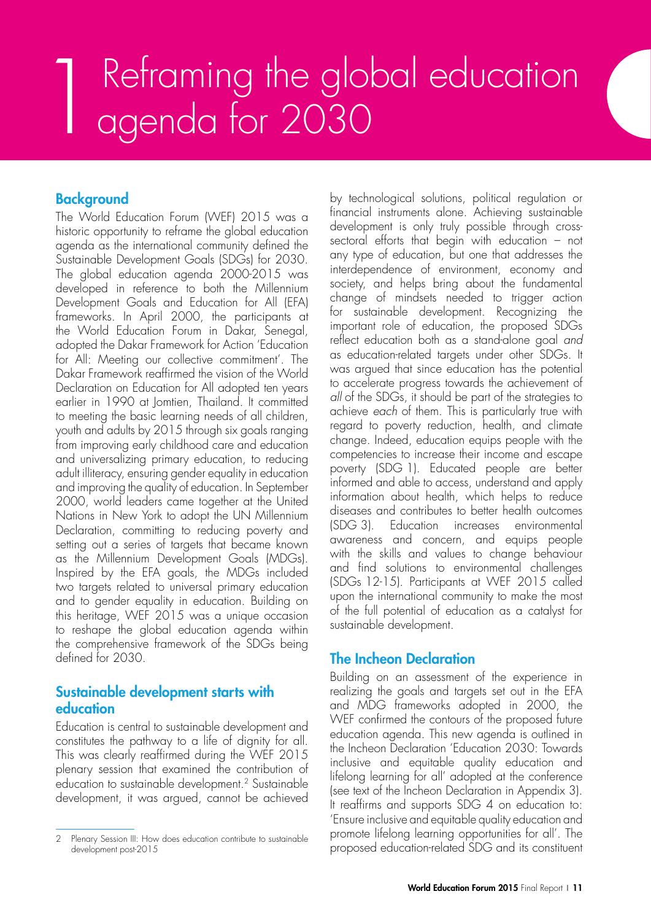# <span id="page-7-0"></span>Reframing the global education agenda for 2030

# Background

The World Education Forum (WEF) 2015 was a historic opportunity to reframe the global education agenda as the international community defined the Sustainable Development Goals (SDGs) for 2030. The global education agenda 2000-2015 was developed in reference to both the Millennium Development Goals and Education for All (EFA) frameworks. In April 2000, the participants at the World Education Forum in Dakar, Senegal, adopted the Dakar Framework for Action 'Education for All: Meeting our collective commitment'. The Dakar Framework reaffirmed the vision of the World Declaration on Education for All adopted ten years earlier in 1990 at Iomtien. Thailand. It committed to meeting the basic learning needs of all children, youth and adults by 2015 through six goals ranging from improving early childhood care and education and universalizing primary education, to reducing adult illiteracy, ensuring gender equality in education and improving the quality of education. In September 2000, world leaders came together at the United Nations in New York to adopt the UN Millennium Declaration, committing to reducing poverty and setting out a series of targets that became known as the Millennium Development Goals (MDGs). Inspired by the EFA goals, the MDGs included two targets related to universal primary education and to gender equality in education. Building on this heritage, WEF 2015 was a unique occasion to reshape the global education agenda within the comprehensive framework of the SDGs being defined for 2030.

# Sustainable development starts with education

Education is central to sustainable development and constitutes the pathway to a life of dignity for all. This was clearly reaffirmed during the WEF 2015 plenary session that examined the contribution of education to sustainable development.2 Sustainable development, it was argued, cannot be achieved

by technological solutions, political regulation or financial instruments alone. Achieving sustainable development is only truly possible through crosssectoral efforts that begin with education – not any type of education, but one that addresses the interdependence of environment, economy and society, and helps bring about the fundamental change of mindsets needed to trigger action for sustainable development. Recognizing the important role of education, the proposed SDGs reflect education both as a stand-alone goal *and*  as education-related targets under other SDGs. It was argued that since education has the potential to accelerate progress towards the achievement of *all* of the SDGs, it should be part of the strategies to achieve *each* of them. This is particularly true with regard to poverty reduction, health, and climate change. Indeed, education equips people with the competencies to increase their income and escape poverty (SDG 1). Educated people are better informed and able to access, understand and apply information about health, which helps to reduce diseases and contributes to better health outcomes (SDG 3). Education increases environmental awareness and concern, and equips people with the skills and values to change behaviour and find solutions to environmental challenges (SDGs 12-15). Participants at WEF 2015 called upon the international community to make the most of the full potential of education as a catalyst for sustainable development.

# The Incheon Declaration

Building on an assessment of the experience in realizing the goals and targets set out in the EFA and MDG frameworks adopted in 2000, the WEF confirmed the contours of the proposed future education agenda. This new agenda is outlined in the Incheon Declaration 'Education 2030: Towards inclusive and equitable quality education and lifelong learning for all' adopted at the conference (see text of the Incheon Declaration in Appendix 3). It reaffirms and supports SDG 4 on education to: 'Ensure inclusive and equitable quality education and promote lifelong learning opportunities for all'. The proposed education-related SDG and its constituent

<sup>2</sup> Plenary Session III: How does education contribute to sustainable development post-2015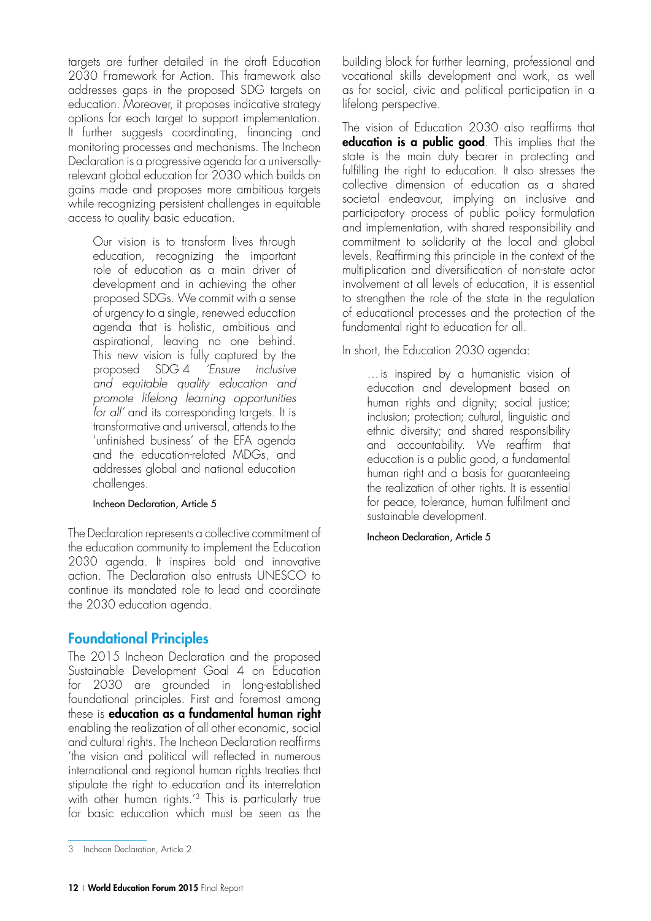<span id="page-8-0"></span>targets are further detailed in the draft Education 2030 Framework for Action. This framework also addresses gaps in the proposed SDG targets on education. Moreover, it proposes indicative strategy options for each target to support implementation. It further suggests coordinating, financing and monitoring processes and mechanisms. The Incheon Declaration is a progressive agenda for a universallyrelevant global education for 2030 which builds on gains made and proposes more ambitious targets while recognizing persistent challenges in equitable access to quality basic education.

Our vision is to transform lives through education, recognizing the important role of education as a main driver of development and in achieving the other proposed SDGs. We commit with a sense of urgency to a single, renewed education agenda that is holistic, ambitious and aspirational, leaving no one behind. This new vision is fully captured by the proposed SDG 4 *'Ensure inclusive and equitable quality education and promote lifelong learning opportunities for all'* and its corresponding targets. It is transformative and universal, attends to the 'unfinished business' of the EFA agenda and the education-related MDGs, and addresses global and national education challenges.

### Incheon Declaration, Article 5

The Declaration represents a collective commitment of the education community to implement the Education 2030 agenda. It inspires bold and innovative action. The Declaration also entrusts UNESCO to continue its mandated role to lead and coordinate the 2030 education agenda.

# Foundational Principles

The 2015 Incheon Declaration and the proposed Sustainable Development Goal 4 on Education for 2030 are grounded in long-established foundational principles. First and foremost among these is **education as a fundamental human right** enabling the realization of all other economic, social and cultural rights. The Incheon Declaration reaffirms 'the vision and political will reflected in numerous international and regional human rights treaties that stipulate the right to education and its interrelation with other human rights.<sup>'3</sup> This is particularly true for basic education which must be seen as the

building block for further learning, professional and vocational skills development and work, as well as for social, civic and political participation in a lifelong perspective.

The vision of Education 2030 also reaffirms that education is a public good. This implies that the state is the main duty bearer in protecting and fulfilling the right to education. It also stresses the collective dimension of education as a shared societal endeavour, implying an inclusive and participatory process of public policy formulation and implementation, with shared responsibility and commitment to solidarity at the local and global levels. Reaffirming this principle in the context of the multiplication and diversification of non-state actor involvement at all levels of education, it is essential to strengthen the role of the state in the regulation of educational processes and the protection of the fundamental right to education for all.

In short, the Education 2030 agenda:

…is inspired by a humanistic vision of education and development based on human rights and dignity; social justice; inclusion; protection; cultural, linguistic and ethnic diversity; and shared responsibility and accountability. We reaffirm that education is a public good, a fundamental human right and a basis for guaranteeing the realization of other rights. It is essential for peace, tolerance, human fulfilment and sustainable development.

Incheon Declaration, Article 5

<sup>3</sup> Incheon Declaration, Article 2.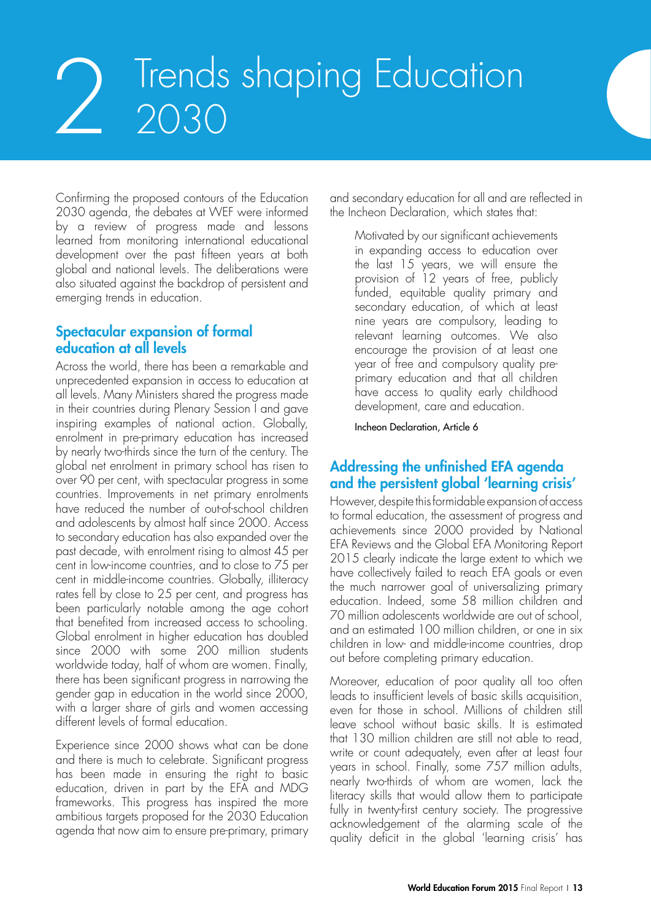# <span id="page-9-0"></span>2 Trends shaping Education 2030

Confirming the proposed contours of the Education 2030 agenda, the debates at WEF were informed by a review of progress made and lessons learned from monitoring international educational development over the past fifteen years at both global and national levels. The deliberations were also situated against the backdrop of persistent and emerging trends in education.

## Spectacular expansion of formal education at all levels

Across the world, there has been a remarkable and unprecedented expansion in access to education at all levels. Many Ministers shared the progress made in their countries during Plenary Session I and gave inspiring examples of national action. Globally, enrolment in pre-primary education has increased by nearly two-thirds since the turn of the century. The global net enrolment in primary school has risen to over 90 per cent, with spectacular progress in some countries. Improvements in net primary enrolments have reduced the number of out-of-school children and adolescents by almost half since 2000. Access to secondary education has also expanded over the past decade, with enrolment rising to almost 45 per cent in low-income countries, and to close to 75 per cent in middle-income countries. Globally, illiteracy rates fell by close to 25 per cent, and progress has been particularly notable among the age cohort that benefited from increased access to schooling. Global enrolment in higher education has doubled since 2000 with some 200 million students worldwide today, half of whom are women. Finally, there has been significant progress in narrowing the gender gap in education in the world since 2000, with a larger share of girls and women accessing different levels of formal education.

Experience since 2000 shows what can be done and there is much to celebrate. Significant progress has been made in ensuring the right to basic education, driven in part by the EFA and MDG frameworks. This progress has inspired the more ambitious targets proposed for the 2030 Education agenda that now aim to ensure pre-primary, primary

and secondary education for all and are reflected in the Incheon Declaration, which states that:

Motivated by our significant achievements in expanding access to education over the last 15 years, we will ensure the provision of 12 years of free, publicly funded, equitable quality primary and secondary education, of which at least nine years are compulsory, leading to relevant learning outcomes. We also encourage the provision of at least one year of free and compulsory quality preprimary education and that all children have access to quality early childhood development, care and education.

Incheon Declaration, Article 6

# Addressing the unfinished EFA agenda and the persistent global 'learning crisis'

However, despite this formidable expansion of access to formal education, the assessment of progress and achievements since 2000 provided by National EFA Reviews and the Global EFA Monitoring Report 2015 clearly indicate the large extent to which we have collectively failed to reach EFA goals or even the much narrower goal of universalizing primary education. Indeed, some 58 million children and 70 million adolescents worldwide are out of school, and an estimated 100 million children, or one in six children in low- and middle-income countries, drop out before completing primary education.

Moreover, education of poor quality all too often leads to insufficient levels of basic skills acquisition, even for those in school. Millions of children still leave school without basic skills. It is estimated that 130 million children are still not able to read, write or count adequately, even after at least four years in school. Finally, some 757 million adults, nearly two-thirds of whom are women, lack the literacy skills that would allow them to participate fully in twenty-first century society. The progressive acknowledgement of the alarming scale of the quality deficit in the global 'learning crisis' has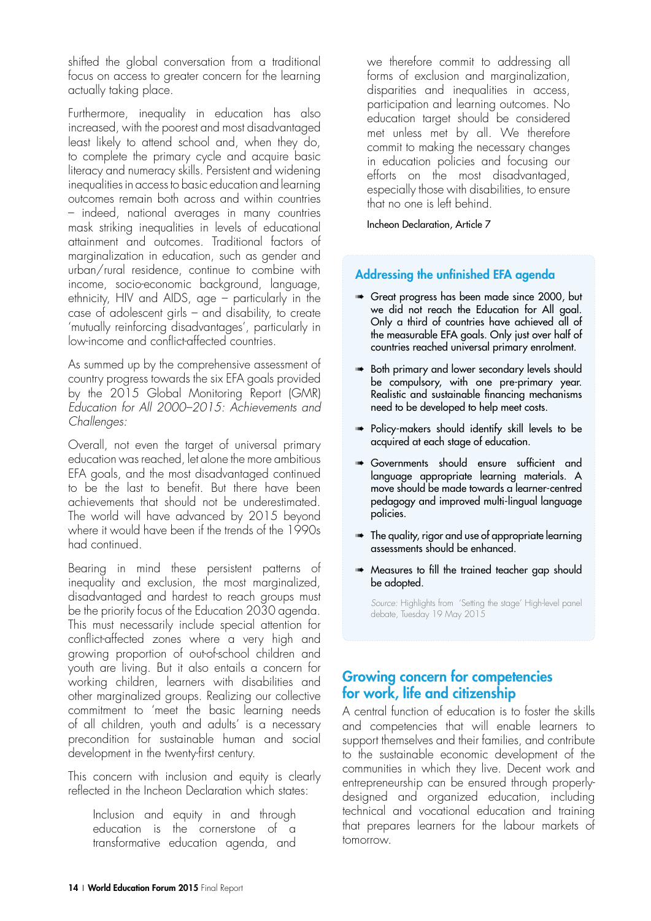<span id="page-10-0"></span>shifted the global conversation from a traditional focus on access to greater concern for the learning actually taking place.

Furthermore, inequality in education has also increased, with the poorest and most disadvantaged least likely to attend school and, when they do, to complete the primary cycle and acquire basic literacy and numeracy skills. Persistent and widening inequalities in access to basic education and learning outcomes remain both across and within countries – indeed, national averages in many countries mask striking inequalities in levels of educational attainment and outcomes. Traditional factors of marginalization in education, such as gender and urban/rural residence, continue to combine with income, socio-economic background, language, ethnicity, HIV and AIDS, age – particularly in the case of adolescent girls – and disability, to create 'mutually reinforcing disadvantages', particularly in low-income and conflict-affected countries.

As summed up by the comprehensive assessment of country progress towards the six EFA goals provided by the 2015 Global Monitoring Report (GMR) *Education for All 2000–2015: Achievements and Challenges:*

Overall, not even the target of universal primary education was reached, let alone the more ambitious EFA goals, and the most disadvantaged continued to be the last to benefit. But there have been achievements that should not be underestimated. The world will have advanced by 2015 beyond where it would have been if the trends of the 1990s had continued.

Bearing in mind these persistent patterns of inequality and exclusion, the most marginalized, disadvantaged and hardest to reach groups must be the priority focus of the Education 2030 agenda. This must necessarily include special attention for conflict-affected zones where a very high and growing proportion of out-of-school children and youth are living. But it also entails a concern for working children, learners with disabilities and other marginalized groups. Realizing our collective commitment to 'meet the basic learning needs of all children, youth and adults' is a necessary precondition for sustainable human and social development in the twenty-first century.

This concern with inclusion and equity is clearly reflected in the Incheon Declaration which states:

Inclusion and equity in and through education is the cornerstone of a transformative education agenda, and

we therefore commit to addressing all forms of exclusion and marginalization, disparities and inequalities in access, participation and learning outcomes. No education target should be considered met unless met by all. We therefore commit to making the necessary changes in education policies and focusing our efforts on the most disadvantaged, especially those with disabilities, to ensure that no one is left behind.

Incheon Declaration, Article 7

## Addressing the unfinished EFA agenda

- ➠ Great progress has been made since 2000, but we did not reach the Education for All goal. Only a third of countries have achieved all of the measurable EFA goals. Only just over half of countries reached universal primary enrolment.
- ➠ Both primary and lower secondary levels should be compulsory, with one pre-primary year. Realistic and sustainable financing mechanisms need to be developed to help meet costs.
- ➠ Policy-makers should identify skill levels to be acquired at each stage of education.
- ➠ Governments should ensure sufficient and language appropriate learning materials. A move should be made towards a learner-centred pedagogy and improved multi-lingual language policies.
- ➠ The quality, rigor and use of appropriate learning assessments should be enhanced.
- ➠ Measures to fill the trained teacher gap should be adopted.

*Source:* Highlights from 'Setting the stage' High-level panel debate, Tuesday 19 May 2015

# Growing concern for competencies for work, life and citizenship

A central function of education is to foster the skills and competencies that will enable learners to support themselves and their families, and contribute to the sustainable economic development of the communities in which they live. Decent work and entrepreneurship can be ensured through properlydesigned and organized education, including technical and vocational education and training that prepares learners for the labour markets of tomorrow.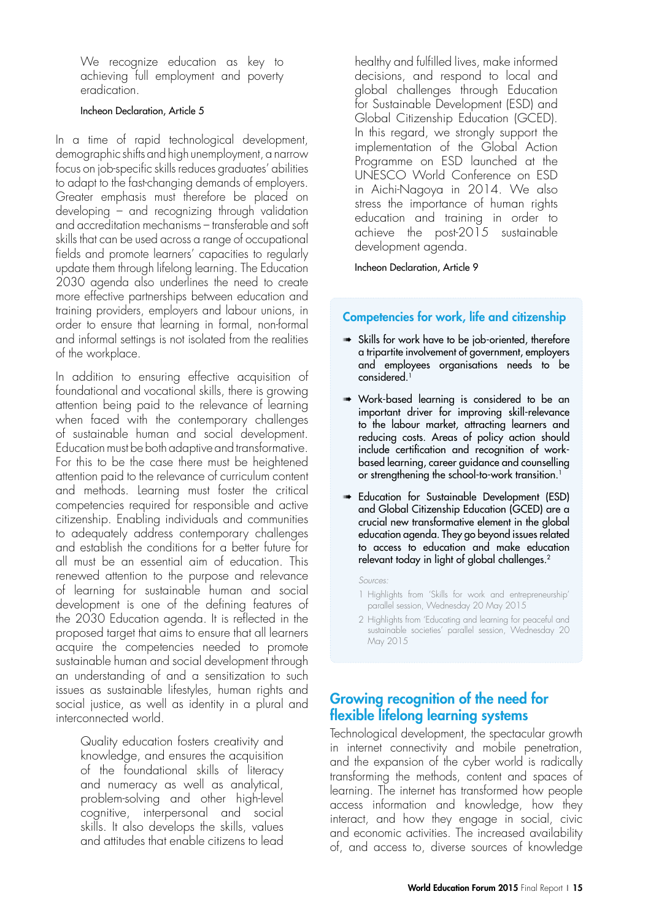<span id="page-11-0"></span>We recognize education as key to achieving full employment and poverty eradication.

### Incheon Declaration, Article 5

In a time of rapid technological development, demographic shifts and high unemployment, a narrow focus on job-specific skills reduces graduates' abilities to adapt to the fast-changing demands of employers. Greater emphasis must therefore be placed on developing – and recognizing through validation and accreditation mechanisms – transferable and soft skills that can be used across a range of occupational fields and promote learners' capacities to regularly update them through lifelong learning. The Education 2030 agenda also underlines the need to create more effective partnerships between education and training providers, employers and labour unions, in order to ensure that learning in formal, non-formal and informal settings is not isolated from the realities of the workplace.

In addition to ensuring effective acquisition of foundational and vocational skills, there is growing attention being paid to the relevance of learning when faced with the contemporary challenges of sustainable human and social development. Education must be both adaptive and transformative. For this to be the case there must be heightened attention paid to the relevance of curriculum content and methods. Learning must foster the critical competencies required for responsible and active citizenship. Enabling individuals and communities to adequately address contemporary challenges and establish the conditions for a better future for all must be an essential aim of education. This renewed attention to the purpose and relevance of learning for sustainable human and social development is one of the defining features of the 2030 Education agenda. It is reflected in the proposed target that aims to ensure that all learners acquire the competencies needed to promote sustainable human and social development through an understanding of and a sensitization to such issues as sustainable lifestyles, human rights and social justice, as well as identity in a plural and interconnected world.

Quality education fosters creativity and knowledge, and ensures the acquisition of the foundational skills of literacy and numeracy as well as analytical, problem-solving and other high-level cognitive, interpersonal and social skills. It also develops the skills, values and attitudes that enable citizens to lead

healthy and fulfilled lives, make informed decisions, and respond to local and global challenges through Education for Sustainable Development (ESD) and Global Citizenship Education (GCED). In this regard, we strongly support the implementation of the Global Action Programme on ESD launched at the UNESCO World Conference on ESD in Aichi-Nagoya in 2014. We also stress the importance of human rights education and training in order to achieve the post-2015 sustainable development agenda.

Incheon Declaration, Article 9

## Competencies for work, life and citizenship

- ➠ Skills for work have to be job-oriented, therefore a tripartite involvement of government, employers and employees organisations needs to be considered. 1
- ➠ Work-based learning is considered to be an important driver for improving skill-relevance to the labour market, attracting learners and reducing costs. Areas of policy action should include certification and recognition of workbased learning, career guidance and counselling or strengthening the school-to-work transition. 1
- ➠ Education for Sustainable Development (ESD) and Global Citizenship Education (GCED) are a crucial new transformative element in the global education agenda. They go beyond issues related to access to education and make education relevant today in light of global challenges. 2

*Sources:*

- 1 Highlights from 'Skills for work and entrepreneurship' parallel session, Wednesday 20 May 2015
- 2 Highlights from 'Educating and learning for peaceful and sustainable societies' parallel session, Wednesday 20 May 2015

# Growing recognition of the need for flexible lifelong learning systems

Technological development, the spectacular growth in internet connectivity and mobile penetration, and the expansion of the cyber world is radically transforming the methods, content and spaces of learning. The internet has transformed how people access information and knowledge, how they interact, and how they engage in social, civic and economic activities. The increased availability of, and access to, diverse sources of knowledge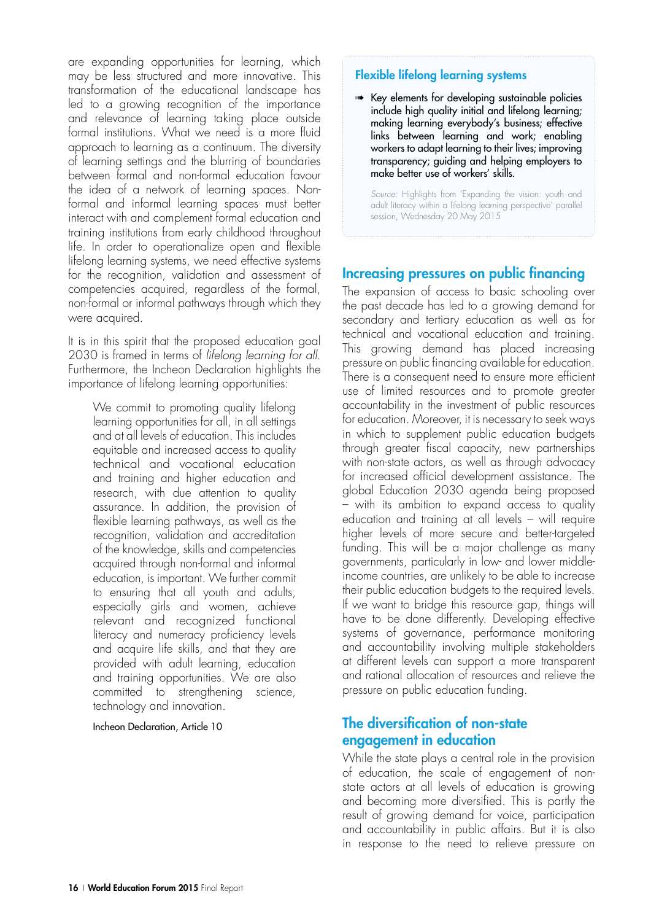<span id="page-12-0"></span>are expanding opportunities for learning, which may be less structured and more innovative. This transformation of the educational landscape has led to a growing recognition of the importance and relevance of learning taking place outside formal institutions. What we need is a more fluid approach to learning as a continuum. The diversity of learning settings and the blurring of boundaries between formal and non-formal education favour the idea of a network of learning spaces. Nonformal and informal learning spaces must better interact with and complement formal education and training institutions from early childhood throughout life. In order to operationalize open and flexible lifelong learning systems, we need effective systems for the recognition, validation and assessment of competencies acquired, regardless of the formal, non-formal or informal pathways through which they were acquired.

It is in this spirit that the proposed education goal 2030 is framed in terms of *lifelong learning for all*. Furthermore, the Incheon Declaration highlights the importance of lifelong learning opportunities:

We commit to promoting quality lifelong learning opportunities for all, in all settings and at all levels of education. This includes equitable and increased access to quality technical and vocational education and training and higher education and research, with due attention to quality assurance. In addition, the provision of flexible learning pathways, as well as the recognition, validation and accreditation of the knowledge, skills and competencies acquired through non-formal and informal education, is important. We further commit to ensuring that all youth and adults, especially girls and women, achieve relevant and recognized functional literacy and numeracy proficiency levels and acquire life skills, and that they are provided with adult learning, education and training opportunities. We are also committed to strengthening science, technology and innovation.

#### Incheon Declaration, Article 10

## Flexible lifelong learning systems

➠ Key elements for developing sustainable policies include high quality initial and lifelong learning; making learning everybody's business; effective links between learning and work; enabling workers to adapt learning to their lives; improving transparency; guiding and helping employers to make better use of workers' skills.

*Source:* Highlights from 'Expanding the vision: youth and adult literacy within a lifelong learning perspective' parallel session, Wednesday 20 May 2015

## Increasing pressures on public financing

The expansion of access to basic schooling over the past decade has led to a growing demand for secondary and tertiary education as well as for technical and vocational education and training. This growing demand has placed increasing pressure on public financing available for education. There is a consequent need to ensure more efficient use of limited resources and to promote greater accountability in the investment of public resources for education. Moreover, it is necessary to seek ways in which to supplement public education budgets through greater fiscal capacity, new partnerships with non-state actors, as well as through advocacy for increased official development assistance. The global Education 2030 agenda being proposed – with its ambition to expand access to quality education and training at all levels – will require higher levels of more secure and better-targeted funding. This will be a major challenge as many governments, particularly in low- and lower middleincome countries, are unlikely to be able to increase their public education budgets to the required levels. If we want to bridge this resource gap, things will have to be done differently. Developing effective systems of governance, performance monitoring and accountability involving multiple stakeholders at different levels can support a more transparent and rational allocation of resources and relieve the pressure on public education funding.

## The diversification of non-state engagement in education

While the state plays a central role in the provision of education, the scale of engagement of nonstate actors at all levels of education is growing and becoming more diversified. This is partly the result of growing demand for voice, participation and accountability in public affairs. But it is also in response to the need to relieve pressure on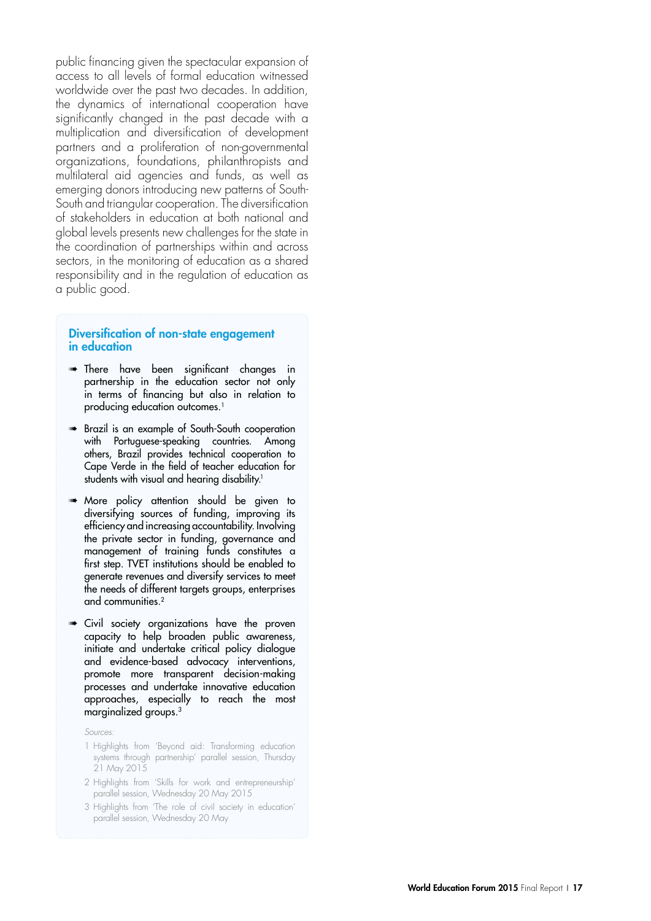public financing given the spectacular expansion of access to all levels of formal education witnessed worldwide over the past two decades. In addition, the dynamics of international cooperation have significantly changed in the past decade with a multiplication and diversification of development partners and a proliferation of non-governmental organizations, foundations, philanthropists and multilateral aid agencies and funds, as well as emerging donors introducing new patterns of South-South and triangular cooperation. The diversification of stakeholders in education at both national and global levels presents new challenges for the state in the coordination of partnerships within and across sectors, in the monitoring of education as a shared responsibility and in the regulation of education as a public good.

### Diversification of non-state engagement in education

- ➠ There have been significant changes in partnership in the education sector not only in terms of financing but also in relation to producing education outcomes. 1
- ➠ Brazil is an example of South-South cooperation with Portuguese-speaking countries. Among others, Brazil provides technical cooperation to Cape Verde in the field of teacher education for students with visual and hearing disability. 1
- ➠ More policy attention should be given to diversifying sources of funding, improving its efficiency and increasing accountability. Involving the private sector in funding, governance and management of training funds constitutes a first step. TVET institutions should be enabled to generate revenues and diversify services to meet the needs of different targets groups, enterprises and communities. 2
- ➠ Civil society organizations have the proven capacity to help broaden public awareness, initiate and undertake critical policy dialogue and evidence-based advocacy interventions, promote more transparent decision-making processes and undertake innovative education approaches, especially to reach the most marginalized groups. 3

*Sources:*

- 1 Highlights from 'Beyond aid: Transforming education systems through partnership' parallel session, Thursday 21 May 2015
- 2 Highlights from 'Skills for work and entrepreneurship' parallel session, Wednesday 20 May 2015
- 3 Highlights from 'The role of civil society in education' parallel session, Wednesday 20 May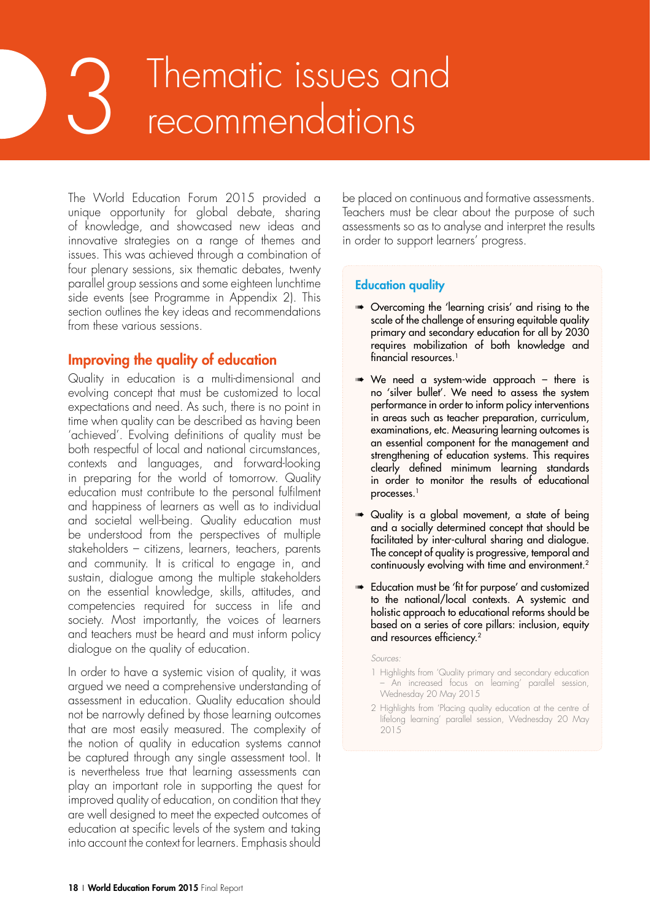# <span id="page-14-0"></span>3 Thematic issues and<br>recommendations recommendations

The World Education Forum 2015 provided a unique opportunity for global debate, sharing of knowledge, and showcased new ideas and innovative strategies on a range of themes and issues. This was achieved through a combination of four plenary sessions, six thematic debates, twenty parallel group sessions and some eighteen lunchtime side events (see Programme in Appendix 2). This section outlines the key ideas and recommendations from these various sessions.

## Improving the quality of education

Quality in education is a multi-dimensional and evolving concept that must be customized to local expectations and need. As such, there is no point in time when quality can be described as having been 'achieved'. Evolving definitions of quality must be both respectful of local and national circumstances, contexts and languages, and forward-looking in preparing for the world of tomorrow. Quality education must contribute to the personal fulfilment and happiness of learners as well as to individual and societal well-being. Quality education must be understood from the perspectives of multiple stakeholders – citizens, learners, teachers, parents and community. It is critical to engage in, and sustain, dialogue among the multiple stakeholders on the essential knowledge, skills, attitudes, and competencies required for success in life and society. Most importantly, the voices of learners and teachers must be heard and must inform policy dialogue on the quality of education.

In order to have a systemic vision of quality, it was argued we need a comprehensive understanding of assessment in education. Quality education should not be narrowly defined by those learning outcomes that are most easily measured. The complexity of the notion of quality in education systems cannot be captured through any single assessment tool. It is nevertheless true that learning assessments can play an important role in supporting the quest for improved quality of education, on condition that they are well designed to meet the expected outcomes of education at specific levels of the system and taking into account the context for learners. Emphasis should

be placed on continuous and formative assessments. Teachers must be clear about the purpose of such assessments so as to analyse and interpret the results in order to support learners' progress.

## Education quality

- ➠ Overcoming the 'learning crisis' and rising to the scale of the challenge of ensuring equitable quality primary and secondary education for all by 2030 requires mobilization of both knowledge and financial resources. 1
- ➠ We need a system-wide approach there is no 'silver bullet'. We need to assess the system performance in order to inform policy interventions in areas such as teacher preparation, curriculum, examinations, etc. Measuring learning outcomes is an essential component for the management and strengthening of education systems. This requires clearly defined minimum learning standards in order to monitor the results of educational processes. 1
- ➠ Quality is a global movement, a state of being and a socially determined concept that should be facilitated by inter-cultural sharing and dialogue. The concept of quality is progressive, temporal and continuously evolving with time and environment. 2
- ➠ Education must be 'fit for purpose' and customized to the national/local contexts. A systemic and holistic approach to educational reforms should be based on a series of core pillars: inclusion, equity and resources efficiency. 2

*Sources:*

- 1 Highlights from 'Quality primary and secondary education – An increased focus on learning' parallel session, Wednesday 20 May 2015
- 2 Highlights from 'Placing quality education at the centre of lifelong learning' parallel session, Wednesday 20 May 2015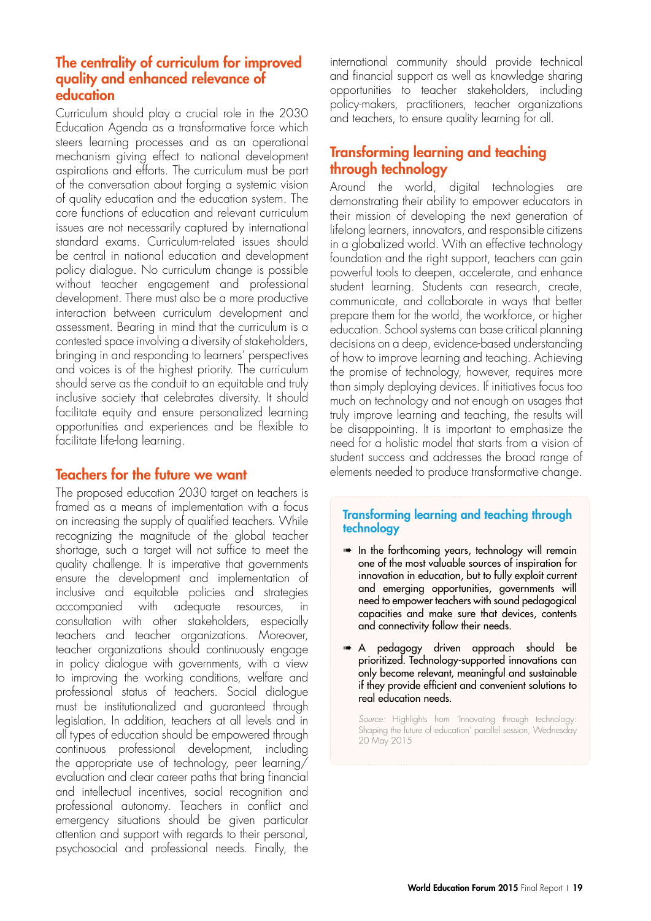## <span id="page-15-0"></span>The centrality of curriculum for improved quality and enhanced relevance of education

Curriculum should play a crucial role in the 2030 Education Agenda as a transformative force which steers learning processes and as an operational mechanism giving effect to national development aspirations and efforts. The curriculum must be part of the conversation about forging a systemic vision of quality education and the education system. The core functions of education and relevant curriculum issues are not necessarily captured by international standard exams. Curriculum-related issues should be central in national education and development policy dialogue. No curriculum change is possible without teacher engagement and professional development. There must also be a more productive interaction between curriculum development and assessment. Bearing in mind that the curriculum is a contested space involving a diversity of stakeholders, bringing in and responding to learners' perspectives and voices is of the highest priority. The curriculum should serve as the conduit to an equitable and truly inclusive society that celebrates diversity. It should facilitate equity and ensure personalized learning opportunities and experiences and be flexible to facilitate life-long learning.

# Teachers for the future we want

The proposed education 2030 target on teachers is framed as a means of implementation with a focus on increasing the supply of qualified teachers. While recognizing the magnitude of the global teacher shortage, such a target will not suffice to meet the quality challenge. It is imperative that governments ensure the development and implementation of inclusive and equitable policies and strategies accompanied with adequate resources, in consultation with other stakeholders, especially teachers and teacher organizations. Moreover, teacher organizations should continuously engage in policy dialogue with governments, with a view to improving the working conditions, welfare and professional status of teachers. Social dialogue must be institutionalized and guaranteed through legislation. In addition, teachers at all levels and in all types of education should be empowered through continuous professional development, including the appropriate use of technology, peer learning/ evaluation and clear career paths that bring financial and intellectual incentives, social recognition and professional autonomy. Teachers in conflict and emergency situations should be given particular attention and support with regards to their personal, psychosocial and professional needs. Finally, the

international community should provide technical and financial support as well as knowledge sharing opportunities to teacher stakeholders, including policy-makers, practitioners, teacher organizations and teachers, to ensure quality learning for all.

# Transforming learning and teaching through technology

Around the world, digital technologies are demonstrating their ability to empower educators in their mission of developing the next generation of lifelong learners, innovators, and responsible citizens in a globalized world. With an effective technology foundation and the right support, teachers can gain powerful tools to deepen, accelerate, and enhance student learning. Students can research, create, communicate, and collaborate in ways that better prepare them for the world, the workforce, or higher education. School systems can base critical planning decisions on a deep, evidence-based understanding of how to improve learning and teaching. Achieving the promise of technology, however, requires more than simply deploying devices. If initiatives focus too much on technology and not enough on usages that truly improve learning and teaching, the results will be disappointing. It is important to emphasize the need for a holistic model that starts from a vision of student success and addresses the broad range of elements needed to produce transformative change.

## Transforming learning and teaching through technology

- ➠ In the forthcoming years, technology will remain one of the most valuable sources of inspiration for innovation in education, but to fully exploit current and emerging opportunities, governments will need to empower teachers with sound pedagogical capacities and make sure that devices, contents and connectivity follow their needs.
- ➠ A pedagogy driven approach should be prioritized. Technology-supported innovations can only become relevant, meaningful and sustainable if they provide efficient and convenient solutions to real education needs.

*Source:* Highlights from 'Innovating through technology: Shaping the future of education' parallel session, Wednesday 20 May 2015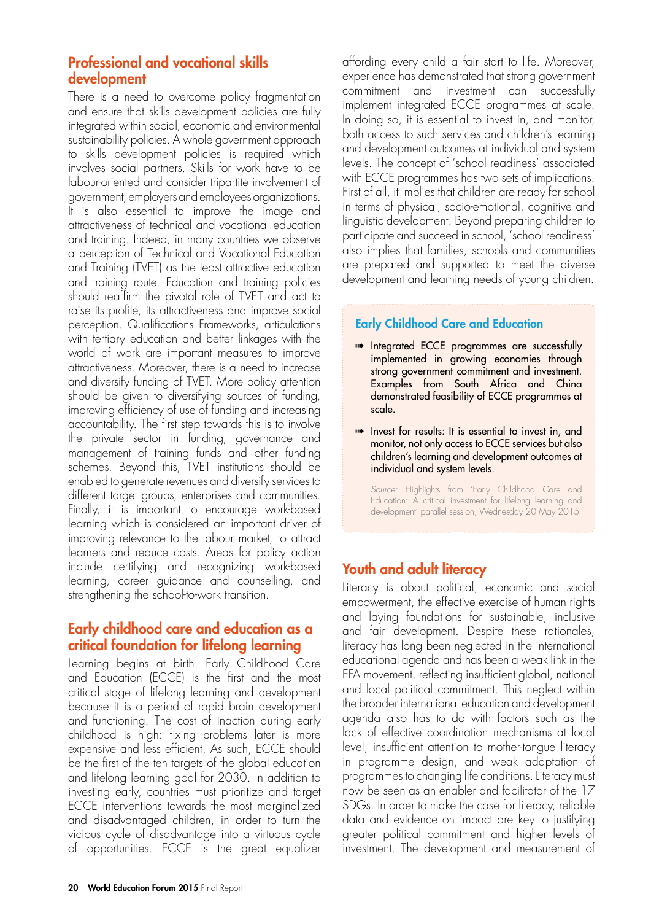# <span id="page-16-0"></span>Professional and vocational skills development

There is a need to overcome policy fragmentation and ensure that skills development policies are fully integrated within social, economic and environmental sustainability policies. A whole government approach to skills development policies is required which involves social partners. Skills for work have to be labour-oriented and consider tripartite involvement of government, employers and employees organizations. It is also essential to improve the image and attractiveness of technical and vocational education and training. Indeed, in many countries we observe a perception of Technical and Vocational Education and Training (TVET) as the least attractive education and training route. Education and training policies should reaffirm the pivotal role of TVET and act to raise its profile, its attractiveness and improve social perception. Qualifications Frameworks, articulations with tertiary education and better linkages with the world of work are important measures to improve attractiveness. Moreover, there is a need to increase and diversify funding of TVET. More policy attention should be given to diversifying sources of funding, improving efficiency of use of funding and increasing accountability. The first step towards this is to involve the private sector in funding, governance and management of training funds and other funding schemes. Beyond this, TVET institutions should be enabled to generate revenues and diversify services to different target groups, enterprises and communities. Finally, it is important to encourage work-based learning which is considered an important driver of improving relevance to the labour market, to attract learners and reduce costs. Areas for policy action include certifying and recognizing work-based learning, career guidance and counselling, and strengthening the school-to-work transition.

# Early childhood care and education as a critical foundation for lifelong learning

Learning begins at birth. Early Childhood Care and Education (ECCE) is the first and the most critical stage of lifelong learning and development because it is a period of rapid brain development and functioning. The cost of inaction during early childhood is high: fixing problems later is more expensive and less efficient. As such, ECCE should be the first of the ten targets of the global education and lifelong learning goal for 2030. In addition to investing early, countries must prioritize and target ECCE interventions towards the most marginalized and disadvantaged children, in order to turn the vicious cycle of disadvantage into a virtuous cycle of opportunities. ECCE is the great equalizer

affording every child a fair start to life. Moreover, experience has demonstrated that strong government commitment and investment can successfully implement integrated ECCE programmes at scale. In doing so, it is essential to invest in, and monitor, both access to such services and children's learning and development outcomes at individual and system levels. The concept of 'school readiness' associated with ECCE programmes has two sets of implications. First of all, it implies that children are ready for school in terms of physical, socio-emotional, cognitive and linguistic development. Beyond preparing children to participate and succeed in school, 'school readiness' also implies that families, schools and communities are prepared and supported to meet the diverse development and learning needs of young children.

## Early Childhood Care and Education

- ➠ Integrated ECCE programmes are successfully implemented in growing economies through strong government commitment and investment. Examples from South Africa and China demonstrated feasibility of ECCE programmes at scale.
- ➠ Invest for results: It is essential to invest in, and monitor, not only access to ECCE services but also children's learning and development outcomes at individual and system levels.

*Source:* Highlights from 'Early Childhood Care and Education: A critical investment for lifelong learning and development' parallel session, Wednesday 20 May 2015

# Youth and adult literacy

Literacy is about political, economic and social empowerment, the effective exercise of human rights and laying foundations for sustainable, inclusive and fair development. Despite these rationales, literacy has long been neglected in the international educational agenda and has been a weak link in the EFA movement, reflecting insufficient global, national and local political commitment. This neglect within the broader international education and development agenda also has to do with factors such as the lack of effective coordination mechanisms at local level, insufficient attention to mother-tongue literacy in programme design, and weak adaptation of programmes to changing life conditions. Literacy must now be seen as an enabler and facilitator of the 17 SDGs. In order to make the case for literacy, reliable data and evidence on impact are key to justifying greater political commitment and higher levels of investment. The development and measurement of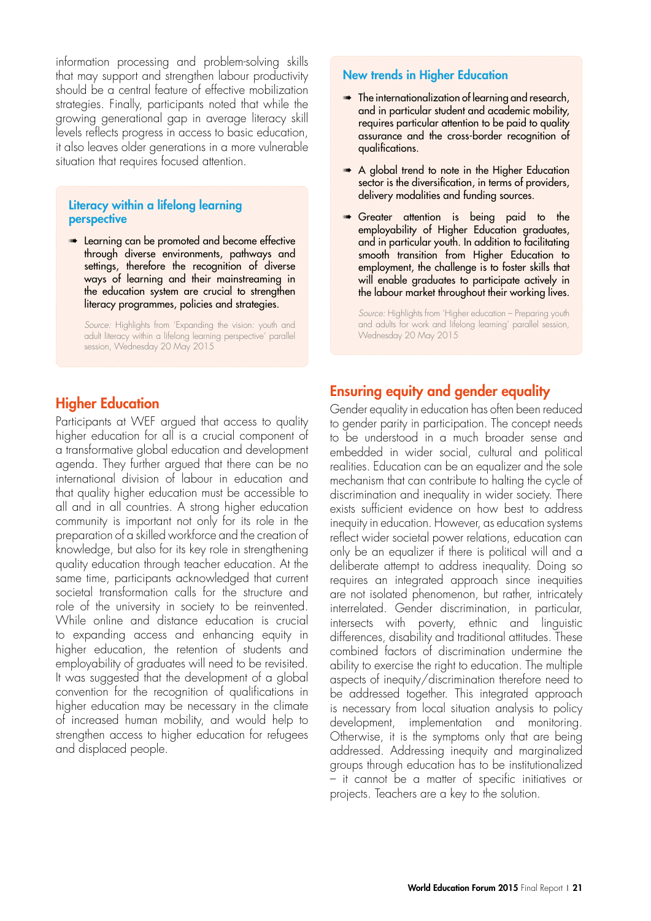<span id="page-17-0"></span>information processing and problem-solving skills that may support and strengthen labour productivity should be a central feature of effective mobilization strategies. Finally, participants noted that while the growing generational gap in average literacy skill levels reflects progress in access to basic education, it also leaves older generations in a more vulnerable situation that requires focused attention.

## Literacy within a lifelong learning perspective

➠ Learning can be promoted and become effective through diverse environments, pathways and settings, therefore the recognition of diverse ways of learning and their mainstreaming in the education system are crucial to strengthen literacy programmes, policies and strategies.

*Source:* Highlights from 'Expanding the vision: youth and adult literacy within a lifelong learning perspective' parallel session, Wednesday 20 May 2015

## Higher Education

Participants at WEF argued that access to quality higher education for all is a crucial component of a transformative global education and development agenda. They further argued that there can be no international division of labour in education and that quality higher education must be accessible to all and in all countries. A strong higher education community is important not only for its role in the preparation of a skilled workforce and the creation of knowledge, but also for its key role in strengthening quality education through teacher education. At the same time, participants acknowledged that current societal transformation calls for the structure and role of the university in society to be reinvented. While online and distance education is crucial to expanding access and enhancing equity in higher education, the retention of students and employability of graduates will need to be revisited. It was suggested that the development of a global convention for the recognition of qualifications in higher education may be necessary in the climate of increased human mobility, and would help to strengthen access to higher education for refugees and displaced people.

## New trends in Higher Education

- ➠ The internationalization of learning and research, and in particular student and academic mobility, requires particular attention to be paid to quality assurance and the cross-border recognition of qualifications.
- ➠ A global trend to note in the Higher Education sector is the diversification, in terms of providers, delivery modalities and funding sources.
- ➠ Greater attention is being paid to the employability of Higher Education graduates, and in particular youth. In addition to facilitating smooth transition from Higher Education to employment, the challenge is to foster skills that will enable graduates to participate actively in the labour market throughout their working lives.

*Source:* Highlights from 'Higher education – Preparing youth and adults for work and lifelong learning' parallel session, Wednesday 20 May 2015

## Ensuring equity and gender equality

Gender equality in education has often been reduced to gender parity in participation. The concept needs to be understood in a much broader sense and embedded in wider social, cultural and political realities. Education can be an equalizer and the sole mechanism that can contribute to halting the cycle of discrimination and inequality in wider society. There exists sufficient evidence on how best to address inequity in education. However, as education systems reflect wider societal power relations, education can only be an equalizer if there is political will and a deliberate attempt to address inequality. Doing so requires an integrated approach since inequities are not isolated phenomenon, but rather, intricately interrelated. Gender discrimination, in particular, intersects with poverty, ethnic and linguistic differences, disability and traditional attitudes. These combined factors of discrimination undermine the ability to exercise the right to education. The multiple aspects of inequity/discrimination therefore need to be addressed together. This integrated approach is necessary from local situation analysis to policy development, implementation and monitoring. Otherwise, it is the symptoms only that are being addressed. Addressing inequity and marginalized groups through education has to be institutionalized – it cannot be a matter of specific initiatives or projects. Teachers are a key to the solution.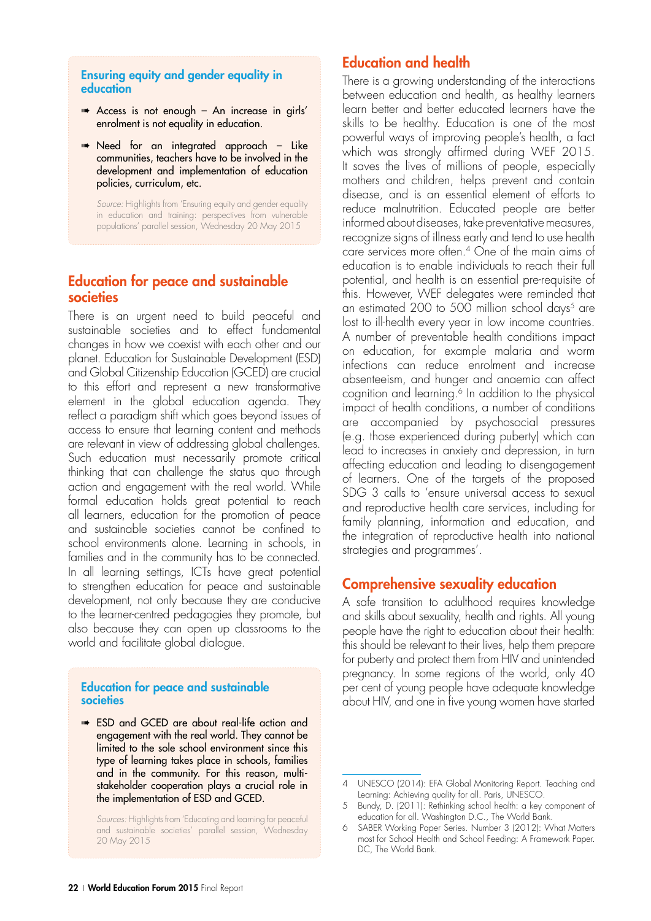## <span id="page-18-0"></span>Ensuring equity and gender equality in education

- ➠ Access is not enough An increase in girls' enrolment is not equality in education.
- ➠ Need for an integrated approach Like communities, teachers have to be involved in the development and implementation of education policies, curriculum, etc.

*Source:* Highlights from 'Ensuring equity and gender equality in education and training: perspectives from vulnerable populations' parallel session, Wednesday 20 May 2015

## Education for peace and sustainable societies

There is an urgent need to build peaceful and sustainable societies and to effect fundamental changes in how we coexist with each other and our planet. Education for Sustainable Development (ESD) and Global Citizenship Education (GCED) are crucial to this effort and represent a new transformative element in the global education agenda. They reflect a paradigm shift which goes beyond issues of access to ensure that learning content and methods are relevant in view of addressing global challenges. Such education must necessarily promote critical thinking that can challenge the status quo through action and engagement with the real world. While formal education holds great potential to reach all learners, education for the promotion of peace and sustainable societies cannot be confined to school environments alone. Learning in schools, in families and in the community has to be connected. In all learning settings, ICTs have great potential to strengthen education for peace and sustainable development, not only because they are conducive to the learner-centred pedagogies they promote, but also because they can open up classrooms to the world and facilitate global dialogue.

### Education for peace and sustainable societies

➠ ESD and GCED are about real-life action and engagement with the real world. They cannot be limited to the sole school environment since this type of learning takes place in schools, families and in the community. For this reason, multistakeholder cooperation plays a crucial role in the implementation of ESD and GCED.

*Sources:* Highlights from 'Educating and learning for peaceful and sustainable societies' parallel session, Wednesday 20 May 2015

## Education and health

There is a growing understanding of the interactions between education and health, as healthy learners learn better and better educated learners have the skills to be healthy. Education is one of the most powerful ways of improving people's health, a fact which was strongly affirmed during WEF 2015. It saves the lives of millions of people, especially mothers and children, helps prevent and contain disease, and is an essential element of efforts to reduce malnutrition. Educated people are better informed about diseases, take preventative measures, recognize signs of illness early and tend to use health care services more often.4 One of the main aims of education is to enable individuals to reach their full potential, and health is an essential pre-requisite of this. However, WEF delegates were reminded that an estimated 200 to 500 million school days<sup>5</sup> are lost to ill-health every year in low income countries. A number of preventable health conditions impact on education, for example malaria and worm infections can reduce enrolment and increase absenteeism, and hunger and anaemia can affect cognition and learning.<sup>6</sup> In addition to the physical impact of health conditions, a number of conditions are accompanied by psychosocial pressures (e.g. those experienced during puberty) which can lead to increases in anxiety and depression, in turn affecting education and leading to disengagement of learners. One of the targets of the proposed SDG 3 calls to 'ensure universal access to sexual and reproductive health care services, including for family planning, information and education, and the integration of reproductive health into national strategies and programmes'.

# Comprehensive sexuality education

A safe transition to adulthood requires knowledge and skills about sexuality, health and rights. All young people have the right to education about their health: this should be relevant to their lives, help them prepare for puberty and protect them from HIV and unintended pregnancy. In some regions of the world, only 40 per cent of young people have adequate knowledge about HIV, and one in five young women have started

<sup>4</sup> UNESCO (2014): EFA Global Monitoring Report. Teaching and Learning: Achieving quality for all*.* Paris, UNESCO.

<sup>5</sup> Bundy, D. (2011)*:* Rethinking school health: a key component of education for all. Washington D.C., The World Bank*.*

<sup>6</sup> SABER Working Paper Series. Number 3 (2012): What Matters most for School Health and School Feeding: A Framework Paper. DC, The World Bank*.*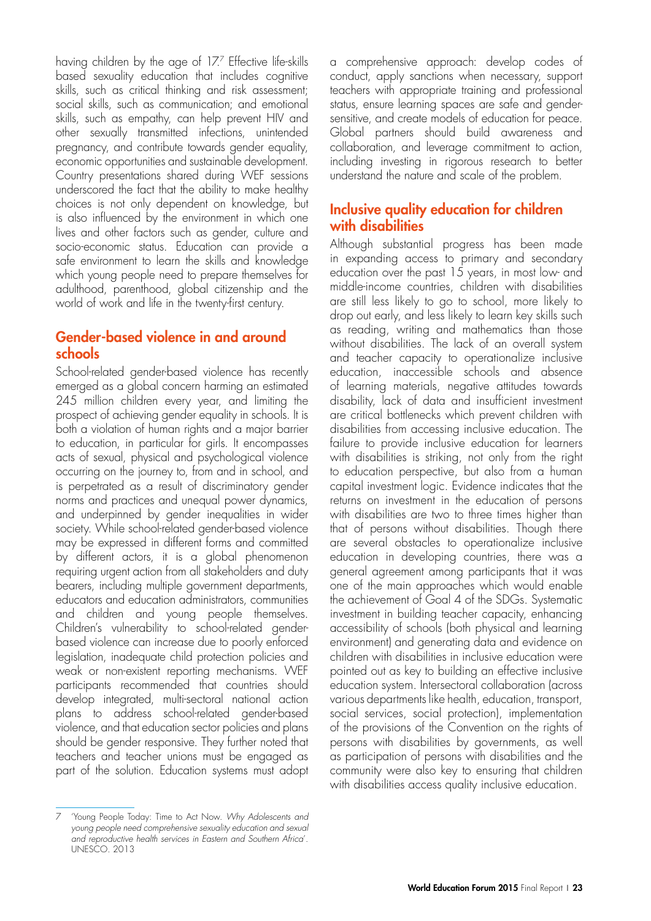<span id="page-19-0"></span>having children by the age of 17.7 Effective life-skills based sexuality education that includes cognitive skills, such as critical thinking and risk assessment; social skills, such as communication; and emotional skills, such as empathy, can help prevent HIV and other sexually transmitted infections, unintended pregnancy, and contribute towards gender equality, economic opportunities and sustainable development. Country presentations shared during WEF sessions underscored the fact that the ability to make healthy choices is not only dependent on knowledge, but is also influenced by the environment in which one lives and other factors such as gender, culture and socio-economic status. Education can provide a safe environment to learn the skills and knowledge which young people need to prepare themselves for adulthood, parenthood, global citizenship and the world of work and life in the twenty-first century.

# Gender-based violence in and around schools

School-related gender-based violence has recently emerged as a global concern harming an estimated 245 million children every year, and limiting the prospect of achieving gender equality in schools. It is both a violation of human rights and a major barrier to education, in particular for girls. It encompasses acts of sexual, physical and psychological violence occurring on the journey to, from and in school, and is perpetrated as a result of discriminatory gender norms and practices and unequal power dynamics, and underpinned by gender inequalities in wider society. While school-related gender-based violence may be expressed in different forms and committed by different actors, it is a global phenomenon requiring urgent action from all stakeholders and duty bearers, including multiple government departments, educators and education administrators, communities and children and young people themselves. Children's vulnerability to school-related genderbased violence can increase due to poorly enforced legislation, inadequate child protection policies and weak or non-existent reporting mechanisms. WEF participants recommended that countries should develop integrated, multi-sectoral national action plans to address school-related gender-based violence, and that education sector policies and plans should be gender responsive. They further noted that teachers and teacher unions must be engaged as part of the solution. Education systems must adopt

7 'Young People Today: Time to Act Now. *Why Adolescents and young people need comprehensive sexuality education and sexual and reproductive health services in Eastern and Southern Africa*'. UNESCO. 2013

a comprehensive approach: develop codes of conduct, apply sanctions when necessary, support teachers with appropriate training and professional status, ensure learning spaces are safe and gendersensitive, and create models of education for peace. Global partners should build awareness and collaboration, and leverage commitment to action, including investing in rigorous research to better understand the nature and scale of the problem.

# Inclusive quality education for children with disabilities

Although substantial progress has been made in expanding access to primary and secondary education over the past 15 years, in most low- and middle-income countries, children with disabilities are still less likely to go to school, more likely to drop out early, and less likely to learn key skills such as reading, writing and mathematics than those without disabilities. The lack of an overall system and teacher capacity to operationalize inclusive education, inaccessible schools and absence of learning materials, negative attitudes towards disability, lack of data and insufficient investment are critical bottlenecks which prevent children with disabilities from accessing inclusive education. The failure to provide inclusive education for learners with disabilities is striking, not only from the right to education perspective, but also from a human capital investment logic. Evidence indicates that the returns on investment in the education of persons with disabilities are two to three times higher than that of persons without disabilities. Though there are several obstacles to operationalize inclusive education in developing countries, there was a general agreement among participants that it was one of the main approaches which would enable the achievement of Goal 4 of the SDGs. Systematic investment in building teacher capacity, enhancing accessibility of schools (both physical and learning environment) and generating data and evidence on children with disabilities in inclusive education were pointed out as key to building an effective inclusive education system. Intersectoral collaboration (across various departments like health, education, transport, social services, social protection), implementation of the provisions of the Convention on the rights of persons with disabilities by governments, as well as participation of persons with disabilities and the community were also key to ensuring that children with disabilities access quality inclusive education.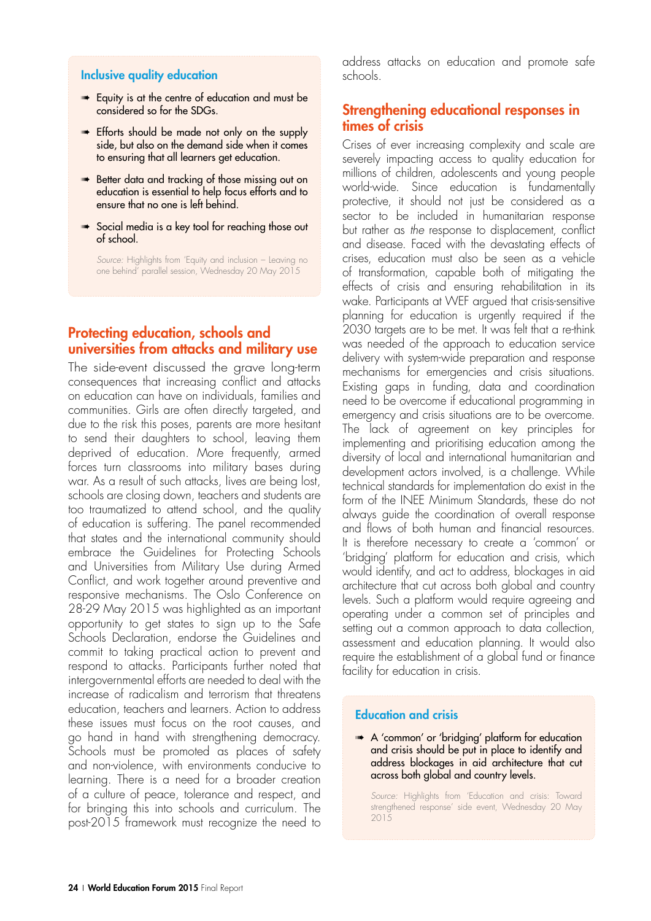### <span id="page-20-0"></span>Inclusive quality education

- ➠ Equity is at the centre of education and must be considered so for the SDGs.
- ➠ Efforts should be made not only on the supply side, but also on the demand side when it comes to ensuring that all learners get education.
- ➠ Better data and tracking of those missing out on education is essential to help focus efforts and to ensure that no one is left behind.
- ➠ Social media is a key tool for reaching those out of school.

*Source:* Highlights from 'Equity and inclusion – Leaving no one behind' parallel session, Wednesday 20 May 2015

## Protecting education, schools and universities from attacks and military use

The side-event discussed the grave long-term consequences that increasing conflict and attacks on education can have on individuals, families and communities. Girls are often directly targeted, and due to the risk this poses, parents are more hesitant to send their daughters to school, leaving them deprived of education. More frequently, armed forces turn classrooms into military bases during war. As a result of such attacks, lives are being lost, schools are closing down, teachers and students are too traumatized to attend school, and the quality of education is suffering. The panel recommended that states and the international community should embrace the Guidelines for Protecting Schools and Universities from Military Use during Armed Conflict, and work together around preventive and responsive mechanisms. The Oslo Conference on 28-29 May 2015 was highlighted as an important opportunity to get states to sign up to the Safe Schools Declaration, endorse the Guidelines and commit to taking practical action to prevent and respond to attacks. Participants further noted that intergovernmental efforts are needed to deal with the increase of radicalism and terrorism that threatens education, teachers and learners. Action to address these issues must focus on the root causes, and go hand in hand with strengthening democracy. Schools must be promoted as places of safety and non-violence, with environments conducive to learning. There is a need for a broader creation of a culture of peace, tolerance and respect, and for bringing this into schools and curriculum. The post-2015 framework must recognize the need to

address attacks on education and promote safe schools.

## Strengthening educational responses in times of crisis

Crises of ever increasing complexity and scale are severely impacting access to quality education for millions of children, adolescents and young people world-wide. Since education is fundamentally protective, it should not just be considered as a sector to be included in humanitarian response but rather as *the* response to displacement, conflict and disease. Faced with the devastating effects of crises, education must also be seen as a vehicle of transformation, capable both of mitigating the effects of crisis and ensuring rehabilitation in its wake. Participants at WEF argued that crisis-sensitive planning for education is urgently required if the 2030 targets are to be met. It was felt that a re-think was needed of the approach to education service delivery with system-wide preparation and response mechanisms for emergencies and crisis situations. Existing gaps in funding, data and coordination need to be overcome if educational programming in emergency and crisis situations are to be overcome. The lack of agreement on key principles for implementing and prioritising education among the diversity of local and international humanitarian and development actors involved, is a challenge. While technical standards for implementation do exist in the form of the INEE Minimum Standards, these do not always guide the coordination of overall response and flows of both human and financial resources. It is therefore necessary to create a 'common' or 'bridging' platform for education and crisis, which would identify, and act to address, blockages in aid architecture that cut across both global and country levels. Such a platform would require agreeing and operating under a common set of principles and setting out a common approach to data collection, assessment and education planning. It would also require the establishment of a global fund or finance facility for education in crisis.

## Education and crisis

➠ A 'common' or 'bridging' platform for education and crisis should be put in place to identify and address blockages in aid architecture that cut across both global and country levels.

*Source:* Highlights from 'Education and crisis: Toward strengthened response' side event, Wednesday 20 May 2015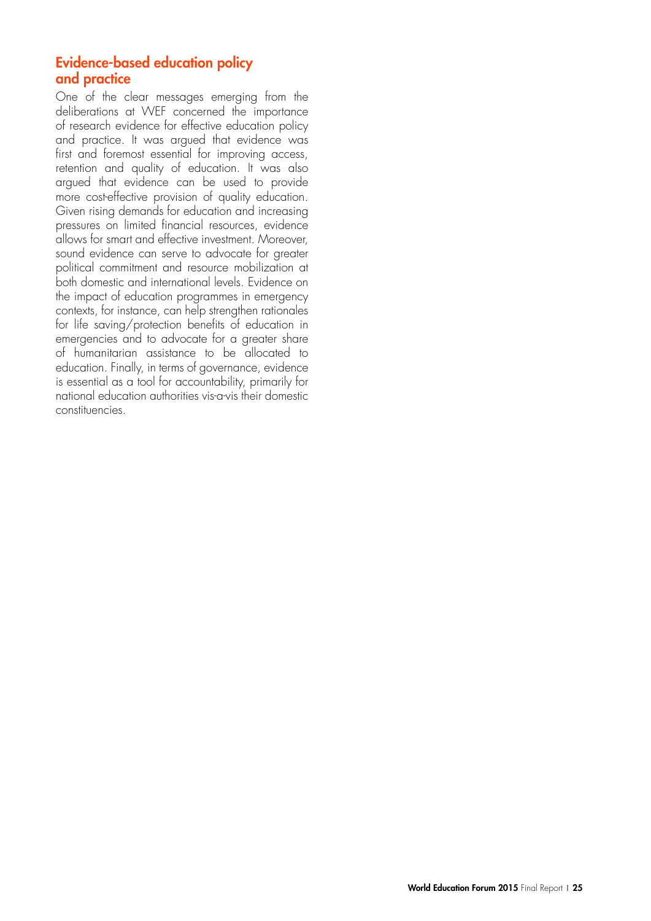# <span id="page-21-0"></span>Evidence-based education policy and practice

One of the clear messages emerging from the deliberations at WEF concerned the importance of research evidence for effective education policy and practice. It was argued that evidence was first and foremost essential for improving access, retention and quality of education. It was also argued that evidence can be used to provide more cost-effective provision of quality education. Given rising demands for education and increasing pressures on limited financial resources, evidence allows for smart and effective investment. Moreover, sound evidence can serve to advocate for greater political commitment and resource mobilization at both domestic and international levels. Evidence on the impact of education programmes in emergency contexts, for instance, can help strengthen rationales for life saving/protection benefits of education in emergencies and to advocate for a greater share of humanitarian assistance to be allocated to education. Finally, in terms of governance, evidence is essential as a tool for accountability, primarily for national education authorities vis-a-vis their domestic constituencies.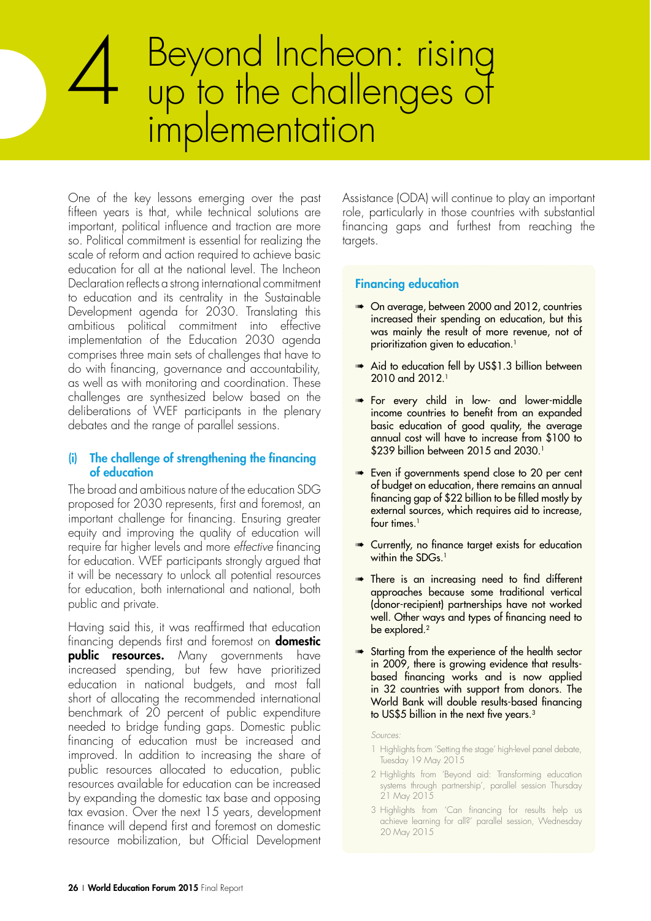# <span id="page-22-0"></span>4 Beyond Incheon: rising<br>up to the challenges of up to the challenges of implementation

One of the key lessons emerging over the past fifteen years is that, while technical solutions are important, political influence and traction are more so. Political commitment is essential for realizing the scale of reform and action required to achieve basic education for all at the national level. The Incheon Declaration reflects a strong international commitment to education and its centrality in the Sustainable Development agenda for 2030. Translating this ambitious political commitment into effective implementation of the Education 2030 agenda comprises three main sets of challenges that have to do with financing, governance and accountability, as well as with monitoring and coordination. These challenges are synthesized below based on the deliberations of WEF participants in the plenary debates and the range of parallel sessions.

## (i) The challenge of strengthening the financing of education

The broad and ambitious nature of the education SDG proposed for 2030 represents, first and foremost, an important challenge for financing. Ensuring greater equity and improving the quality of education will require far higher levels and more *effective* financing for education. WEF participants strongly argued that it will be necessary to unlock all potential resources for education, both international and national, both public and private.

Having said this, it was reaffirmed that education financing depends first and foremost on **domestic** public resources. Many governments have increased spending, but few have prioritized education in national budgets, and most fall short of allocating the recommended international benchmark of 20 percent of public expenditure needed to bridge funding gaps. Domestic public financing of education must be increased and improved. In addition to increasing the share of public resources allocated to education, public resources available for education can be increased by expanding the domestic tax base and opposing tax evasion. Over the next 15 years, development finance will depend first and foremost on domestic resource mobilization, but Official Development

Assistance (ODA) will continue to play an important role, particularly in those countries with substantial financing gaps and furthest from reaching the targets.

## Financing education

- ➠ On average, between 2000 and 2012, countries increased their spending on education, but this was mainly the result of more revenue, not of prioritization given to education. 1
- ➠ Aid to education fell by US\$1.3 billion between 2010 and 2012. 1
- ➠ For every child in low- and lower-middle income countries to benefit from an expanded basic education of good quality, the average annual cost will have to increase from \$100 to \$239 billion between 2015 and 2030. 1
- ➠ Even if governments spend close to 20 per cent of budget on education, there remains an annual financing gap of \$22 billion to be filled mostly by external sources, which requires aid to increase, four times. 1
- ➠ Currently, no finance target exists for education within the SDGs. 1
- ➠ There is an increasing need to find different approaches because some traditional vertical (donor-recipient) partnerships have not worked well. Other ways and types of financing need to be explored. 2
- ➠ Starting from the experience of the health sector in 2009, there is growing evidence that resultsbased financing works and is now applied in 32 countries with support from donors. The World Bank will double results-based financing to US\$5 billion in the next five years. 3

*Sources:*

- 1 Highlights from 'Setting the stage' high-level panel debate, Tuesday 19 May 2015
- 2 Highlights from 'Beyond aid: Transforming education systems through partnership', parallel session Thursday 21 May 2015
- 3 Highlights from 'Can financing for results help us achieve learning for all?' parallel session, Wednesday 20 May 2015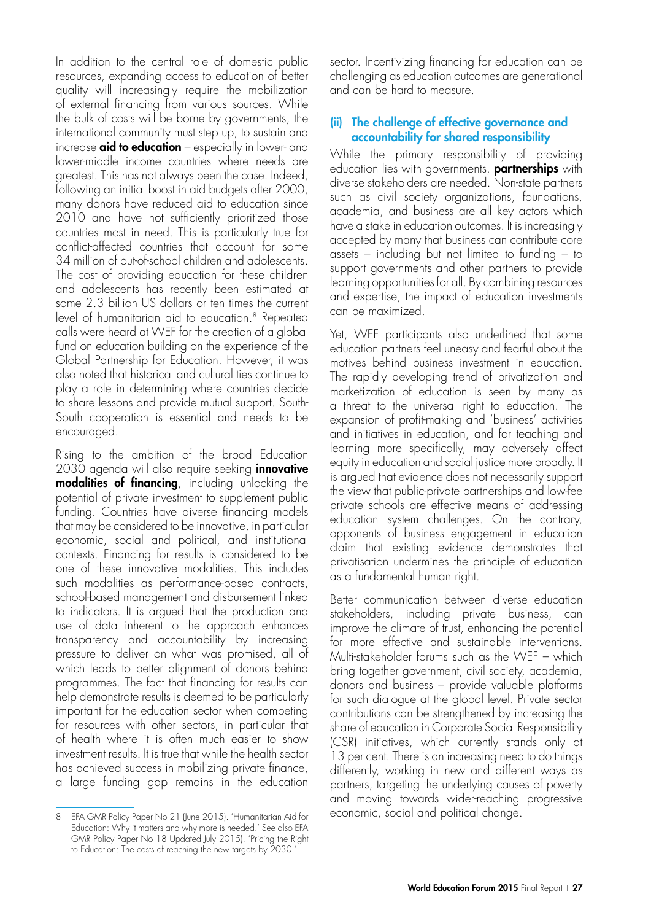<span id="page-23-0"></span>In addition to the central role of domestic public resources, expanding access to education of better quality will increasingly require the mobilization of external financing from various sources. While the bulk of costs will be borne by governments, the international community must step up, to sustain and increase **aid to education** – especially in lower- and lower-middle income countries where needs are greatest. This has not always been the case. Indeed, following an initial boost in aid budgets after 2000, many donors have reduced aid to education since 2010 and have not sufficiently prioritized those countries most in need. This is particularly true for conflict-affected countries that account for some 34 million of out-of-school children and adolescents. The cost of providing education for these children and adolescents has recently been estimated at some 2.3 billion US dollars or ten times the current level of humanitarian aid to education.8 Repeated calls were heard at WEF for the creation of a global fund on education building on the experience of the Global Partnership for Education. However, it was also noted that historical and cultural ties continue to play a role in determining where countries decide to share lessons and provide mutual support. South-South cooperation is essential and needs to be encouraged.

Rising to the ambition of the broad Education 2030 agenda will also require seeking **innovative modalities of financing**, including unlocking the potential of private investment to supplement public funding. Countries have diverse financing models that may be considered to be innovative, in particular economic, social and political, and institutional contexts. Financing for results is considered to be one of these innovative modalities. This includes such modalities as performance-based contracts, school-based management and disbursement linked to indicators. It is argued that the production and use of data inherent to the approach enhances transparency and accountability by increasing pressure to deliver on what was promised, all of which leads to better alignment of donors behind programmes. The fact that financing for results can help demonstrate results is deemed to be particularly important for the education sector when competing for resources with other sectors, in particular that of health where it is often much easier to show investment results. It is true that while the health sector has achieved success in mobilizing private finance, a large funding gap remains in the education

8 EFA GMR Policy Paper No 21 (June 2015). 'Humanitarian Aid for Education: Why it matters and why more is needed.' See also EFA GMR Policy Paper No 18 Updated July 2015). 'Pricing the Right to Education: The costs of reaching the new targets by 2030.'

sector. Incentivizing financing for education can be challenging as education outcomes are generational and can be hard to measure.

## (ii) The challenge of effective governance and accountability for shared responsibility

While the primary responsibility of providing education lies with governments, **partnerships** with diverse stakeholders are needed. Non-state partners such as civil society organizations, foundations, academia, and business are all key actors which have a stake in education outcomes. It is increasingly accepted by many that business can contribute core assets – including but not limited to funding  $-$  to support governments and other partners to provide learning opportunities for all. By combining resources and expertise, the impact of education investments can be maximized.

Yet, WEF participants also underlined that some education partners feel uneasy and fearful about the motives behind business investment in education. The rapidly developing trend of privatization and marketization of education is seen by many as a threat to the universal right to education. The expansion of profit-making and 'business' activities and initiatives in education, and for teaching and learning more specifically, may adversely affect equity in education and social justice more broadly. It is argued that evidence does not necessarily support the view that public-private partnerships and low-fee private schools are effective means of addressing education system challenges. On the contrary, opponents of business engagement in education claim that existing evidence demonstrates that privatisation undermines the principle of education as a fundamental human right.

Better communication between diverse education stakeholders, including private business, can improve the climate of trust, enhancing the potential for more effective and sustainable interventions. Multi-stakeholder forums such as the WEF – which bring together government, civil society, academia, donors and business – provide valuable platforms for such dialogue at the global level. Private sector contributions can be strengthened by increasing the share of education in Corporate Social Responsibility (CSR) initiatives, which currently stands only at 13 per cent. There is an increasing need to do things differently, working in new and different ways as partners, targeting the underlying causes of poverty and moving towards wider-reaching progressive economic, social and political change.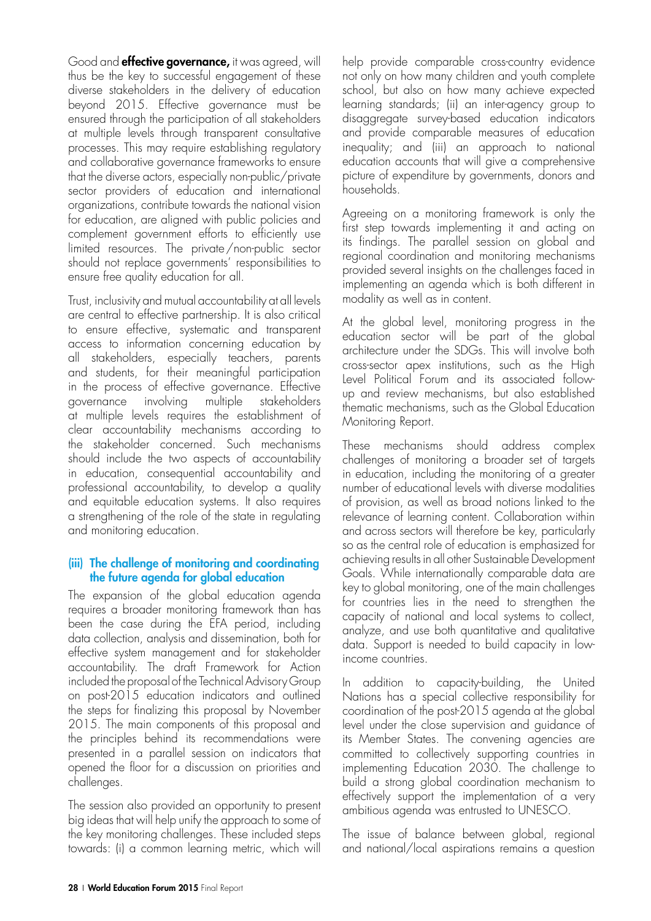<span id="page-24-0"></span>Good and **effective governance,** it was agreed, will thus be the key to successful engagement of these diverse stakeholders in the delivery of education beyond 2015. Effective governance must be ensured through the participation of all stakeholders at multiple levels through transparent consultative processes. This may require establishing regulatory and collaborative governance frameworks to ensure that the diverse actors, especially non-public/private sector providers of education and international organizations, contribute towards the national vision for education, are aligned with public policies and complement government efforts to efficiently use limited resources. The private/non-public sector should not replace governments' responsibilities to ensure free quality education for all.

Trust, inclusivity and mutual accountability at all levels are central to effective partnership. It is also critical to ensure effective, systematic and transparent access to information concerning education by all stakeholders, especially teachers, parents and students, for their meaningful participation in the process of effective governance. Effective governance involving multiple stakeholders at multiple levels requires the establishment of clear accountability mechanisms according to the stakeholder concerned. Such mechanisms should include the two aspects of accountability in education, consequential accountability and professional accountability, to develop a quality and equitable education systems. It also requires a strengthening of the role of the state in regulating and monitoring education.

## (iii) The challenge of monitoring and coordinating the future agenda for global education

The expansion of the global education agenda requires a broader monitoring framework than has been the case during the EFA period, including data collection, analysis and dissemination, both for effective system management and for stakeholder accountability. The draft Framework for Action included the proposal of the Technical Advisory Group on post-2015 education indicators and outlined the steps for finalizing this proposal by November 2015. The main components of this proposal and the principles behind its recommendations were presented in a parallel session on indicators that opened the floor for a discussion on priorities and challenges.

The session also provided an opportunity to present big ideas that will help unify the approach to some of the key monitoring challenges. These included steps towards: (i) a common learning metric, which will help provide comparable cross-country evidence not only on how many children and youth complete school, but also on how many achieve expected learning standards; (ii) an inter-agency group to disaggregate survey-based education indicators and provide comparable measures of education inequality; and (iii) an approach to national education accounts that will give a comprehensive picture of expenditure by governments, donors and households.

Agreeing on a monitoring framework is only the first step towards implementing it and acting on its findings. The parallel session on global and regional coordination and monitoring mechanisms provided several insights on the challenges faced in implementing an agenda which is both different in modality as well as in content.

At the global level, monitoring progress in the education sector will be part of the global architecture under the SDGs. This will involve both cross-sector apex institutions, such as the High Level Political Forum and its associated followup and review mechanisms, but also established thematic mechanisms, such as the Global Education Monitoring Report.

These mechanisms should address complex challenges of monitoring a broader set of targets in education, including the monitoring of a greater number of educational levels with diverse modalities of provision, as well as broad notions linked to the relevance of learning content. Collaboration within and across sectors will therefore be key, particularly so as the central role of education is emphasized for achieving results in all other Sustainable Development Goals. While internationally comparable data are key to global monitoring, one of the main challenges for countries lies in the need to strengthen the capacity of national and local systems to collect, analyze, and use both quantitative and qualitative data. Support is needed to build capacity in lowincome countries.

In addition to capacity-building, the United Nations has a special collective responsibility for coordination of the post-2015 agenda at the global level under the close supervision and guidance of its Member States. The convening agencies are committed to collectively supporting countries in implementing Education 2030. The challenge to build a strong global coordination mechanism to effectively support the implementation of a very ambitious agenda was entrusted to UNESCO.

The issue of balance between global, regional and national/local aspirations remains a question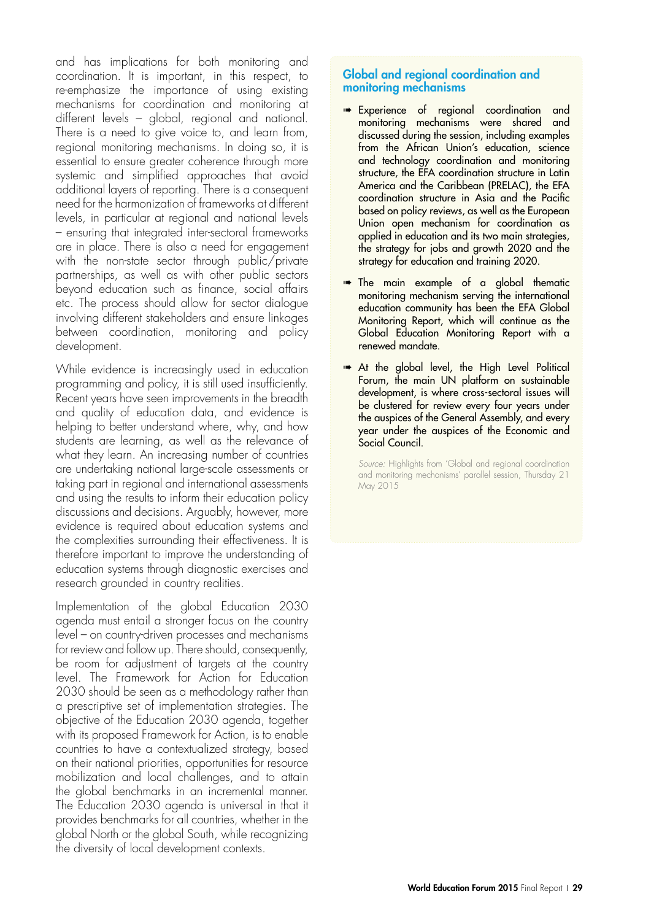and has implications for both monitoring and coordination. It is important, in this respect, to re-emphasize the importance of using existing mechanisms for coordination and monitoring at different levels – global, regional and national. There is a need to give voice to, and learn from, regional monitoring mechanisms. In doing so, it is essential to ensure greater coherence through more systemic and simplified approaches that avoid additional layers of reporting. There is a consequent need for the harmonization of frameworks at different levels, in particular at regional and national levels – ensuring that integrated inter-sectoral frameworks are in place. There is also a need for engagement with the non-state sector through public/private partnerships, as well as with other public sectors beyond education such as finance, social affairs etc. The process should allow for sector dialogue involving different stakeholders and ensure linkages between coordination, monitoring and policy development.

While evidence is increasingly used in education programming and policy, it is still used insufficiently. Recent years have seen improvements in the breadth and quality of education data, and evidence is helping to better understand where, why, and how students are learning, as well as the relevance of what they learn. An increasing number of countries are undertaking national large-scale assessments or taking part in regional and international assessments and using the results to inform their education policy discussions and decisions. Arguably, however, more evidence is required about education systems and the complexities surrounding their effectiveness. It is therefore important to improve the understanding of education systems through diagnostic exercises and research grounded in country realities.

Implementation of the global Education 2030 agenda must entail a stronger focus on the country level – on country-driven processes and mechanisms for review and follow up. There should, consequently, be room for adjustment of targets at the country level. The Framework for Action for Education 2030 should be seen as a methodology rather than a prescriptive set of implementation strategies. The objective of the Education 2030 agenda, together with its proposed Framework for Action, is to enable countries to have a contextualized strategy, based on their national priorities, opportunities for resource mobilization and local challenges, and to attain the global benchmarks in an incremental manner. The Education 2030 agenda is universal in that it provides benchmarks for all countries, whether in the global North or the global South, while recognizing the diversity of local development contexts.

## Global and regional coordination and monitoring mechanisms

- ➠ Experience of regional coordination and monitoring mechanisms were shared and discussed during the session, including examples from the African Union's education, science and technology coordination and monitoring structure, the EFA coordination structure in Latin America and the Caribbean (PRELAC), the EFA coordination structure in Asia and the Pacific based on policy reviews, as well as the European Union open mechanism for coordination as applied in education and its two main strategies, the strategy for jobs and growth 2020 and the strategy for education and training 2020.
- ➠ The main example of a global thematic monitoring mechanism serving the international education community has been the EFA Global Monitoring Report, which will continue as the Global Education Monitoring Report with a renewed mandate.
- ➠ At the global level, the High Level Political Forum, the main UN platform on sustainable development, is where cross-sectoral issues will be clustered for review every four years under the auspices of the General Assembly, and every year under the auspices of the Economic and Social Council.

*Source:* Highlights from 'Global and regional coordination and monitoring mechanisms' parallel session, Thursday 21 May 2015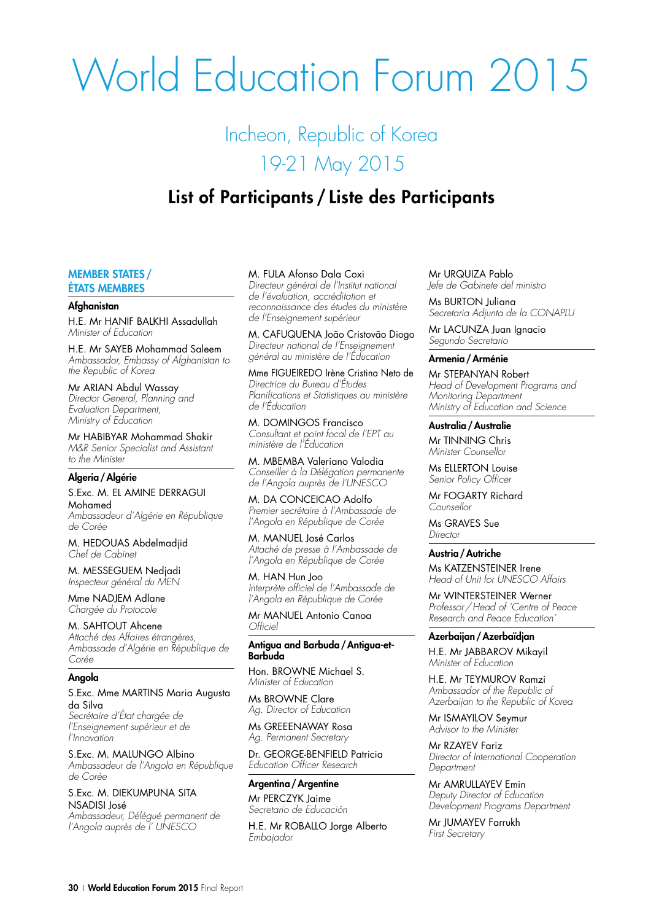# <span id="page-26-0"></span>World Education Forum 2015

# Incheon, Republic of Korea 19-21 May 2015

# List of Participants / Liste des Participants

### MEMBER STATES/ ÉTATS MEMBRES

#### **Afghanistan**

H.E. Mr HANIF BALKHI Assadullah *Minister of Education*

H.E. Mr SAYEB Mohammad Saleem *Ambassador, Embassy of Afghanistan to the Republic of Korea*

Mr ARIAN Abdul Wassay *Director General, Planning and Evaluation Department, Ministry of Education*

Mr HABIBYAR Mohammad Shakir *M&R Senior Specialist and Assistant to the Minister*

#### Algeria/Algérie

S.Exc. M. EL AMINE DERRAGUI Mohamed

*Ambassadeur d'Algérie en République de Corée*

M. HEDOUAS Abdelmadjid *Chef de Cabinet*

M. MESSEGUEM Nedjadi *Inspecteur général du MEN*

Mme NADJEM Adlane *Chargée du Protocole*

M. SAHTOUT Ahcene *Attaché des Affaires étrangères, Ambassade d'Algérie en République de Corée*

#### Angola

S.Exc. Mme MARTINS Maria Augusta da Silva

*Secrétaire d'État chargée de l'Enseignement supérieur et de l'Innovation*

S.Exc. M. MALUNGO Albino *Ambassadeur de l'Angola en République de Corée*

S.Exc. M. DIEKUMPUNA SITA NSADISI José *Ambassadeur, Délégué permanent de* 

*l'Angola auprès de l' UNESCO*

#### M. FULA Afonso Dala Coxi

*Directeur général de l'Institut national de l'évaluation, accréditation et reconnaissance des études du ministère de l'Enseignement supérieur* 

M. CAFUQUENA João Cristovão Diogo *Directeur national de l'Enseignement général au ministère de l'Éducation*

Mme FIGUEIREDO Irène Cristina Neto de *Directrice du Bureau d'Études Planifications et Statistiques au ministère de l'Éducation*

M. DOMINGOS Francisco *Consultant et point focal de l'EPT au ministère de l'Éducation*

M. MBEMBA Valeriano Valodia *Conseiller à la Délégation permanente de l'Angola auprès de l'UNESCO*

M. DA CONCEICAO Adolfo *Premier secrétaire à l'Ambassade de l'Angola en République de Corée*

M. MANUEL José Carlos *Attaché de presse à l'Ambassade de l'Angola en République de Corée*

M. HAN Hun Joo *Interprète officiel de l'Ambassade de l'Angola en République de Corée*

Mr MANUEL Antonio Canoa *Officiel*

#### Antigua and Barbuda/Antigua-et-Barbuda

Hon. BROWNE Michael S. *Minister of Education*

Ms BROWNE Clare *Ag. Director of Education*

Ms GREEENAWAY Rosa *Ag. Permanent Secretary*

Dr. GEORGE-BENFIELD Patricia *Education Officer Research*

Argentina/Argentine Mr PERCZYK Jaime *Secretario de Educación*

H.E. Mr ROBALLO Jorge Alberto *Embajador*

Mr URQUIZA Pablo *Jefe de Gabinete del ministro*

Ms BURTON Juliana *Secretaria Adjunta de la CONAPLU*

Mr LACUNZA Juan Ignacio *Segundo Secretario*

#### Armenia/Arménie

Mr STEPANYAN Robert *Head of Development Programs and Monitoring Department Ministry of Education and Science* 

Australia/Australie

Mr TINNING Chris *Minister Counsellor*

Ms ELLERTON Louise *Senior Policy Officer*

Mr FOGARTY Richard *Counsellor*

Ms GRAVES Sue *Director*

Austria/Autriche

Ms KATZENSTEINER Irene *Head of Unit for UNESCO Affairs*

Mr WINTERSTEINER Werner *Professor/Head of 'Centre of Peace Research and Peace Education'*

Azerbaijan/Azerbaïdjan H.E. Mr JABBAROV Mikayil *Minister of Education*

H.E. Mr TEYMUROV Ramzi *Ambassador of the Republic of Azerbaijan to the Republic of Korea*

Mr ISMAYILOV Seymur *Advisor to the Minister*

Mr RZAYEV Fariz *Director of International Cooperation Department*

Mr AMRULLAYEV Emin *Deputy Director of Education Development Programs Department*

Mr JUMAYEV Farrukh *First Secretary*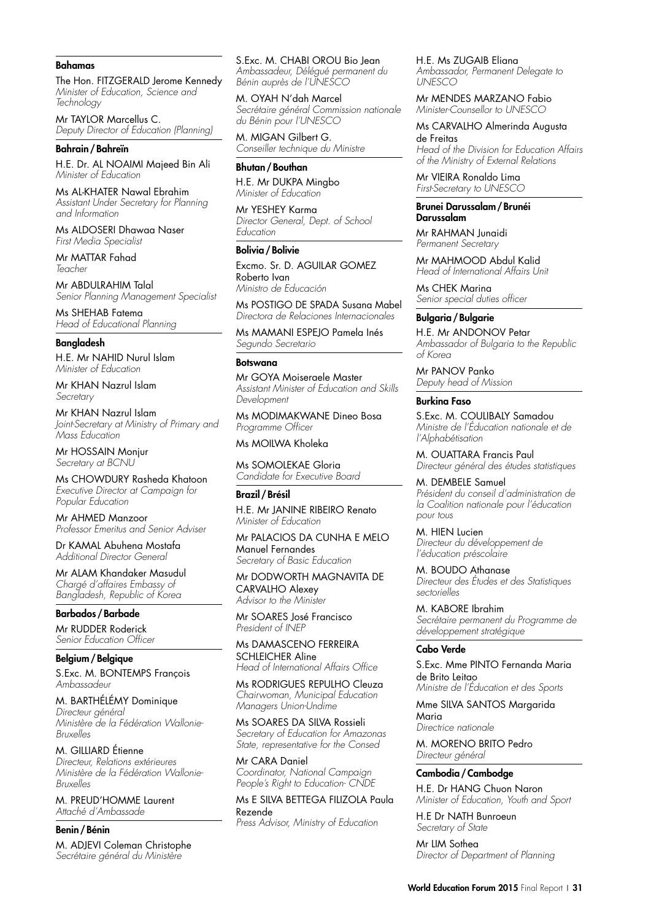#### Bahamas

The Hon. FITZGERALD Jerome Kennedy *Minister of Education, Science and Technology*

Mr TAYLOR Marcellus C. *Deputy Director of Education (Planning)*

#### Bahrain/Bahreïn

H.E. Dr. AL NOAIMI Majeed Bin Ali *Minister of Education*

Ms AL-KHATER Nawal Ebrahim *Assistant Under Secretary for Planning and Information*

Ms ALDOSERI Dhawaa Naser *First Media Specialist*

Mr MATTAR Fahad *Teacher*

Mr ABDULRAHIM Talal *Senior Planning Management Specialist*

Ms SHEHAB Fatema *Head of Educational Planning*

**Banaladesh** H.E. Mr NAHID Nurul Islam *Minister of Education*

Mr KHAN Nazrul Islam *Secretary*

Mr KHAN Nazrul Islam *Joint-Secretary at Ministry of Primary and Mass Education*

Mr HOSSAIN Monjur *Secretary at BCNU*

Ms CHOWDURY Rasheda Khatoon *Executive Director at Campaign for Popular Education*

Mr AHMED Manzoor *Professor Emeritus and Senior Adviser*

Dr KAMAL Abuhena Mostafa *Additional Director General*

Mr ALAM Khandaker Masudul *Chargé d'affaires Embassy of Bangladesh, Republic of Korea*

#### Barbados/Barbade

Mr RUDDER Roderick *Senior Education Officer*

Belgium/Belgique

S.Exc. M. BONTEMPS François *Ambassadeur*

M. BARTHÉLÉMY Dominique *Directeur général Ministère de la Fédération Wallonie-Bruxelles*

M. GILLIARD Étienne *Directeur, Relations extérieures Ministère de la Fédération Wallonie-Bruxelles*

M. PREUD'HOMME Laurent *Attaché d'Ambassade*

Benin/Bénin M. ADJEVI Coleman Christophe *Secrétaire général du Ministère*

S.Exc. M. CHABI OROU Bio Jean *Ambassadeur, Délégué permanent du Bénin auprès de l'UNESCO*

M. OYAH N'dah Marcel *Secrétaire général Commission nationale du Bénin pour l'UNESCO*

M. MIGAN Gilbert G. *Conseiller technique du Ministre*

#### Bhutan/Bouthan

H.E. Mr DUKPA Mingbo *Minister of Education*

Mr YESHEY Karma *Director General, Dept. of School Education*

#### Bolivia/Bolivie

Excmo. Sr. D. AGUILAR GOMEZ Roberto Ivan *Ministro de Educación*

Ms POSTIGO DE SPADA Susana Mabel *Directora de Relaciones Internacionales*

Ms MAMANI ESPEJO Pamela Inés *Segundo Secretario*

#### Botswana

Mr GOYA Moiseraele Master *Assistant Minister of Education and Skills Development*

Ms MODIMAKWANE Dineo Bosa *Programme Officer*

Ms MOILWA Kholeka

Ms SOMOLEKAE Gloria *Candidate for Executive Board*

Brazil/Brésil H.E. Mr JANINE RIBEIRO Renato *Minister of Education*

Mr PALACIOS DA CUNHA E MELO Manuel Fernandes *Secretary of Basic Education*

Mr DODWORTH MAGNAVITA DE CARVALHO Alexey *Advisor to the Minister*

Mr SOARES José Francisco *President of INEP*

Ms DAMASCENO FERREIRA SCHLEICHER Aline *Head of International Affairs Office*

Ms RODRIGUES REPULHO Cleuza *Chairwoman, Municipal Education Managers Union-Undime*

Ms SOARES DA SILVA Rossieli *Secretary of Education for Amazonas State, representative for the Consed*

Mr CARA Daniel *Coordinator, National Campaign People's Right to Education- CNDE*

Ms E SILVA BETTEGA FILIZOLA Paula Rezende *Press Advisor, Ministry of Education*

H.E. Ms ZUGAIB Eliana

*Ambassador, Permanent Delegate to UNESCO*

Mr MENDES MARZANO Fabio *Minister-Counsellor to UNESCO*

Ms CARVALHO Almerinda Augusta de Freitas *Head of the Division for Education Affairs of the Ministry of External Relations*

Mr VIEIRA Ronaldo Lima *First-Secretary to UNESCO*

Brunei Darussalam/Brunéi Darussalam

Mr RAHMAN Junaidi *Permanent Secretary*

Mr MAHMOOD Abdul Kalid *Head of International Affairs Unit*

Ms CHEK Marina *Senior special duties officer*

#### Bulgaria/Bulgarie

H.E. Mr ANDONOV Petar *Ambassador of Bulgaria to the Republic of Korea*

Mr PANOV Panko *Deputy head of Mission*

#### Burkina Faso

S.Exc. M. COULIBALY Samadou *Ministre de l'Éducation nationale et de l'Alphabétisation*

M. OUATTARA Francis Paul *Directeur général des études statistiques*

M. DEMBELE Samuel *Président du conseil d'administration de la Coalition nationale pour l'éducation pour tous*

M. HIEN Lucien *Directeur du développement de l'éducation préscolaire*

M. BOUDO Athanase *Directeur des Études et des Statistiques sectorielles*

M. KABORE Ibrahim *Secrétaire permanent du Programme de développement stratégique*

#### Cabo Verde

S.Exc. Mme PINTO Fernanda Maria de Brito Leitao *Ministre de l'Éducation et des Sports*

Mme SILVA SANTOS Margarida

Maria *Directrice nationale*

M. MORENO BRITO Pedro *Directeur général*

Cambodia/Cambodge H.E. Dr HANG Chuon Naron *Minister of Education, Youth and Sport*

H.E Dr NATH Bunroeun *Secretary of State*

Mr LIM Sothea *Director of Department of Planning*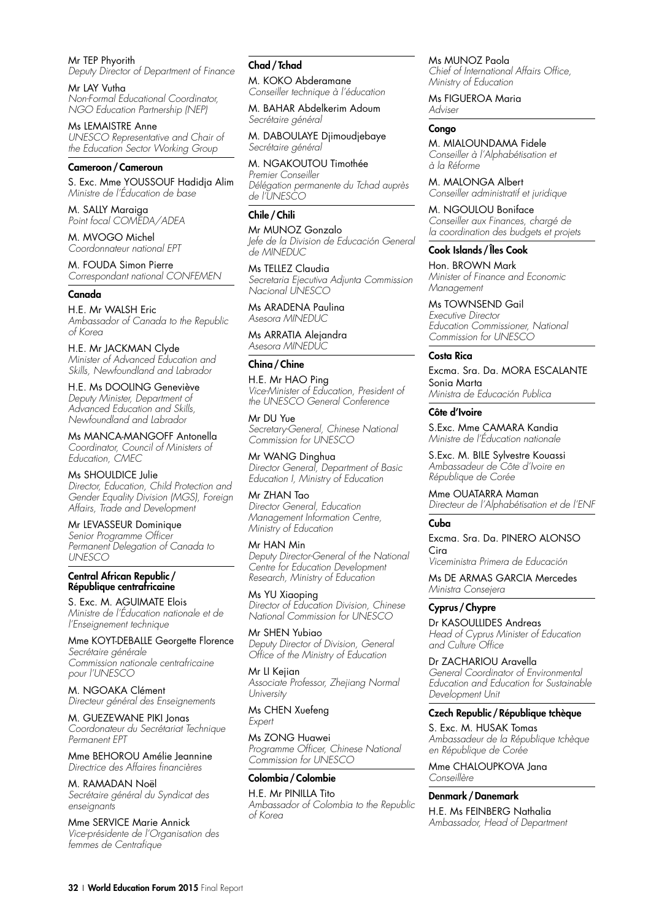Mr TEP Phyorith

*Deputy Director of Department of Finance*

Mr LAY Vutha *Non-Formal Educational Coordinator, NGO Education Partnership (NEP)*

Ms LEMAISTRE Anne *UNESCO Representative and Chair of the Education Sector Working Group*

#### Cameroon/Cameroun

S. Exc. Mme YOUSSOUF Hadidja Alim *Ministre de l'Éducation de base*

M. SALLY Maraiga *Point focal COMEDA/ADEA*

M. MVOGO Michel *Coordonnateur national EPT*

M. FOUDA Simon Pierre *Correspondant national CONFEMEN*

#### Canada

H.E. Mr WALSH Eric *Ambassador of Canada to the Republic of Korea*

H.E. Mr JACKMAN Clyde *Minister of Advanced Education and Skills, Newfoundland and Labrador*

H.E. Ms DOOLING Geneviève *Deputy Minister, Department of Advanced Education and Skills, Newfoundland and Labrador*

Ms MANCA-MANGOFF Antonella *Coordinator, Council of Ministers of Education, CMEC*

Ms SHOULDICE Julie *Director, Education, Child Protection and Gender Equality Division (MGS), Foreign Affairs, Trade and Development* 

Mr LEVASSEUR Dominique *Senior Programme Officer Permanent Delegation of Canada to UNESCO*

Central African Republic/ République centrafricaine

S. Exc. M. AGUIMATE Elois *Ministre de l'Éducation nationale et de l'Enseignement technique*

Mme KOYT-DEBALLE Georgette Florence *Secrétaire générale Commission nationale centrafricaine pour l'UNESCO*

M. NGOAKA Clément *Directeur général des Enseignements*

M. GUEZEWANE PIKI Jonas *Coordonateur du Secrétariat Technique Permanent EPT*

Mme BEHOROU Amélie Jeannine *Directrice des Affaires financières*

M. RAMADAN Noël *Secrétaire général du Syndicat des enseignants*

Mme SERVICE Marie Annick *Vice-présidente de l'Organisation des femmes de Centrafique*

### Chad/Tchad

M. KOKO Abderamane *Conseiller technique à l'éducation*

M. BAHAR Abdelkerim Adoum *Secrétaire général*

M. DABOULAYE Djimoudjebaye *Secrétaire général*

M. NGAKOUTOU Timothée *Premier Conseiller Délégation permanente du Tchad auprès de l'UNESCO*

#### Chile/Chili

Mr MUNOZ Gonzalo *Jefe de la Division de Educación General de MINEDUC*

Ms TELLEZ Claudia *Secretaria Ejecutiva Adjunta Commission Nacional UNESCO*

Ms ARADENA Paulina *Asesora MINEDUC*

Ms ARRATIA Alejandra *Asesora MINEDUC*

#### China/Chine

H.E. Mr HAO Ping *Vice-Minister of Education, President of the UNESCO General Conference*

Mr DU Yue *Secretary-General, Chinese National Commission for UNESCO*

Mr WANG Dinghua *Director General, Department of Basic Education I, Ministry of Education*

Mr ZHAN Tao *Director General, Education Management Information Centre, Ministry of Education*

Mr HAN Min *Deputy Director-General of the National Centre for Education Development Research, Ministry of Education*

Ms YU Xiaoping *Director of Education Division, Chinese National Commission for UNESCO*

Mr SHEN Yubiao *Deputy Director of Division, General Office of the Ministry of Education*

Mr LI Kejian *Associate Professor, Zhejiang Normal University*

Ms CHEN Xuefeng *Expert*

Ms ZONG Huawei *Programme Officer, Chinese National Commission for UNESCO*

#### Colombia/Colombie

H.E. Mr PINILLA Tito *Ambassador of Colombia to the Republic of Korea*

Ms MUNOZ Paola

*Chief of International Affairs Office, Ministry of Education*

Ms FIGUEROA Maria *Adviser*

#### **Congo**

M. MIALOUNDAMA Fidele *Conseiller à l'Alphabétisation et à la Réforme*

M. MALONGA Albert *Conseiller administratif et juridique*

M. NGOULOU Boniface *Conseiller aux Finances, chargé de la coordination des budgets et projets*

Cook Islands/Îles Cook

Hon. BROWN Mark *Minister of Finance and Economic Management*

Ms TOWNSEND Gail *Executive Director Education Commissioner, National Commission for UNESCO* 

#### Costa Rica

Excma. Sra. Da. MORA ESCALANTE Sonia Marta *Ministra de Educación Publica*

Côte d'Ivoire

S.Exc. Mme CAMARA Kandia *Ministre de l'Éducation nationale*

S.Exc. M. BILE Sylvestre Kouassi *Ambassadeur de Côte d'Ivoire en République de Corée*

Mme OUATARRA Maman *Directeur de l'Alphabétisation et de l'ENF*

#### Cuba

Excma. Sra. Da. PINERO ALONSO Cira

*Viceministra Primera de Educación*

Ms DE ARMAS GARCIA Mercedes *Ministra Consejera*

Cyprus/Chypre Dr KASOULLIDES Andreas *Head of Cyprus Minister of Education and Culture Office*

Dr ZACHARIOU Aravella *General Coordinator of Environmental Education and Education for Sustainable Development Unit*

#### Czech Republic/République tchèque

S. Exc. M. HUSAK Tomas *Ambassadeur de la République tchèque en République de Corée*

Mme CHALOUPKOVA Jana *Conseillère*

#### Denmark/Danemark

H.E. Ms FEINBERG Nathalia *Ambassador, Head of Department*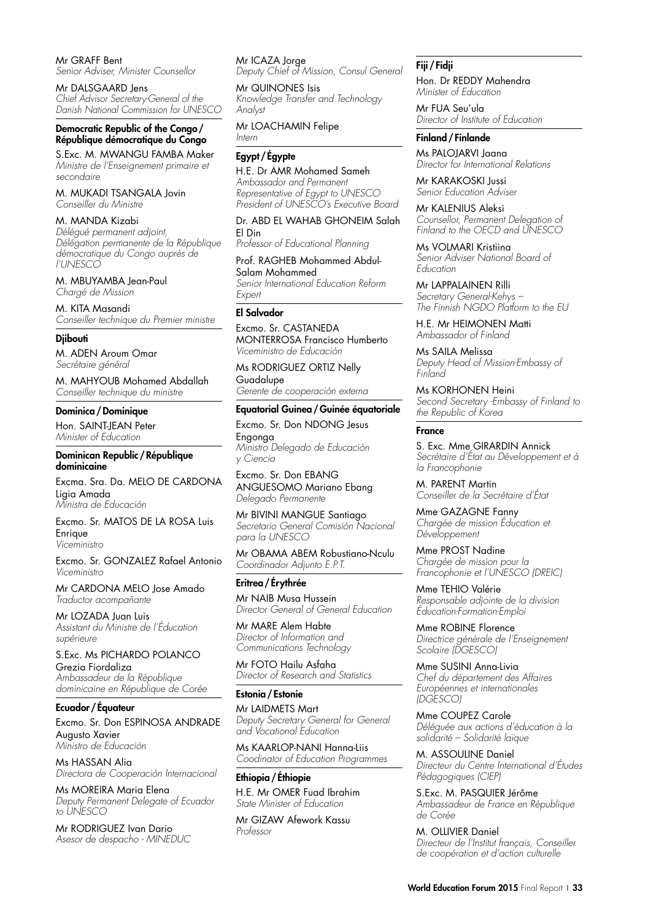Mr GRAFF Bent *Senior Adviser, Minister Counsellor*

Mr DALSGAARD Jens *Chief Advisor Secretary-General of the Danish National Commission for UNESCO*

#### Democratic Republic of the Congo/ République démocratique du Congo

S.Exc. M. MWANGU FAMBA Maker *Ministre de l'Enseignement primaire et secondaire*

M. MUKADI TSANGALA Jovin *Conseiller du Ministre*

#### M. MANDA Kizabi

*Délégué permanent adjoint, Délégation permanente de la République démocratique du Congo auprès de l'UNESCO*

M. MBUYAMBA Jean-Paul *Chargé de Mission*

M. KITA Masandi

*Conseiller technique du Premier ministre*

#### **Diibouti**

M. ADEN Aroum Omar *Secrétaire général*

M. MAHYOUB Mohamed Abdallah *Conseiller technique du ministre*

#### Dominica/Dominique

Hon. SAINT-JEAN Peter *Minister of Education*

#### Dominican Republic/République dominicaine

Excma. Sra. Da. MELO DE CARDONA Ligia Amada *Ministra de Educación*

Excmo. Sr. MATOS DE LA ROSA Luis Enrique *Viceministro*

Excmo. Sr. GONZALEZ Rafael Antonio *Viceministro*

Mr CARDONA MELO Jose Amado *Traductor acompañante*

Mr LOZADA Juan Luis *Assistant du Ministre de l'Éducation supérieure*

S.Exc. Ms PICHARDO POLANCO Grezia Fiordaliza *Ambassadeur de la République dominicaine en République de Corée* 

Ecuador/Équateur Excmo. Sr. Don ESPINOSA ANDRADE Augusto Xavier *Ministro de Educación*

Ms HASSAN Alia *Directora de Cooperación Internacional*

Ms MOREIRA Maria Elena *Deputy Permanent Delegate of Ecuador to UNESCO*

Mr RODRIGUEZ Ivan Dario *Asesor de despacho - MINEDUC* Mr ICAZA Jorge *Deputy Chief of Mission, Consul General*

Mr QUINONES Isis *Knowledge Transfer and Technology Analyst*

Mr LOACHAMIN Felipe *Intern*

## Egypt/Égypte

H.E. Dr AMR Mohamed Sameh *Ambassador and Permanent Representative of Egypt to UNESCO President of UNESCO's Executive Board*

Dr. ABD EL WAHAB GHONEIM Salah

El Din *Professor of Educational Planning*

Prof. RAGHEB Mohammed Abdul-Salam Mohammed *Senior International Education Reform Expert*

#### El Salvador

Excmo. Sr. CASTANEDA MONTERROSA Francisco Humberto *Viceministro de Educación*

Ms RODRIGUEZ ORTIZ Nelly Guadalupe *Gerente de cooperación externa*

#### Equatorial Guinea/Guinée équatoriale

Excmo. Sr. Don NDONG Jesus Engonga *Ministro Delegado de Educación y Ciencia*

Excmo. Sr. Don EBANG ANGUESOMO Mariano Ebang *Delegado Permanente*

Mr BIVINI MANGUE Santiago *Secretario General Comisión Nacional para la UNESCO*

Mr OBAMA ABEM Robustiano-Nculu *Coordinador Adjunto E.P.T.*

## Eritrea/Érythrée

Mr NAIB Musa Hussein *Director General of General Education*

Mr MARE Alem Habte *Director of Information and Communications Technology*

Mr FOTO Hailu Asfaha *Director of Research and Statistics*

#### Estonia/Estonie

Mr LAIDMETS Mart *Deputy Secretary General for General and Vocational Education*

Ms KAARLOP-NANI Hanna-Liis *Coodinator of Education Programmes*

Ethiopia/Éthiopie H.E. Mr OMER Fuad Ibrahim *State Minister of Education*

Mr GIZAW Afework Kassu *Professor*

### Fiji/Fidji

Hon. Dr REDDY Mahendra *Minister of Education*

Mr FUA Seu'ula *Director of Institute of Education*

Finland/Finlande Ms PALOJARVI Jaana *Director for International Relations*

Mr KARAKOSKI Jussi *Senior Education Adviser*

Mr KALENIUS Aleksi *Counsellor, Permanent Delegation of Finland to the OECD and UNESCO*

Ms VOLMARI Kristiina *Senior Adviser National Board of Education*

Mr LAPPALAINEN Rilli *Secretary General-Kehys – The Finnish NGDO Platform to the EU*

H.E. Mr HEIMONEN Matti *Ambassador of Finland*

Ms SAILA Melissa *Deputy Head of Mission-Embassy of Finland*

Ms KORHONEN Heini *Second Secretary -Embassy of Finland to the Republic of Korea*

#### France

S. Exc. Mme GIRARDIN Annick *Secrétaire d'État au Développement et à la Francophonie*

M. PARENT Martin *Conseiller de la Secrétaire d'État*

Mme GAZAGNE Fanny *Chargée de mission Éducation et Développement*

Mme PROST Nadine *Chargée de mission pour la Francophonie et l'UNESCO (DREIC)*

Mme TEHIO Valérie *Responsable adjointe de la division Éducation-Formation-Emploi*

Mme ROBINE Florence *Directrice générale de l'Enseignement Scolaire (DGESCO)*

Mme SUSINI Anna-Livia *Chef du département des Affaires Européennes et internationales (DGESCO)*

Mme COUPEZ Carole *Déléguée aux actions d'éducation à la solidarité – Solidarité laïque*

M. ASSOULINE Daniel *Directeur du Centre International d'Études Pédagogiques (CIEP)*

S.Exc. M. PASQUIER Jérôme *Ambassadeur de France en République de Corée* 

M. OLLIVIER Daniel *Directeur de l'Institut français, Conseiller de coopération et d'action culturelle*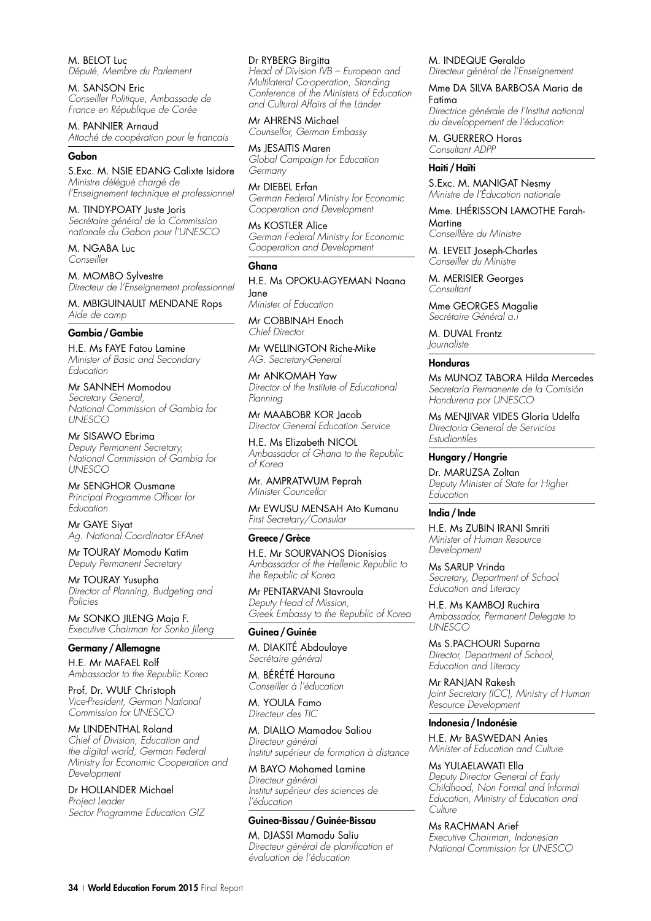M. BELOT Luc *Député, Membre du Parlement*

M. SANSON Eric *Conseiller Politique, Ambassade de France en République de Corée*

M. PANNIER Arnaud *Attaché de coopération pour le francais*

#### Gabon

S.Exc. M. NSIE EDANG Calixte Isidore *Ministre délégué chargé de l'Enseignement technique et professionnel*

M. TINDY-POATY Juste Joris *Secrétaire général de la Commission nationale du Gabon pour l'UNESCO*

M. NGABA Luc *Conseiller*

M. MOMBO Sylvestre *Directeur de l'Enseignement professionnel*

M. MBIGUINAULT MENDANE Rops *Aide de camp*

#### Gambia/Gambie

H.E. Ms FAYE Fatou Lamine *Minister of Basic and Secondary Education*

Mr SANNEH Momodou *Secretary General, National Commission of Gambia for UNESCO*

Mr SISAWO Ebrima *Deputy Permanent Secretary, National Commission of Gambia for UNESCO*

Mr SENGHOR Ousmane *Principal Programme Officer for Education*

Mr GAYE Siyat *Ag. National Coordinator EFAnet*

Mr TOURAY Momodu Katim *Deputy Permanent Secretary*

Mr TOURAY Yusupha *Director of Planning, Budgeting and Policies*

Mr SONKO JILENG Maja F. *Executive Chairman for Sonko Jileng*

Germany/Allemagne H.E. Mr MAFAEL Rolf *Ambassador to the Republic Korea*

Prof. Dr. WULF Christoph *Vice-President, German National Commission for UNESCO*

Mr LINDENTHAL Roland *Chief of Division, Education and the digital world, German Federal Ministry for Economic Cooperation and Development*

Dr HOLLANDER Michael *Project Leader Sector Programme Education GIZ*

#### Dr RYBERG Birgitta

*Head of Division IVB – European and Multilateral Co-operation, Standing Conference of the Ministers of Education and Cultural Affairs of the Länder* 

Mr AHRENS Michael *Counsellor, German Embassy*

Ms JESAITIS Maren *Global Campaign for Education Germany*

Mr DIEBEL Erfan *German Federal Ministry for Economic Cooperation and Development*

Ms KOSTLER Alice *German Federal Ministry for Economic Cooperation and Development*

#### Ghana

H.E. Ms OPOKU-AGYEMAN Naana Jane *Minister of Education*

Mr COBBINAH Enoch

*Chief Director*

Mr WELLINGTON Riche-Mike *AG. Secretary-General*

Mr ANKOMAH Yaw *Director of the Institute of Educational Planning*

Mr MAABOBR KOR Jacob *Director General Education Service*

H.E. Ms Elizabeth NICOL *Ambassador of Ghana to the Republic of Korea*

Mr. AMPRATWUM Peprah *Minister Councellor*

Mr EWUSU MENSAH Ato Kumanu *First Secretary/Consular*

#### Greece/Grèce

H.E. Mr SOURVANOS Dionisios *Ambassador of the Hellenic Republic to the Republic of Korea*

Mr PENTARVANI Stavroula *Deputy Head of Mission, Greek Embassy to the Republic of Korea* 

Guinea/Guinée M. DIAKITÉ Abdoulaye *Secrétaire général*

M. BÉRÉTÉ Harouna *Conseiller à l'éducation*

M. YOULA Famo *Directeur des TIC*

M. DIALLO Mamadou Saliou *Directeur général Institut supérieur de formation à distance*

M BAYO Mohamed Lamine *Directeur général Institut supérieur des sciences de* 

# *l'éducation*

Guinea-Bissau/Guinée-Bissau

M. DJASSI Mamadu Saliu *Directeur général de planification et évaluation de l'éducation*

M. INDEQUE Geraldo

*Directeur général de l'Enseignement*

Mme DA SILVA BARBOSA Maria de Fatima

*Directrice générale de l'Institut national du developpement de l'éducation*

M. GUERRERO Horas *Consultant ADPP*

#### Haiti/Haïti

S.Exc. M. MANIGAT Nesmy *Ministre de l'Éducation nationale*

Mme. LHÉRISSON LAMOTHE Farah-**Martine** 

*Conseillère du Ministre*

M. LEVELT Joseph-Charles *Conseiller du Ministre*

M. MERISIER Georges *Consultant*

Mme GEORGES Magalie *Secrétaire Général a.i*

M. DUVAL Frantz *Journaliste*

#### Honduras

Ms MUNOZ TABORA Hilda Mercedes *Secretaria Permanente de la Comisión Hondurena por UNESCO*

Ms MENJIVAR VIDES Gloria Udelfa *Directoria General de Servicios Estudiantiles*

Hungary/Hongrie

Dr. MARUZSA Zoltan *Deputy Minister of State for Higher Education*

#### India/Inde

H.E. Ms ZUBIN IRANI Smriti *Minister of Human Resource Development*

Ms SARUP Vrinda *Secretary, Department of School Education and Literacy*

H.E. Ms KAMBOJ Ruchira *Ambassador, Permanent Delegate to UNESCO*

Ms S.PACHOURI Suparna *Director, Department of School, Education and Literacy*

Mr RANJAN Rakesh *Joint Secretary (ICC), Ministry of Human Resource Development* 

#### Indonesia/Indonésie

H.E. Mr BASWEDAN Anies *Minister of Education and Culture*

Ms YULAELAWATI Ella

*Deputy Director General of Early Childhood, Non Formal and Informal Education, Ministry of Education and Culture*

Ms RACHMAN Arief *Executive Chairman, Indonesian National Commission for UNESCO*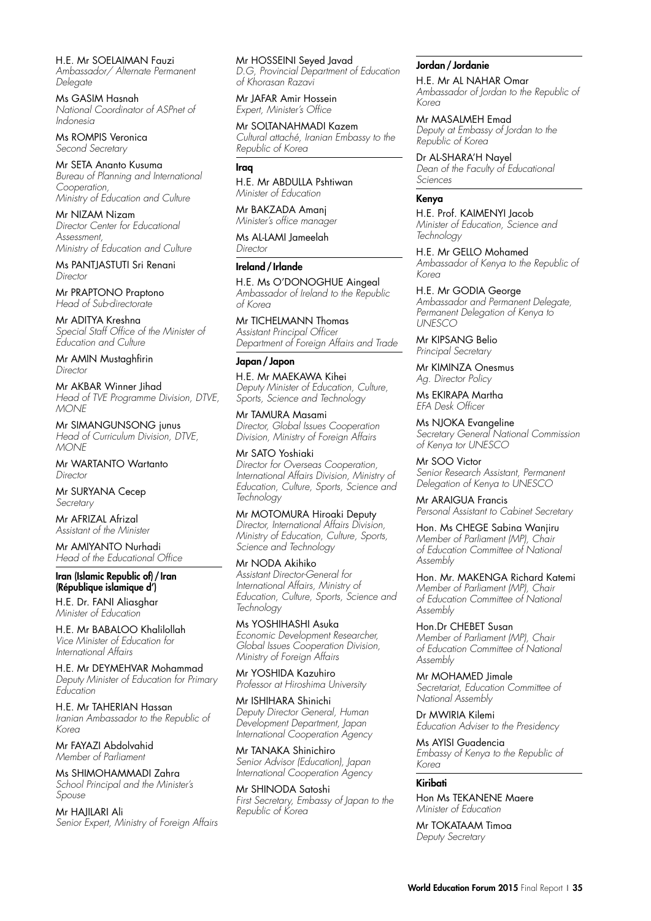H.E. Mr SOELAIMAN Fauzi

*Ambassador/ Alternate Permanent Delegate*

Ms GASIM Hasnah *National Coordinator of ASPnet of Indonesia*

Ms ROMPIS Veronica *Second Secretary*

Mr SETA Ananto Kusuma *Bureau of Planning and International Cooperation, Ministry of Education and Culture*

Mr NIZAM Nizam *Director Center for Educational Assessment, Ministry of Education and Culture*

Ms PANTJASTUTI Sri Renani *Director*

Mr PRAPTONO Praptono *Head of Sub-directorate*

Mr ADITYA Kreshna *Special Staff Office of the Minister of Education and Culture*

Mr AMIN Mustaghfirin *Director*

Mr AKBAR Winner Jihad *Head of TVE Programme Division, DTVE, MONE*

Mr SIMANGUNSONG junus *Head of Curriculum Division, DTVE, MONE*

Mr WARTANTO Wartanto *Director*

Mr SURYANA Cecep *Secretary*

Mr AFRIZAL Afrizal *Assistant of the Minister*

Mr AMIYANTO Nurhadi *Head of the Educational Office*

Iran (Islamic Republic of)/Iran (République islamique d')

H.E. Dr. FANI Aliasghar *Minister of Education*

H.E. Mr BABALOO Khalilollah *Vice Minister of Education for International Affairs*

H.E. Mr DEYMEHVAR Mohammad *Deputy Minister of Education for Primary Education*

H.E. Mr TAHERIAN Hassan *Iranian Ambassador to the Republic of Korea*

Mr FAYAZI Abdolvahid *Member of Parliament*

Ms SHIMOHAMMADI Zahra *School Principal and the Minister's Spouse*

Mr HAJILARI Ali *Senior Expert, Ministry of Foreign Affairs* Mr HOSSEINI Seyed Javad *D.G, Provincial Department of Education of Khorasan Razavi*

Mr JAFAR Amir Hossein *Expert, Minister's Office*

Mr SOLTANAHMADI Kazem *Cultural attaché, Iranian Embassy to the Republic of Korea*

#### Iraq

H.E. Mr ABDULLA Pshtiwan *Minister of Education*

#### Mr BAKZADA Amanj

*Minister's office manager* Ms AL-LAMI Jameelah

*Director*

#### Ireland/Irlande

H.E. Ms O'DONOGHUE Aingeal *Ambassador of Ireland to the Republic of Korea*

Mr TICHELMANN Thomas *Assistant Principal Officer Department of Foreign Affairs and Trade*

#### Japan/Japon

H.E. Mr MAEKAWA Kihei *Deputy Minister of Education, Culture, Sports, Science and Technology*

Mr TAMURA Masami *Director, Global Issues Cooperation Division, Ministry of Foreign Affairs*

Mr SATO Yoshiaki *Director for Overseas Cooperation, International Affairs Division, Ministry of Education, Culture, Sports, Science and Technology*

Mr MOTOMURA Hiroaki Deputy *Director, International Affairs Division, Ministry of Education, Culture, Sports, Science and Technology*

Mr NODA Akihiko

*Assistant Director-General for International Affairs, Ministry of Education, Culture, Sports, Science and Technology*

Ms YOSHIHASHI Asuka *Economic Development Researcher, Global Issues Cooperation Division, Ministry of Foreign Affairs*

Mr YOSHIDA Kazuhiro *Professor at Hiroshima University*

Mr ISHIHARA Shinichi *Deputy Director General, Human Development Department, Japan International Cooperation Agency* 

Mr TANAKA Shinichiro *Senior Advisor (Education), Japan International Cooperation Agency*

Mr SHINODA Satoshi *First Secretary, Embassy of Japan to the Republic of Korea*

#### Jordan/Jordanie

H.E. Mr AL NAHAR Omar *Ambassador of Jordan to the Republic of Korea*

Mr MASALMEH Emad *Deputy at Embassy of Jordan to the Republic of Korea*

Dr AL-SHARA'H Nayel *Dean of the Faculty of Educational Sciences*

#### Kenya

H.E. Prof. KAIMENYI Jacob *Minister of Education, Science and Technology*

H.E. Mr GELLO Mohamed *Ambassador of Kenya to the Republic of Korea*

H.E. Mr GODIA George *Ambassador and Permanent Delegate, Permanent Delegation of Kenya to UNESCO*

Mr KIPSANG Belio *Principal Secretary*

Mr KIMINZA Onesmus *Ag. Director Policy*

Ms EKIRAPA Martha *EFA Desk Officer*

Ms NJOKA Evangeline *Secretary General National Commission of Kenya tor UNESCO*

Mr SOO Victor *Senior Research Assistant, Permanent Delegation of Kenya to UNESCO*

Mr ARAIGUA Francis *Personal Assistant to Cabinet Secretary*

Hon. Ms CHEGE Sabina Wanjiru *Member of Parliament (MP), Chair of Education Committee of National Assembly*

#### Hon. Mr. MAKENGA Richard Katemi

*Member of Parliament (MP), Chair of Education Committee of National Assembly*

Hon.Dr CHEBET Susan *Member of Parliament (MP), Chair of Education Committee of National Assembly*

Mr MOHAMED Jimale *Secretariat, Education Committee of National Assembly*

Dr MWIRIA Kilemi *Education Adviser to the Presidency*

Ms AYISI Guadencia *Embassy of Kenya to the Republic of Korea*

#### Kiribati

Hon Ms TEKANENE Maere *Minister of Education*

Mr TOKATAAM Timoa *Deputy Secretary*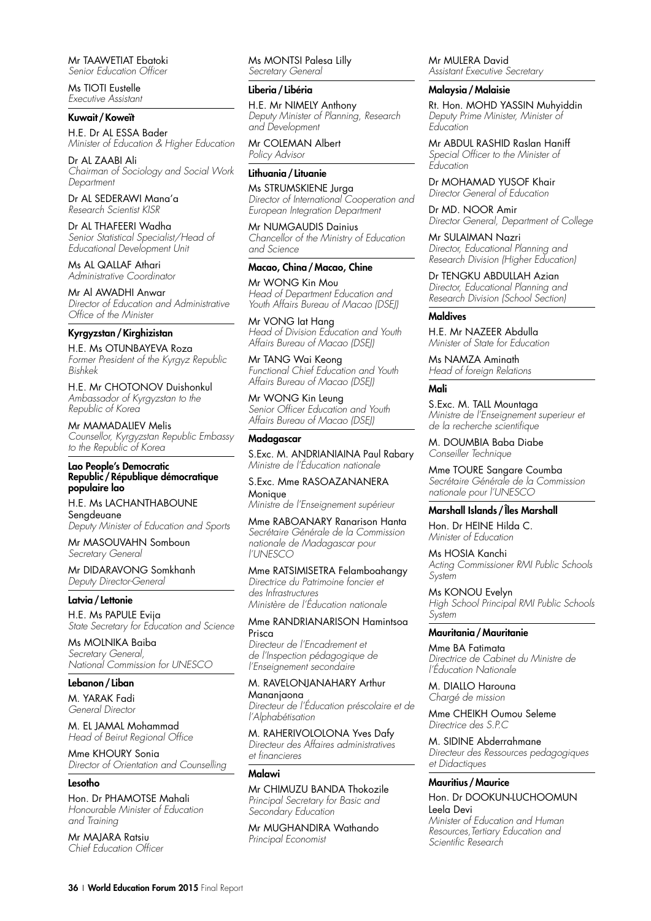## Mr TAAWETIAT Ebatoki

*Senior Education Officer*

Ms TIOTI Eustelle *Executive Assistant*

Kuwait/Koweït H.E. Dr AL ESSA Bader *Minister of Education & Higher Education*

Dr AL ZAABI Ali *Chairman of Sociology and Social Work Department*

Dr AL SEDERAWI Mana'a *Research Scientist KISR*

Dr AL THAFEERI Wadha *Senior Statistical Specialist/Head of Educational Development Unit*

Ms AL QALLAF Athari *Administrative Coordinator*

Mr Al AWADHI Anwar *Director of Education and Administrative Office of the Minister*

#### Kyrgyzstan/Kirghizistan

H.E. Ms OTUNBAYEVA Roza *Former President of the Kyrgyz Republic Bishkek*

H.E. Mr CHOTONOV Duishonkul *Ambassador of Kyrgyzstan to the Republic of Korea*

Mr MAMADALIEV Melis *Counsellor, Kyrgyzstan Republic Embassy to the Republic of Korea*

#### Lao People's Democratic Republic/République démocratique populaire lao

H.E. Ms LACHANTHABOUNE Sengdeuane *Deputy Minister of Education and Sports*

Mr MASOUVAHN Somboun *Secretary General*

Mr DIDARAVONG Somkhanh *Deputy Director-General*

Latvia/Lettonie H.E. Ms PAPULE Evija *State Secretary for Education and Science*

Ms MOLNIKA Baiba *Secretary General, National Commission for UNESCO*

Lebanon/Liban

M. YARAK Fadi *General Director*

M. EL JAMAL Mohammad *Head of Beirut Regional Office*

Mme KHOURY Sonia *Director of Orientation and Counselling*

#### Lesotho

Hon. Dr PHAMOTSE Mahali *Honourable Minister of Education and Training*

Mr MAJARA Ratsiu *Chief Education Officer* Ms MONTSI Palesa Lilly *Secretary General*

#### Liberia/Libéria

H.E. Mr NIMELY Anthony *Deputy Minister of Planning, Research and Development*

Mr COLEMAN Albert *Policy Advisor*

### Lithuania/Lituanie

Ms STRUMSKIENE Jurga *Director of International Cooperation and European Integration Department*

Mr NUMGAUDIS Dainius *Chancellor of the Ministry of Education and Science*

## Macao, China/Macao, Chine

Mr WONG Kin Mou *Head of Department Education and Youth Affairs Bureau of Macao (DSEJ)*

Mr VONG Iat Hang *Head of Division Education and Youth Affairs Bureau of Macao (DSEJ)*

Mr TANG Wai Keong *Functional Chief Education and Youth Affairs Bureau of Macao (DSEJ)*

Mr WONG Kin Leung *Senior Officer Education and Youth Affairs Bureau of Macao (DSEJ)*

#### Madagascar

S.Exc. M. ANDRIANIAINA Paul Rabary *Ministre de l'Éducation nationale*

S.Exc. Mme RASOAZANANERA Monique

*Ministre de l'Enseignement supérieur*

Mme RABOANARY Ranarison Hanta *Secrétaire Générale de la Commission nationale de Madagascar pour l'UNESCO*

Mme RATSIMISETRA Felamboahangy *Directrice du Patrimoine foncier et des Infrastructures Ministère de l'Éducation nationale*

Mme RANDRIANARISON Hamintsoa Prisca *Directeur de l'Encadrement et de l'Inspection pédagogique de l'Enseignement secondaire*

M. RAVELONJANAHARY Arthur

Mananjaona *Directeur de l'Éducation préscolaire et de l'Alphabétisation*

M. RAHERIVOLOLONA Yves Dafy *Directeur des Affaires administratives et financieres*

#### Malawi

Mr CHIMUZU BANDA Thokozile *Principal Secretary for Basic and Secondary Education*

Mr MUGHANDIRA Wathando *Principal Economist*

Mr MULERA David *Assistant Executive Secretary*

#### Malaysia/Malaisie

Rt. Hon. MOHD YASSIN Muhyiddin *Deputy Prime Minister, Minister of Education*

Mr ABDUL RASHID Raslan Haniff *Special Officer to the Minister of Education*

Dr MOHAMAD YUSOF Khair *Director General of Education*

Dr MD. NOOR Amir *Director General, Department of College*

Mr SULAIMAN Nazri *Director, Educational Planning and Research Division (Higher Education)*

Dr TENGKU ABDULLAH Azian *Director, Educational Planning and Research Division (School Section)*

#### **Maldives**

H.E. Mr NAZEER Abdulla *Minister of State for Education*

Ms NAMZA Aminath *Head of foreign Relations*

#### Mali

S.Exc. M. TALL Mountaga *Ministre de l'Enseignement superieur et de la recherche scientifique*

M. DOUMBIA Baba Diabe *Conseiller Technique*

Mme TOURE Sangare Coumba *Secrétaire Générale de la Commission nationale pour l'UNESCO*

#### Marshall Islands/Îles Marshall

Hon. Dr HEINE Hilda C. *Minister of Education*

Ms HOSIA Kanchi *Acting Commissioner RMI Public Schools System*

Ms KONOU Evelyn *High School Principal RMI Public Schools System*

#### Mauritania/Mauritanie

Mme BA Fatimata *Directrice de Cabinet du Ministre de l'Éducation Nationale*

M. DIALLO Harouna *Chargé de mission*

Mme CHEIKH Oumou Seleme *Directrice des S.P.C*

M. SIDINE Abderrahmane *Directeur des Ressources pedagogiques et Didactiques*

#### Mauritius/Maurice

Hon. Dr DOOKUN-LUCHOOMUN Leela Devi *Minister of Education and Human* 

*Resources,Tertiary Education and Scientific Research*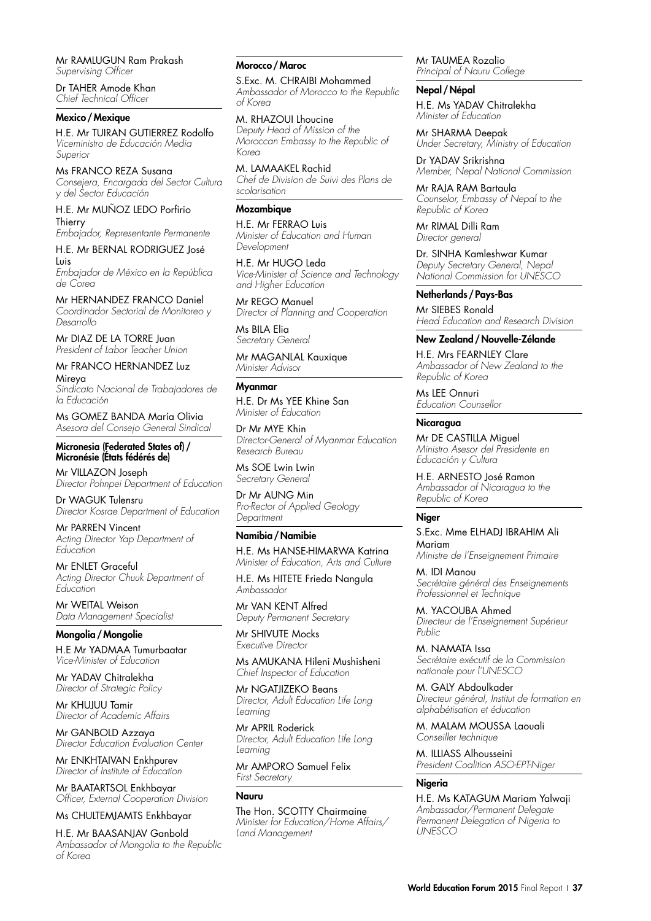#### Mr RAMLUGUN Ram Prakash *Supervising Officer*

Dr TAHER Amode Khan *Chief Technical Officer*

#### Mexico/Mexique

H.E. Mr TUIRAN GUTIERREZ Rodolfo *Viceministro de Educación Media Superior*

## Ms FRANCO REZA Susana

*Consejera, Encargada del Sector Cultura y del Sector Educación*

H.E. Mr MUÑOZ LEDO Porfirio **Thierry** *Embajador, Representante Permanente*

H.E. Mr BERNAL RODRIGUEZ José Luis

*Embajador de México en la República de Corea*

Mr HERNANDEZ FRANCO Daniel *Coordinador Sectorial de Monitoreo y Desarrollo*

Mr DIAZ DE LA TORRE Juan *President of Labor Teacher Union*

Mr FRANCO HERNANDEZ Luz Mireya *Sindicato Nacional de Trabajadores de la Educación*

Ms GOMEZ BANDA María Olivia *Asesora del Consejo General Sindical*

#### Micronesia (Federated States of)/ Micronésie (États fédérés de)

Mr VILLAZON Joseph *Director Pohnpei Department of Education*

Dr WAGUK Tulensru *Director Kosrae Department of Education*

Mr PARREN Vincent *Acting Director Yap Department of Education*

Mr ENLET Graceful *Acting Director Chuuk Department of Education*

Mr WEITAL Weison *Data Management Specialist*

### Mongolia/Mongolie

H.E Mr YADMAA Tumurbaatar *Vice-Minister of Education*

Mr YADAV Chitralekha *Director of Strategic Policy*

Mr KHUJUU Tamir *Director of Academic Affairs*

Mr GANBOLD Azzaya *Director Education Evaluation Center*

Mr ENKHTAIVAN Enkhpurev *Director of Institute of Education*

Mr BAATARTSOL Enkhbayar *Officer, External Cooperation Division*

#### Ms CHULTEMJAMTS Enkhbayar

H.E. Mr BAASANJAV Ganbold *Ambassador of Mongolia to the Republic of Korea*

#### Morocco/Maroc

S.Exc. M. CHRAIBI Mohammed *Ambassador of Morocco to the Republic of Korea*

M. RHAZOUI Lhoucine *Deputy Head of Mission of the Moroccan Embassy to the Republic of Korea*

M. LAMAAKEL Rachid *Chef de Division de Suivi des Plans de scolarisation*

## Mozambique

H.E. Mr FERRAO Luis *Minister of Education and Human Development*

H.E. Mr HUGO Leda *Vice-Minister of Science and Technology and Higher Education*

Mr REGO Manuel *Director of Planning and Cooperation*

Ms BILA Elia *Secretary General*

Mr MAGANLAL Kauxique *Minister Advisor*

Myanmar H.E. Dr Ms YEE Khine San *Minister of Education*

Dr Mr MYE Khin *Director-General of Myanmar Education Research Bureau*

Ms SOE Lwin Lwin *Secretary General*

Dr Mr AUNG Min *Pro-Rector of Applied Geology Department*

Namibia/Namibie H.E. Ms HANSE-HIMARWA Katrina *Minister of Education, Arts and Culture*

H.E. Ms HITETE Frieda Nangula *Ambassador*

Mr VAN KENT Alfred *Deputy Permanent Secretary*

Mr SHIVUTE Mocks *Executive Director*

Ms AMUKANA Hileni Mushisheni *Chief Inspector of Education*

Mr NGATJIZEKO Beans *Director, Adult Education Life Long Learning*

Mr APRIL Roderick *Director, Adult Education Life Long Learning*

Mr AMPORO Samuel Felix *First Secretary*

#### Nauru

The Hon. SCOTTY Chairmaine *Minister for Education/Home Affairs/ Land Management*

Mr TAUMEA Rozalio *Principal of Nauru College*

Nepal/Népal H.E. Ms YADAV Chitralekha *Minister of Education*

Mr SHARMA Deepak *Under Secretary, Ministry of Education*

Dr YADAV Srikrishna *Member, Nepal National Commission*

Mr RAJA RAM Bartaula *Counselor, Embassy of Nepal to the Republic of Korea*

Mr RIMAL Dilli Ram *Director general*

Dr. SINHA Kamleshwar Kumar *Deputy Secretary General, Nepal National Commission for UNESCO*

Netherlands/Pays-Bas Mr SIEBES Ronald *Head Education and Research Division*

New Zealand/Nouvelle-Zélande

H.E. Mrs FEARNLEY Clare *Ambassador of New Zealand to the Republic of Korea*

Ms LEE Onnuri *Education Counsellor*

**Nicaragua** Mr DE CASTILLA Miguel *Ministro Asesor del Presidente en Educación y Cultura*

H.E. ARNESTO José Ramon *Ambassador of Nicaragua to the Republic of Korea*

#### Niger

S.Exc. Mme ELHADJ IBRAHIM Ali Mariam

*Ministre de l'Enseignement Primaire*

M. IDI Manou *Secrétaire général des Enseignements Professionnel et Technique*

M. YACOUBA Ahmed *Directeur de l'Enseignement Supérieur Public*

M. NAMATA Issa *Secrétaire exécutif de la Commission nationale pour l'UNESCO*

M. GALY Abdoulkader *Directeur général, Institut de formation en alphabétisation et éducation*

M. MALAM MOUSSA Laouali *Conseiller technique*

M. ILLIASS Alhousseini *President Coalition ASO-EPT-Niger*

#### Nigeria

H.E. Ms KATAGUM Mariam Yalwaji *Ambassador/Permanent Delegate Permanent Delegation of Nigeria to UNESCO*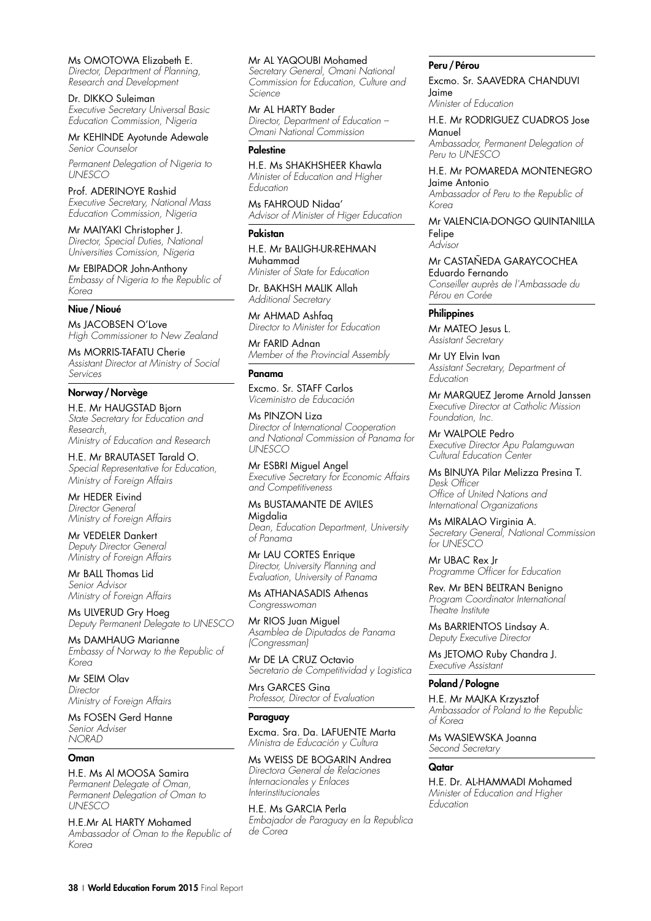Ms OMOTOWA Elizabeth E.

*Director, Department of Planning, Research and Development*

Dr. DIKKO Suleiman *Executive Secretary Universal Basic Education Commission, Nigeria*

Mr KEHINDE Ayotunde Adewale *Senior Counselor*

*Permanent Delegation of Nigeria to UNESCO*

Prof. ADERINOYE Rashid *Executive Secretary, National Mass Education Commission, Nigeria*

Mr MAIYAKI Christopher J. *Director, Special Duties, National Universities Comission, Nigeria*

Mr EBIPADOR John-Anthony *Embassy of Nigeria to the Republic of Korea*

#### Niue/Nioué

Ms JACOBSEN O'Love *High Commissioner to New Zealand*

Ms MORRIS-TAFATU Cherie *Assistant Director at Ministry of Social Services*

#### Norway/Norvège

H.E. Mr HAUGSTAD Bjorn *State Secretary for Education and Research, Ministry of Education and Research*

H.E. Mr BRAUTASET Tarald O. *Special Representative for Education, Ministry of Foreign Affairs*

Mr HEDER Eivind *Director General Ministry of Foreign Affairs*

Mr VEDELER Dankert *Deputy Director General Ministry of Foreign Affairs*

Mr BALL Thomas Lid *Senior Advisor Ministry of Foreign Affairs*

Ms ULVERUD Gry Hoeg *Deputy Permanent Delegate to UNESCO*

Ms DAMHAUG Marianne *Embassy of Norway to the Republic of Korea*

Mr SEIM Olav *Director Ministry of Foreign Affairs*

Ms FOSEN Gerd Hanne *Senior Adviser NORAD*

#### **Oman**

H.E. Ms Al MOOSA Samira *Permanent Delegate of Oman, Permanent Delegation of Oman to UNESCO*

H.E.Mr AL HARTY Mohamed *Ambassador of Oman to the Republic of Korea*

Mr AL YAQOUBI Mohamed

*Secretary General, Omani National Commission for Education, Culture and Science*

Mr AL HARTY Bader *Director, Department of Education – Omani National Commission*

Palestine H.E. Ms SHAKHSHEER Khawla *Minister of Education and Higher Education*

Ms FAHROUD Nidaa' *Advisor of Minister of Higer Education*

#### Pakistan

H.E. Mr BALIGH-UR-REHMAN Muhammad *Minister of State for Education*

Dr. BAKHSH MALIK Allah *Additional Secretary*

Mr AHMAD Ashfaq *Director to Minister for Education*

Mr FARID Adnan *Member of the Provincial Assembly*

#### Panama

Excmo. Sr. STAFF Carlos *Viceministro de Educación*

Ms PINZON Liza *Director of International Cooperation and National Commission of Panama for UNESCO*

Mr ESBRI Miguel Angel *Executive Secretary for Economic Affairs and Competitiveness*

Ms BUSTAMANTE DE AVILES Migdalia *Dean, Education Department, University of Panama*

Mr LAU CORTES Enrique *Director, University Planning and Evaluation, University of Panama*

Ms ATHANASADIS Athenas *Congresswoman*

Mr RIOS Juan Miguel *Asamblea de Diputados de Panama (Congressman)*

Mr DE LA CRUZ Octavio *Secretario de Competitividad y Logistica*

Mrs GARCES Gina *Professor, Director of Evaluation*

#### Paraguay

Excma. Sra. Da. LAFUENTE Marta *Ministra de Educación y Cultura*

Ms WEISS DE BOGARIN Andrea *Directora General de Relaciones Internacionales y Enlaces Interinstitucionales*

H.E. Ms GARCIA Perla *Embajador de Paraguay en la Republica de Corea*

#### Peru/Pérou

Excmo. Sr. SAAVEDRA CHANDUVI Jaime *Minister of Education*

H.E. Mr RODRIGUEZ CUADROS Jose Manuel *Ambassador, Permanent Delegation of* 

*Peru to UNESCO*

H.E. Mr POMAREDA MONTENEGRO Jaime Antonio *Ambassador of Peru to the Republic of Korea*

Mr VALENCIA-DONGO QUINTANILLA Felipe *Advisor*

Mr CASTAÑEDA GARAYCOCHEA Eduardo Fernando *Conseiller auprès de l'Ambassade du Pérou en Corée*

**Philippines** Mr MATEO Jesus L. *Assistant Secretary*

Mr UY Elvin Ivan *Assistant Secretary, Department of Education*

Mr MARQUEZ Jerome Arnold Janssen *Executive Director at Catholic Mission Foundation, Inc.*

Mr WALPOLE Pedro *Executive Director Apu Palamguwan Cultural Education Center*

Ms BINUYA Pilar Melizza Presina T. *Desk Officer Office of United Nations and International Organizations*

Ms MIRALAO Virginia A. *Secretary General, National Commission for UNESCO*

Mr UBAC Rex Jr *Programme Officer for Education*

Rev. Mr BEN BELTRAN Benigno *Program Coordinator International Theatre Institute*

Ms BARRIENTOS Lindsay A. *Deputy Executive Director*

Ms JETOMO Ruby Chandra J. *Executive Assistant*

Poland/Pologne

H.E. Mr MAJKA Krzysztof *Ambassador of Poland to the Republic of Korea*

Ms WASIEWSKA Joanna *Second Secretary*

## **Qatar**

H.E. Dr. AL-HAMMADI Mohamed *Minister of Education and Higher Education*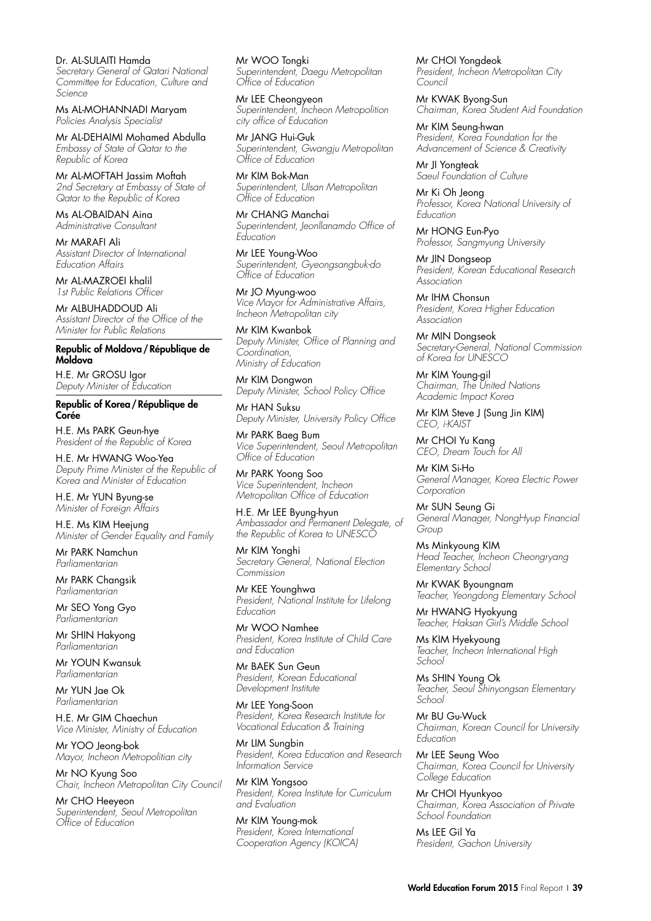Dr. AL-SULAITI Hamda *Secretary General of Qatari National Committee for Education, Culture and Science*

Ms AL-MOHANNADI Maryam *Policies Analysis Specialist*

Mr AL-DEHAIMI Mohamed Abdulla *Embassy of State of Qatar to the Republic of Korea*

Mr AL-MOFTAH Jassim Moftah *2nd Secretary at Embassy of State of Qatar to the Republic of Korea*

Ms AL-OBAIDAN Aina *Administrative Consultant*

Mr MARAFI Ali *Assistant Director of International Education Affairs*

Mr AL-MAZROEI khalil *1st Public Relations Officer*

Mr ALBUHADDOUD Ali *Assistant Director of the Office of the Minister for Public Relations*

#### Republic of Moldova/République de Moldova

H.E. Mr GROSU Igor *Deputy Minister of Education*

Republic of Korea/République de Corée

H.E. Ms PARK Geun-hye *President of the Republic of Korea*

H.E. Mr HWANG Woo-Yea *Deputy Prime Minister of the Republic of Korea and Minister of Education*

H.E. Mr YUN Byung-se *Minister of Foreign Affairs*

H.E. Ms KIM Heejung *Minister of Gender Equality and Family*

Mr PARK Namchun *Parliamentarian*

Mr PARK Changsik *Parliamentarian*

Mr SEO Yong Gyo *Parliamentarian*

Mr SHIN Hakyong *Parliamentarian*

Mr YOUN Kwansuk *Parliamentarian*

Mr YUN Jae Ok *Parliamentarian*

H.E. Mr GIM Chaechun *Vice Minister, Ministry of Education*

Mr YOO Jeong-bok *Mayor, Incheon Metropolitian city*

Mr NO Kyung Soo *Chair, Incheon Metropolitan City Council*

Mr CHO Heeyeon *Superintendent, Seoul Metropolitan Office of Education*

Mr WOO Tongki *Superintendent, Daegu Metropolitan Office of Education*

Mr LEE Cheongyeon *Superintendent, Incheon Metropolition city office of Education*

Mr JANG Hui-Guk *Superintendent, Gwangju Metropolitan Office of Education*

Mr KIM Bok-Man *Superintendent, Ulsan Metropolitan Office of Education*

Mr CHANG Manchai *Superintendent, Jeonllanamdo Office of Education*

Mr LEE Young-Woo *Superintendent, Gyeongsangbuk-do Office of Education*

Mr JO Myung-woo *Vice Mayor for Administrative Affairs, Incheon Metropolitan city*

Mr KIM Kwanbok *Deputy Minister, Office of Planning and Coordination, Ministry of Education*

Mr KIM Dongwon *Deputy Minister, School Policy Office* 

Mr HAN Suksu *Deputy Minister, University Policy Office*

Mr PARK Baeg Bum *Vice Superintendent, Seoul Metropolitan Office of Education* 

Mr PARK Yoong Soo *Vice Superintendent, Incheon Metropolitan Office of Education* 

H.E. Mr LEE Byung-hyun *Ambassador and Permanent Delegate, of the Republic of Korea to UNESCO*

Mr KIM Yonghi *Secretary General, National Election Commission*

Mr KEE Younghwa *President, National Institute for Lifelong Education*

Mr WOO Namhee *President, Korea Institute of Child Care and Education*

Mr BAEK Sun Geun *President, Korean Educational Development Institute*

Mr LEE Yong-Soon *President, Korea Research Institute for Vocational Education & Training*

Mr LIM Sungbin *President, Korea Education and Research Information Service*

Mr KIM Yongsoo *President, Korea Institute for Curriculum and Evaluation*

Mr KIM Young-mok *President, Korea International Cooperation Agency (KOICA)* Mr CHOI Yongdeok *President, Incheon Metropolitan City Council*

Mr KWAK Byong-Sun *Chairman, Korea Student Aid Foundation*

Mr KIM Seung-hwan *President, Korea Foundation for the Advancement of Science & Creativity*

Mr JI Yongteak *Saeul Foundation of Culture*

Mr Ki Oh Jeong *Professor, Korea National University of Education*

Mr HONG Eun-Pyo *Professor, Sangmyung University*

Mr JIN Dongseop *President, Korean Educational Research Association*

Mr IHM Chonsun *President, Korea Higher Education Association*

Mr MIN Dongseok *Secretary-General, National Commission of Korea for UNESCO*

Mr KIM Young-gil *Chairman, The United Nations Academic Impact Korea*

Mr KIM Steve J (Sung Jin KIM) *CEO, i-KAIST*

Mr CHOI Yu Kang *CEO, Dream Touch for All*

Mr KIM Si-Ho *General Manager, Korea Electric Power Corporation*

Mr SUN Seung Gi *General Manager, NongHyup Financial Group*

Ms Minkyoung KIM *Head Teacher, Incheon Cheongryang Elementary School*

Mr KWAK Byoungnam *Teacher, Yeongdong Elementary School*

Mr HWANG Hyokyung *Teacher, Haksan Girl's Middle School*

Ms KIM Hyekyoung *Teacher, Incheon International High School*

Ms SHIN Young Ok *Teacher, Seoul Shinyongsan Elementary School*

Mr BU Gu-Wuck *Chairman, Korean Council for University Education*

Mr LEE Seung Woo *Chairman, Korea Council for University College Education*

Mr CHOI Hyunkyoo *Chairman, Korea Association of Private School Foundation*

Ms LEE Gil Ya *President, Gachon University*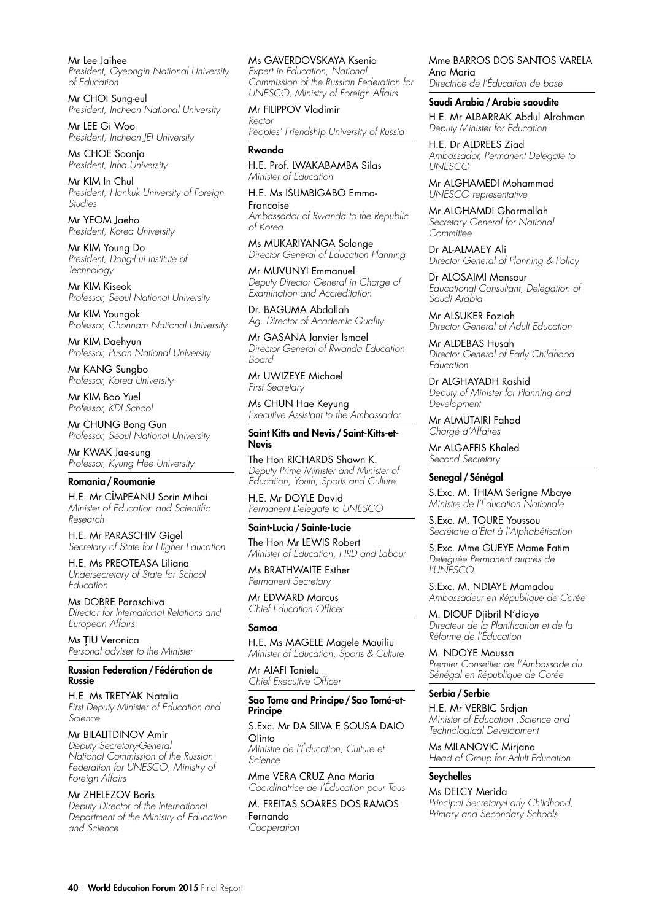Mr Lee Jaihee

*President, Gyeongin National University of Education*

Mr CHOI Sung-eul *President, Incheon National University*

Mr LEE Gi Woo *President, Incheon JEI University*

Ms CHOE Soonja *President, Inha University*

Mr KIM In Chul *President, Hankuk University of Foreign Studies*

Mr YEOM Jaeho *President, Korea University*

Mr KIM Young Do *President, Dong-Eui Institute of Technology*

Mr KIM Kiseok *Professor, Seoul National University*

Mr KIM Youngok *Professor, Chonnam National University*

Mr KIM Daehyun *Professor, Pusan National University*

Mr KANG Sungbo *Professor, Korea University*

Mr KIM Boo Yuel *Professor, KDI School*

Mr CHUNG Bong Gun *Professor, Seoul National University*

Mr KWAK Jae-sung *Professor, Kyung Hee University*

#### Romania/Roumanie

H.E. Mr CÎMPEANU Sorin Mihai *Minister of Education and Scientific Research*

H.E. Mr PARASCHIV Gigel *Secretary of State for Higher Education*

H.E. Ms PREOTEASA Liliana *Undersecretary of State for School Education*

Ms DOBRE Paraschiva *Director for International Relations and European Affairs*

Ms ȚIU Veronica *Personal adviser to the Minister*

#### Russian Federation/Fédération de Russie

H.E. Ms TRETYAK Natalia *First Deputy Minister of Education and Science*

Mr BILALITDINOV Amir *Deputy Secretary-General National Commission of the Russian Federation for UNESCO, Ministry of Foreign Affairs*

Mr ZHELEZOV Boris *Deputy Director of the International Department of the Ministry of Education and Science*

#### Ms GAVERDOVSKAYA Ksenia

*Expert in Education, National Commission of the Russian Federation for UNESCO, Ministry of Foreign Affairs*

Mr FILIPPOV Vladimir *Rector Peoples' Friendship University of Russia*

Rwanda H.E. Prof. LWAKABAMBA Silas *Minister of Education*

H.E. Ms ISUMBIGABO Emma-Francoise

*Ambassador of Rwanda to the Republic of Korea*

Ms MUKARIYANGA Solange *Director General of Education Planning*

Mr MUVUNYI Emmanuel *Deputy Director General in Charge of Examination and Accreditation*

Dr. BAGUMA Abdallah *Ag. Director of Academic Quality*

Mr GASANA Janvier Ismael *Director General of Rwanda Education Board*

Mr UWIZEYE Michael *First Secretary*

Ms CHUN Hae Keyung *Executive Assistant to the Ambassador*

#### Saint Kitts and Nevis/Saint-Kitts-et-Nevis

The Hon RICHARDS Shawn K. *Deputy Prime Minister and Minister of Education, Youth, Sports and Culture*

H.E. Mr DOYLE David *Permanent Delegate to UNESCO*

Saint-Lucia/Sainte-Lucie The Hon Mr LEWIS Robert *Minister of Education, HRD and Labour*

Ms BRATHWAITE Esther *Permanent Secretary*

Mr EDWARD Marcus *Chief Education Officer*

#### Samoa

H.E. Ms MAGELE Magele Mauiliu *Minister of Education, Sports & Culture*

Mr AIAFI Tanielu *Chief Executive Officer*

#### Sao Tome and Principe/Sao Tomé-et-Principe

S.Exc. Mr DA SILVA E SOUSA DAIO **Olinto** *Ministre de l'Éducation, Culture et Science*

Mme VERA CRUZ Ana Maria *Coordinatrice de l'Éducation pour Tous*

M. FREITAS SOARES DOS RAMOS Fernando *Cooperation*

#### Mme BARROS DOS SANTOS VARELA Ana Maria

*Directrice de l'Éducation de base*

#### Saudi Arabia/Arabie saoudite

H.E. Mr ALBARRAK Abdul Alrahman *Deputy Minister for Education*

H.E. Dr ALDREES Ziad *Ambassador, Permanent Delegate to UNESCO*

Mr ALGHAMEDI Mohammad *UNESCO representative*

Mr ALGHAMDI Gharmallah *Secretary General for National Committee*

Dr AL-ALMAEY Ali *Director General of Planning & Policy*

Dr ALOSAIMI Mansour *Educational Consultant, Delegation of Saudi Arabia*

Mr ALSUKER Foziah *Director General of Adult Education*

Mr ALDEBAS Husah *Director General of Early Childhood Education*

Dr ALGHAYADH Rashid *Deputy of Minister for Planning and Development*

Mr ALMUTAIRI Fahad *Chargé d'Affaires*

Mr ALGAFFIS Khaled *Second Secretary*

Senegal/Sénégal S.Exc. M. THIAM Serigne Mbaye *Ministre de l'Éducation Nationale*

S.Exc. M. TOURE Youssou *Secrétaire d'État à l'Alphabétisation*

S.Exc. Mme GUEYE Mame Fatim *Deleguée Permanent auprès de l'UNESCO*

S.Exc. M. NDIAYE Mamadou *Ambassadeur en République de Corée*

M. DIOUF Djibril N'diaye *Directeur de la Planification et de la Réforme de l'Éducation*

M. NDOYE Moussa *Premier Conseiller de l'Ambassade du Sénégal en République de Corée*

Serbia/Serbie H.E. Mr VERBIC Srdjan *Minister of Education ,Science and Technological Development*

Ms MILANOVIC Mirjana *Head of Group for Adult Education*

#### Seychelles

Ms DELCY Merida *Principal Secretary-Early Childhood, Primary and Secondary Schools*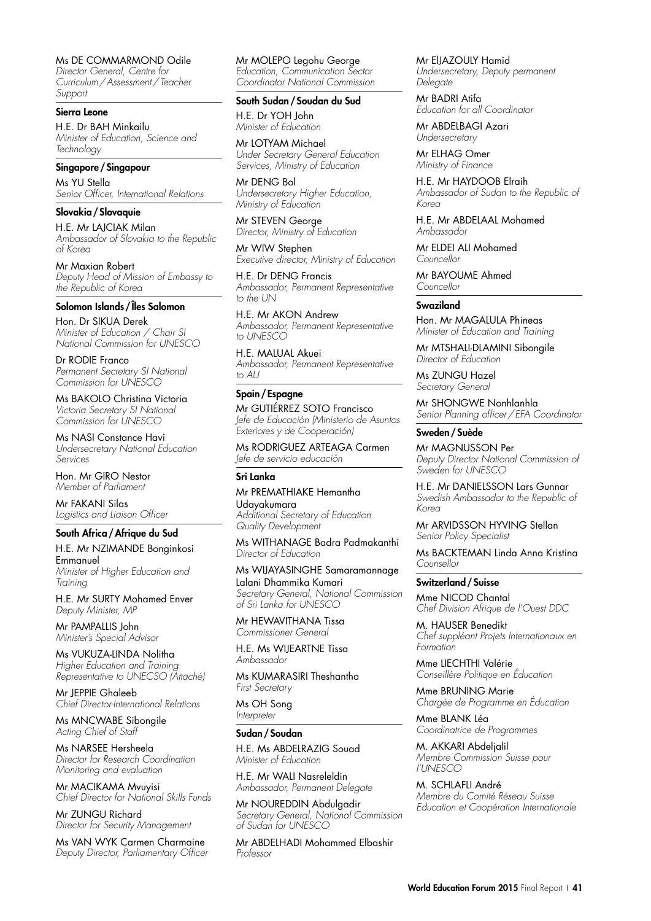#### Ms DE COMMARMOND Odile

*Director General, Centre for Curriculum/Assessment/Teacher Support*

#### Sierra Leone

H.E. Dr BAH Minkailu *Minister of Education, Science and Technology*

#### Singapore/Singapour

Ms YU Stella *Senior Officer, International Relations*

#### Slovakia / Slovaquie

H.E. Mr LAJCIAK Milan *Ambassador of Slovakia to the Republic of Korea*

Mr Maxian Robert *Deputy Head of Mission of Embassy to the Republic of Korea*

#### Solomon Islands/Îles Salomon

Hon. Dr SIKUA Derek *Minister of Education / Chair SI National Commission for UNESCO*

Dr RODIE Franco *Permanent Secretary SI National Commission for UNESCO*

Ms BAKOLO Christina Victoria *Victoria Secretary SI National Commission for UNESCO*

Ms NASI Constance Havi *Undersecretary National Education Services*

Hon. Mr GIRO Nestor *Member of Parliament*

Mr FAKANI Silas *Logistics and Liaison Officer*

# South Africa/Afrique du Sud

H.E. Mr NZIMANDE Bonginkosi Emmanuel

*Minister of Higher Education and Training*

H.E. Mr SURTY Mohamed Enver *Deputy Minister, MP*

Mr PAMPALLIS John *Minister's Special Advisor*

Ms VUKUZA-LINDA Nolitha *Higher Education and Training Representative to UNECSO (Attaché)*

Mr JEPPIE Ghaleeb *Chief Director-International Relations*

Ms MNCWABE Sibongile *Acting Chief of Staff*

Ms NARSEE Hersheela *Director for Research Coordination Monitoring and evaluation*

Mr MACIKAMA Mvuyisi *Chief Director for National Skills Funds*

Mr ZUNGU Richard *Director for Security Management*

Ms VAN WYK Carmen Charmaine *Deputy Director, Parliamentary Officer* Mr MOLEPO Legohu George *Education, Communication Sector Coordinator National Commission*

#### South Sudan/Soudan du Sud

H.E. Dr YOH John *Minister of Education*

Mr LOTYAM Michael *Under Secretary General Education Services, Ministry of Education*

Mr DENG Bol *Undersecretary Higher Education, Ministry of Education*

Mr STEVEN George *Director, Ministry of Education*

Mr WIW Stephen *Executive director, Ministry of Education*

H.E. Dr DENG Francis *Ambassador, Permanent Representative to the UN*

H.E. Mr AKON Andrew *Ambassador, Permanent Representative to UNESCO*

H.E. MALUAL Akuei *Ambassador, Permanent Representative to AU*

#### Spain/Espagne

Mr GUTIÉRREZ SOTO Francisco *Jefe de Educación (Ministerio de Asuntos Exteriores y de Cooperación)*

Ms RODRIGUEZ ARTEAGA Carmen *Jefe de servicio educación*

## Sri Lanka

Mr PREMATHIAKE Hemantha Udayakumara *Additional Secretary of Education Quality Development*

Ms WITHANAGE Badra Padmakanthi *Director of Education*

Ms WIJAYASINGHE Samaramannage Lalani Dhammika Kumari *Secretary General, National Commission of Sri Lanka for UNESCO*

Mr HEWAVITHANA Tissa *Commissioner General*

H.E. Ms WIJEARTNE Tissa *Ambassador*

Ms KUMARASIRI Theshantha *First Secretary*

Ms OH Song *Interpreter*

#### Sudan/Soudan

H.E. Ms ABDELRAZIG Souad *Minister of Education*

H.E. Mr WALI Nasreleldin *Ambassador, Permanent Delegate*

Mr NOUREDDIN Abdulgadir *Secretary General, National Commission of Sudan for UNESCO*

Mr ABDELHADI Mohammed Elbashir *Professor*

Mr ElJAZOULY Hamid *Undersecretary, Deputy permanent Delegate*

Mr BADRI Atifa *Education for all Coordinator*

Mr ABDELBAGI Azari *Undersecretary*

Mr ELHAG Omer *Ministry of Finance*

H.E. Mr HAYDOOB Elraih *Ambassador of Sudan to the Republic of Korea*

H.E. Mr ABDELAAL Mohamed *Ambassador*

Mr ELDEI ALI Mohamed *Councellor*

Mr BAYOUME Ahmed *Councellor*

#### Swaziland

Hon. Mr MAGALULA Phineas *Minister of Education and Training*

Mr MTSHALI-DLAMINI Sibongile *Director of Education*

Ms ZUNGU Hazel *Secretary General*

Mr SHONGWE Nonhlanhla *Senior Planning officer/EFA Coordinator*

#### Sweden/Suède

Mr MAGNUSSON Per *Deputy Director National Commission of Sweden for UNESCO*

H.E. Mr DANIELSSON Lars Gunnar *Swedish Ambassador to the Republic of Korea*

Mr ARVIDSSON HYVING Stellan *Senior Policy Specialist*

Ms BACKTEMAN Linda Anna Kristina *Counsellor*

Switzerland/Suisse Mme NICOD Chantal *Chef Division Afrique de l'Ouest DDC*

M. HAUSER Benedikt *Chef suppléant Projets Internationaux en Formation*

Mme LIECHTHI Valérie *Conseillère Politique en Éducation*

Mme BRUNING Marie *Chargée de Programme en Éducation*

Mme BLANK Léa *Coordinatrice de Programmes*

M. AKKARI Abdeljalil *Membre Commission Suisse pour l'UNESCO*

M. SCHLAFLI André *Membre du Comité Réseau Suisse Education et Coopération Internationale*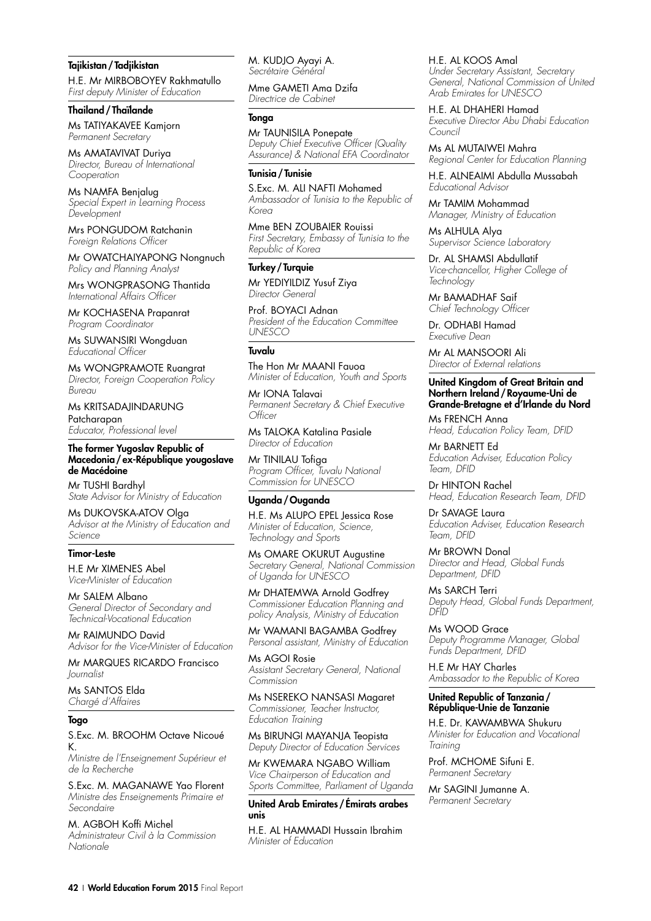Tajikistan/Tadjikistan

H.E. Mr MIRBOBOYEV Rakhmatullo *First deputy Minister of Education*

Thailand/Thaïlande Ms TATIYAKAVEE Kamjorn *Permanent Secretary*

Ms AMATAVIVAT Duriya *Director, Bureau of International Cooperation*

Ms NAMFA Benjalug *Special Expert in Learning Process Development*

Mrs PONGUDOM Ratchanin *Foreign Relations Officer*

Mr OWATCHAIYAPONG Nongnuch *Policy and Planning Analyst*

Mrs WONGPRASONG Thantida *International Affairs Officer*

Mr KOCHASENA Prapanrat *Program Coordinator*

Ms SUWANSIRI Wongduan *Educational Officer*

Ms WONGPRAMOTE Ruangrat *Director, Foreign Cooperation Policy Bureau*

Ms KRITSADAJINDARUNG Patcharapan *Educator, Professional level*

The former Yugoslav Republic of Macedonia/ex-République yougoslave de Macédoine

Mr TUSHI Bardhyl *State Advisor for Ministry of Education*

Ms DUKOVSKA-ATOV Olga *Advisor at the Ministry of Education and Science*

#### Timor-Leste

H.E Mr XIMENES Abel *Vice-Minister of Education*

Mr SALEM Albano *General Director of Secondary and Technical-Vocational Education*

Mr RAIMUNDO David *Advisor for the Vice-Minister of Education*

Mr MARQUES RICARDO Francisco *Journalist*

Ms SANTOS Elda *Chargé d'Affaires*

#### Togo

S.Exc. M. BROOHM Octave Nicoué K.

*Ministre de l'Enseignement Supérieur et de la Recherche*

S.Exc. M. MAGANAWE Yao Florent *Ministre des Enseignements Primaire et Secondaire*

M. AGBOH Koffi Michel *Administrateur Civil à la Commission Nationale*

M. KUDJO Ayayi A. *Secrétaire Général*

Mme GAMETI Ama Dzifa *Directrice de Cabinet*

Tonga Mr TAUNISILA Ponepate *Deputy Chief Executive Officer (Quality Assurance) & National EFA Coordinator*

Tunisia/Tunisie S.Exc. M. ALI NAFTI Mohamed *Ambassador of Tunisia to the Republic of Korea*

Mme BEN ZOUBAIER Rouissi *First Secretary, Embassy of Tunisia to the Republic of Korea*

Turkey/Turquie Mr YEDIYILDIZ Yusuf Ziya *Director General*

Prof. BOYACI Adnan *President of the Education Committee UNESCO*

#### Tuvalu

The Hon Mr MAANI Fauoa *Minister of Education, Youth and Sports*

Mr IONA Talavai *Permanent Secretary & Chief Executive Officer*

Ms TALOKA Katalina Pasiale *Director of Education*

Mr TINILAU Tofiga *Program Officer, Tuvalu National Commission for UNESCO*

#### Uganda/Ouganda

H.E. Ms ALUPO EPEL Jessica Rose *Minister of Education, Science, Technology and Sports*

Ms OMARE OKURUT Augustine *Secretary General, National Commission of Uganda for UNESCO*

Mr DHATEMWA Arnold Godfrey *Commissioner Education Planning and policy Analysis, Ministry of Education*

Mr WAMANI BAGAMBA Godfrey *Personal assistant, Ministry of Education*

Ms AGOI Rosie *Assistant Secretary General, National Commission*

Ms NSEREKO NANSASI Magaret *Commissioner, Teacher Instructor, Education Training*

Ms BIRUNGI MAYANJA Teopista *Deputy Director of Education Services*

Mr KWEMARA NGABO William *Vice Chairperson of Education and Sports Committee, Parliament of Uganda*

United Arab Emirates/Émirats arabes unis

H.E. AL HAMMADI Hussain Ibrahim *Minister of Education*

H.E. AL KOOS Amal *Under Secretary Assistant, Secretary General, National Commission of United Arab Emirates for UNESCO*

H.E. AL DHAHERI Hamad *Executive Director Abu Dhabi Education Council*

Ms AL MUTAIWEI Mahra *Regional Center for Education Planning*

H.E. ALNEAIMI Abdulla Mussabah *Educational Advisor*

Mr TAMIM Mohammad *Manager, Ministry of Education*

Ms ALHULA Alya *Supervisor Science Laboratory*

Dr. AL SHAMSI Abdullatif *Vice-chancellor, Higher College of Technology*

Mr BAMADHAF Saif *Chief Technology Officer*

Dr. ODHABI Hamad *Executive Dean*

Mr AL MANSOORI Ali *Director of External relations*

#### United Kingdom of Great Britain and Northern Ireland/Royaume-Uni de Grande-Bretagne et d'Irlande du Nord

Ms FRENCH Anna *Head, Education Policy Team, DFID*

Mr BARNETT Ed *Education Adviser, Education Policy Team, DFID*

Dr HINTON Rachel *Head, Education Research Team, DFID*

Dr SAVAGE Laura *Education Adviser, Education Research Team, DFID*

Mr BROWN Donal *Director and Head, Global Funds Department, DFID*

Ms SARCH Terri *Deputy Head, Global Funds Department, DFID*

Ms WOOD Grace *Deputy Programme Manager, Global Funds Department, DFID*

H.E Mr HAY Charles *Ambassador to the Republic of Korea*

#### United Republic of Tanzania/ République-Unie de Tanzanie

H.E. Dr. KAWAMBWA Shukuru *Minister for Education and Vocational Training*

Prof. MCHOME Sifuni E. *Permanent Secretary*

Mr SAGINI Jumanne A. *Permanent Secretary*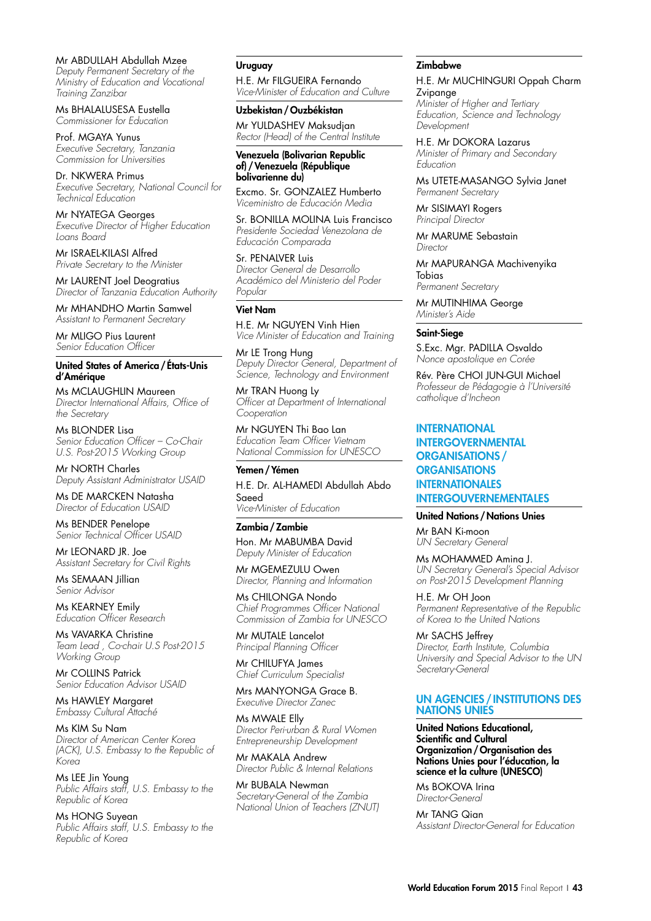#### Mr ABDULLAH Abdullah Mzee

*Deputy Permanent Secretary of the Ministry of Education and Vocational Training Zanzibar*

Ms BHALALUSESA Eustella *Commissioner for Education*

Prof. MGAYA Yunus *Executive Secretary, Tanzania Commission for Universities*

Dr. NKWERA Primus *Executive Secretary, National Council for Technical Education*

Mr NYATEGA Georges *Executive Director of Higher Education Loans Board*

Mr ISRAEL-KILASI Alfred *Private Secretary to the Minister*

Mr LAURENT Joel Deogratius *Director of Tanzania Education Authority*

Mr MHANDHO Martin Samwel *Assistant to Permanent Secretary*

Mr MLIGO Pius Laurent *Senior Education Officer*

#### United States of America/États-Unis d'Amérique

Ms MCLAUGHLIN Maureen *Director International Affairs, Office of the Secretary*

Ms BLONDER Lisa *Senior Education Officer – Co-Chair U.S. Post-2015 Working Group*

Mr NORTH Charles *Deputy Assistant Administrator USAID*

Ms DE MARCKEN Natasha *Director of Education USAID*

Ms BENDER Penelope *Senior Technical Officer USAID*

Mr LEONARD JR. Joe *Assistant Secretary for Civil Rights*

Ms SEMAAN Jillian *Senior Advisor*

Ms KEARNEY Emily *Education Officer Research*

Ms VAVARKA Christine *Team Lead , Co-chair U.S Post-2015 Working Group*

Mr COLLINS Patrick *Senior Education Advisor USAID*

Ms HAWLEY Margaret *Embassy Cultural Attaché*

Ms KIM Su Nam *Director of American Center Korea (ACK), U.S. Embassy to the Republic of Korea*

Ms LEE Jin Young *Public Affairs staff, U.S. Embassy to the Republic of Korea*

Ms HONG Suyean *Public Affairs staff, U.S. Embassy to the Republic of Korea*

#### Uruguay

H.E. Mr FILGUEIRA Fernando *Vice-Minister of Education and Culture*

Uzbekistan/Ouzbékistan

Mr YULDASHEV Maksudjan *Rector (Head) of the Central Institute*

#### Venezuela (Bolivarian Republic of)/Venezuela (République bolivarienne du)

Excmo. Sr. GONZALEZ Humberto *Viceministro de Educación Media*

Sr. BONIITA MOLINA Luis Francisco *Presidente Sociedad Venezolana de Educación Comparada*

Sr. PENALVER Luis *Director General de Desarrollo Académico del Ministerio del Poder Popular*

#### Viet Nam

H.E. Mr NGUYEN Vinh Hien *Vice Minister of Education and Training*

Mr LE Trong Hung *Deputy Director General, Department of Science, Technology and Environment*

Mr TRAN Huong Ly *Officer at Department of International Cooperation*

Mr NGUYEN Thi Bao Lan *Education Team Officer Vietnam National Commission for UNESCO*

Yemen/Yémen H.E. Dr. AL-HAMEDI Abdullah Abdo Saeed *Vice-Minister of Education*

#### Zambia/Zambie

Hon. Mr MABUMBA David *Deputy Minister of Education*

Mr MGEMEZULU Owen *Director, Planning and Information*

Ms CHILONGA Nondo *Chief Programmes Officer National Commission of Zambia for UNESCO*

Mr MUTALE Lancelot *Principal Planning Officer*

Mr CHILUFYA James *Chief Curriculum Specialist*

Mrs MANYONGA Grace B. *Executive Director Zanec*

Ms MWALE Elly *Director Peri-urban & Rural Women Entrepreneurship Development*

Mr MAKALA Andrew *Director Public & Internal Relations*

Mr BUBALA Newman *Secretary-General of the Zambia National Union of Teachers (ZNUT)*

#### Zimbabwe

H.E. Mr MUCHINGURI Oppah Charm Zvipange *Minister of Higher and Tertiary Education, Science and Technology Development*

H.E. Mr DOKORA Lazarus *Minister of Primary and Secondary Education*

Ms UTETE-MASANGO Sylvia Janet *Permanent Secretary*

Mr SISIMAYI Rogers *Principal Director*

Mr MARUME Sebastain *Director*

Mr MAPURANGA Machivenyika

Tobias *Permanent Secretary*

Mr MUTINHIMA George *Minister's Aide*

#### Saint-Siege

S.Exc. Mgr. PADILLA Osvaldo *Nonce apostolique en Corée*

Rév. Père CHOI JUN-GUI Michael *Professeur de Pédagogie à l'Université catholique d'Incheon*

# INTERNATIONAL

## INTERGOVERNMENTAL ORGANISATIONS/ **ORGANISATIONS** INTERNATIONALES

INTERGOUVERNEMENTALES

#### United Nations/Nations Unies

Mr BAN Ki-moon *UN Secretary General*

Ms MOHAMMED Amina J. *UN Secretary General's Special Advisor on Post-2015 Development Planning*

H.E. Mr OH Joon *Permanent Representative of the Republic of Korea to the United Nations*

Mr SACHS Jeffrey *Director, Earth Institute, Columbia University and Special Advisor to the UN Secretary-General*

#### UN AGENCIES/INSTITUTIONS DES NATIONS UNIES

United Nations Educational, Scientific and Cultural Organization/Organisation des Nations Unies pour l'éducation, la science et la culture (UNESCO)

Ms BOKOVA Irina *Director-General*

Mr TANG Qian *Assistant Director-General for Education*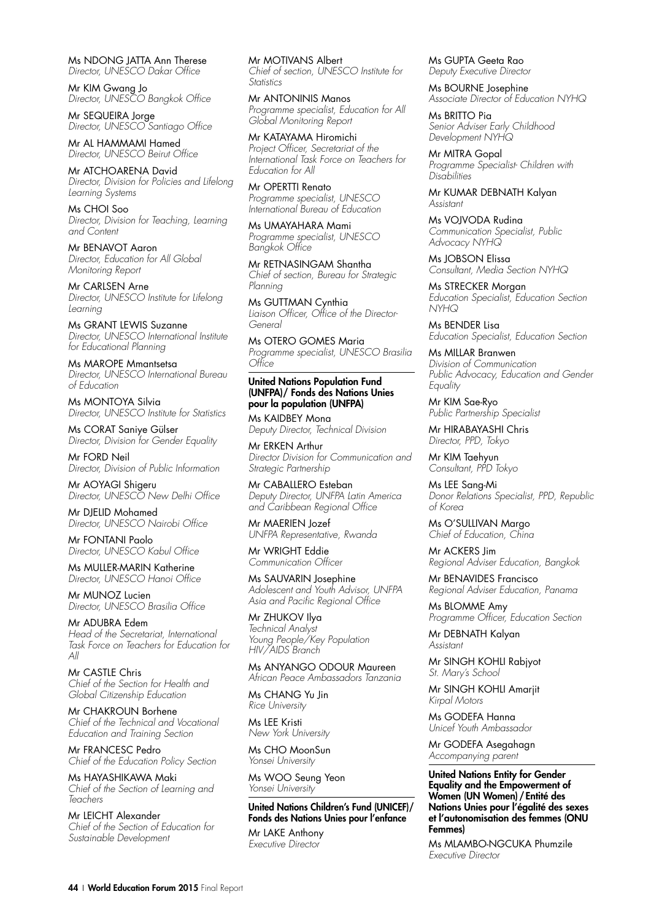Ms NDONG JATTA Ann Therese *Director, UNESCO Dakar Office*

Mr KIM Gwang Jo *Director, UNESCO Bangkok Office*

Mr SEQUEIRA Jorge *Director, UNESCO Santiago Office*

Mr AL HAMMAMI Hamed *Director, UNESCO Beirut Office*

Mr ATCHOARENA David *Director, Division for Policies and Lifelong Learning Systems*

Ms CHOI Soo *Director, Division for Teaching, Learning and Content*

Mr BENAVOT Aaron *Director, Education for All Global Monitoring Report*

Mr CARLSEN Arne *Director, UNESCO Institute for Lifelong Learning*

Ms GRANT LEWIS Suzanne *Director, UNESCO International Institute for Educational Planning*

Ms MAROPE Mmantsetsa *Director, UNESCO International Bureau of Education*

Ms MONTOYA Silvia *Director, UNESCO Institute for Statistics*

Ms CORAT Saniye Gülser *Director, Division for Gender Equality*

Mr FORD Neil *Director, Division of Public Information*

Mr AOYAGI Shigeru *Director, UNESCO New Delhi Office*

Mr DJELID Mohamed *Director, UNESCO Nairobi Office*

Mr FONTANI Paolo *Director, UNESCO Kabul Office*

Ms MULLER-MARIN Katherine *Director, UNESCO Hanoi Office*

Mr MUNOZ Lucien *Director, UNESCO Brasilia Office*

Mr ADUBRA Edem *Head of the Secretariat, International Task Force on Teachers for Education for All*

Mr CASTLE Chris *Chief of the Section for Health and Global Citizenship Education*

Mr CHAKROUN Borhene *Chief of the Technical and Vocational Education and Training Section*

Mr FRANCESC Pedro *Chief of the Education Policy Section*

Ms HAYASHIKAWA Maki *Chief of the Section of Learning and Teachers*

Mr LEICHT Alexander *Chief of the Section of Education for Sustainable Development*

Mr MOTIVANS Albert *Chief of section, UNESCO Institute for Statistics*

Mr ANTONINIS Manos *Programme specialist, Education for All Global Monitoring Report*

Mr KATAYAMA Hiromichi *Project Officer, Secretariat of the International Task Force on Teachers for Education for All*

Mr OPERTTI Renato *Programme specialist, UNESCO International Bureau of Education*

Ms UMAYAHARA Mami *Programme specialist, UNESCO Bangkok Office*

Mr RETNASINGAM Shantha *Chief of section, Bureau for Strategic Planning*

Ms GUTTMAN Cynthia *Liaison Officer, Office of the Director-General*

Ms OTERO GOMES Maria *Programme specialist, UNESCO Brasilia Office*

## United Nations Population Fund (UNFPA)/ Fonds des Nations Unies pour la population (UNFPA)

Ms KAIDBEY Mona *Deputy Director, Technical Division*

Mr ERKEN Arthur *Director Division for Communication and Strategic Partnership*

Mr CABALLERO Esteban *Deputy Director, UNFPA Latin America and Caribbean Regional Office*

Mr MAERIEN Jozef *UNFPA Representative, Rwanda*

Mr WRIGHT Eddie *Communication Officer*

Ms SAUVARIN Josephine *Adolescent and Youth Advisor, UNFPA Asia and Pacific Regional Office*

Mr ZHUKOV Ilya *Technical Analyst Young People/Key Population HIV/AIDS Branch*

Ms ANYANGO ODOUR Maureen *African Peace Ambassadors Tanzania*

Ms CHANG Yu Jin *Rice University*

Ms LEE Kristi *New York University*

Ms CHO MoonSun *Yonsei University*

Ms WOO Seung Yeon *Yonsei University*

United Nations Children's Fund (UNICEF)/ Fonds des Nations Unies pour l'enfance

Mr LAKE Anthony *Executive Director*

Ms GUPTA Geeta Rao *Deputy Executive Director*

Ms BOURNE Josephine *Associate Director of Education NYHQ*

Ms BRITTO Pia *Senior Adviser Early Childhood Development NYHQ*

Mr MITRA Gopal *Programme Specialist- Children with Disabilities*

Mr KUMAR DEBNATH Kalyan *Assistant*

Ms VOJVODA Rudina *Communication Specialist, Public Advocacy NYHQ*

Ms JOBSON Elissa *Consultant, Media Section NYHQ*

Ms STRECKER Morgan *Education Specialist, Education Section NYHQ*

Ms BENDER Lisa *Education Specialist, Education Section*

Ms MILLAR Branwen *Division of Communication Public Advocacy, Education and Gender Equality*

Mr KIM Sae-Ryo *Public Partnership Specialist*

Mr HIRABAYASHI Chris *Director, PPD, Tokyo*

Mr KIM Taehyun *Consultant, PPD Tokyo*

Ms LEE Sang-Mi *Donor Relations Specialist, PPD, Republic of Korea*

Ms O'SULLIVAN Margo *Chief of Education, China*

Mr ACKERS Jim *Regional Adviser Education, Bangkok*

Mr BENAVIDES Francisco *Regional Adviser Education, Panama*

Ms BLOMME Amy *Programme Officer, Education Section*

Mr DEBNATH Kalyan *Assistant*

Mr SINGH KOHLI Rabjyot *St. Mary's School*

Mr SINGH KOHLI Amarjit *Kirpal Motors*

Ms GODEFA Hanna *Unicef Youth Ambassador*

Mr GODEFA Asegahagn *Accompanying parent*

United Nations Entity for Gender Equality and the Empowerment of Women (UN Women) / Entité des Nations Unies pour l'égalité des sexes et l'autonomisation des femmes (ONU Femmes)

Ms MLAMBO-NGCUKA Phumzile *Executive Director*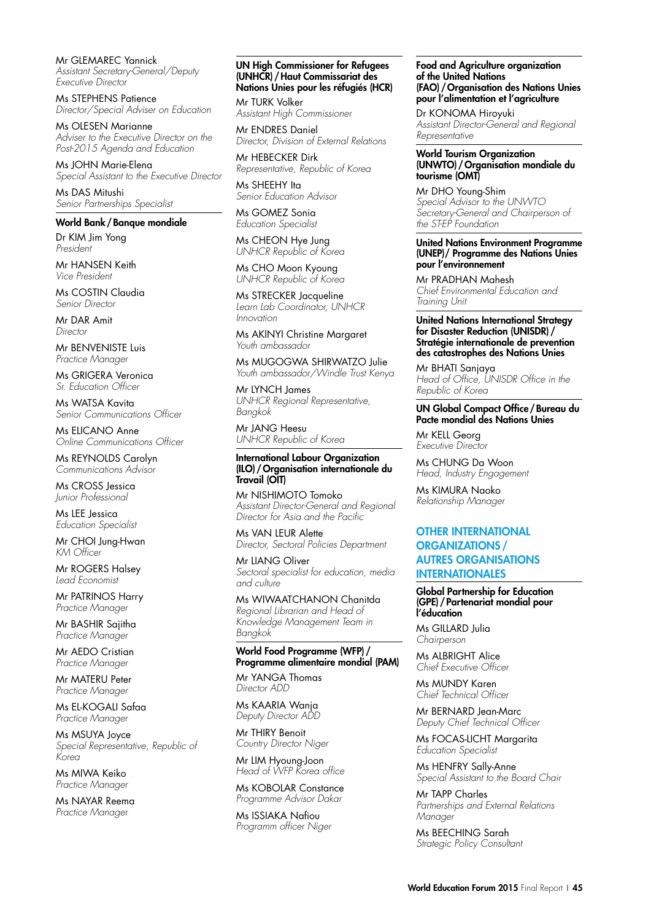Mr GLEMAREC Yannick

*Assistant Secretary-General/Deputy Executive Director*

Ms STEPHENS Patience *Director/Special Adviser on Education*

Ms OLESEN Marianne *Adviser to the Executive Director on the Post-2015 Agenda and Education*

Ms JOHN Marie-Elena *Special Assistant to the Executive Director*

Ms DAS Mitushi *Senior Partnerships Specialist*

#### World Bank/Banque mondiale

Dr KIM Jim Yong *President*

Mr HANSEN Keith *Vice President* 

Ms COSTIN Claudia *Senior Director*

Mr DAR Amit *Director* 

Mr BENVENISTE Luis *Practice Manager*

Ms GRIGERA Veronica *Sr. Education Officer*

Ms WATSA Kavita *Senior Communications Officer*

Ms ELICANO Anne *Online Communications Officer*

Ms REYNOLDS Carolyn *Communications Advisor*

Ms CROSS Jessica *Junior Professional*

Ms LEE Jessica *Education Specialist*

Mr CHOI Jung-Hwan *KM Officer*

Mr ROGERS Halsey *Lead Economist*

Mr PATRINOS Harry *Practice Manager*

Mr BASHIR Sajitha *Practice Manager*

Mr AEDO Cristian *Practice Manager*

Mr MATERU Peter *Practice Manager*

Ms EL-KOGALI Safaa *Practice Manager*

Ms MSUYA Joyce *Special Representative, Republic of Korea*

Ms MIWA Keiko *Practice Manager*

Ms NAYAR Reema *Practice Manager*

#### UN High Commissioner for Refugees (UNHCR)/Haut Commissariat des Nations Unies pour les réfugiés (HCR)

Mr TURK Volker *Assistant High Commissioner*

Mr ENDRES Daniel *Director, Division of External Relations*

Mr HEBECKER Dirk *Representative, Republic of Korea*

Ms SHEEHY Ita *Senior Education Advisor*

Ms GOMEZ Sonia *Education Specialist*

Ms CHEON Hye Jung *UNHCR Republic of Korea*

Ms CHO Moon Kyoung *UNHCR Republic of Korea*

Ms STRECKER Jacqueline *Learn Lab Coordinator, UNHCR Innovation*

Ms AKINYI Christine Margaret *Youth ambassador*

Ms MUGOGWA SHIRWATZO Julie *Youth ambassador/Windle Trust Kenya*

Mr LYNCH James *UNHCR Regional Representative, Bangkok*

Mr JANG Heesu *UNHCR Republic of Korea*

#### International Labour Organization (ILO)/Organisation internationale du Travail (OIT)

Mr NISHIMOTO Tomoko *Assistant Director-General and Regional Director for Asia and the Pacific*

Ms VAN LEUR Alette *Director, Sectoral Policies Department*

Mr LIANG Oliver *Sectoral specialist for education, media and culture*

Ms WIWAATCHANON Chanitda *Regional Librarian and Head of Knowledge Management Team in Bangkok*

## World Food Programme (WFP)/ Programme alimentaire mondial (PAM)

Mr YANGA Thomas *Director ADD*

Ms KAARIA Wanja *Deputy Director ADD*

Mr THIRY Benoit *Country Director Niger*

Mr LIM Hyoung-Joon *Head of WFP Korea office*

Ms KOBOLAR Constance *Programme Advisor Dakar*

Ms ISSIAKA Nafiou *Programm officer Niger*

#### Food and Agriculture organization of the United Nations (FAO)/Organisation des Nations Unies pour l'alimentation et l'agriculture

Dr KONOMA Hiroyuki *Assistant Director-General and Regional Representative*

#### World Tourism Organization (UNWTO)/Organisation mondiale du tourisme (OMT)

Mr DHO Young-Shim *Special Advisor to the UNWTO Secretary-General and Chairperson of the ST-EP Foundation*

#### United Nations Environment Programme (UNEP)/ Programme des Nations Unies pour l'environnement

Mr PRADHAN Mahesh *Chief Environmental Education and Training Unit*

#### United Nations International Strategy for Disaster Reduction (UNISDR)/ Stratégie internationale de prevention des catastrophes des Nations Unies

Mr BHATI Sanjaya *Head of Office, UNISDR Office in the Republic of Korea*

#### UN Global Compact Office/Bureau du Pacte mondial des Nations Unies

Mr KELL Georg *Executive Director*

Ms CHUNG Da Woon *Head, Industry Engagement*

Ms KIMURA Naoko *Relationship Manager*

#### OTHER INTERNATIONAL ORGANIZATIONS/

# AUTRES ORGANISATIONS INTERNATIONALES

Global Partnership for Education (GPE)/Partenariat mondial pour l'éducation

Ms GILLARD Julia *Chairperson*

Ms ALBRIGHT Alice *Chief Executive Officer*

Ms MUNDY Karen *Chief Technical Officer*

Mr BERNARD Jean-Marc *Deputy Chief Technical Officer*

Ms FOCAS-LICHT Margarita *Education Specialist*

Ms HENFRY Sally-Anne *Special Assistant to the Board Chair*

Mr TAPP Charles *Partnerships and External Relations Manager*

Ms BEECHING Sarah *Strategic Policy Consultant*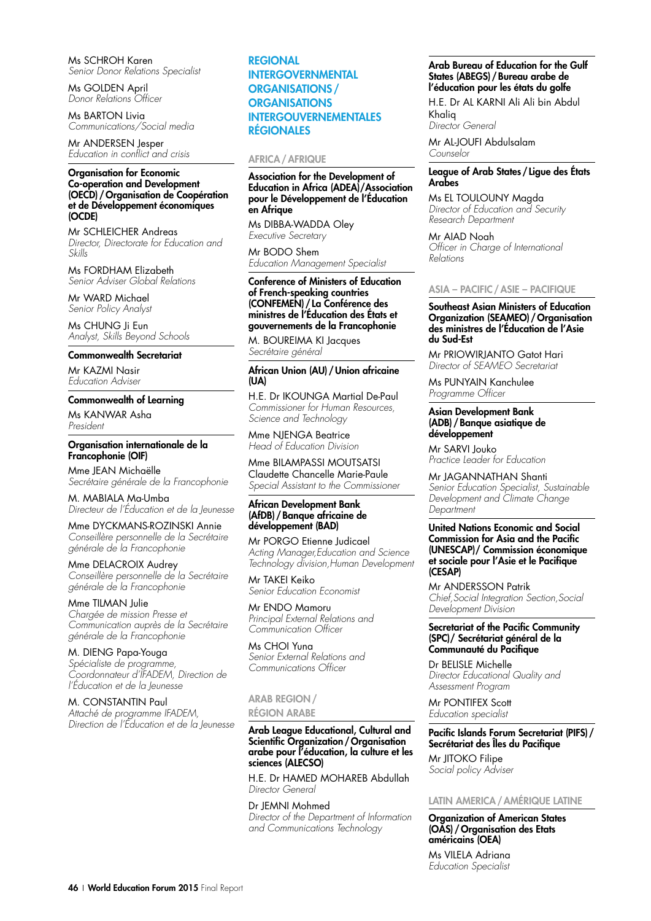Ms SCHROH Karen *Senior Donor Relations Specialist*

Ms GOLDEN April *Donor Relations Officer*

Ms BARTON Livia *Communications/Social media*

Mr ANDERSEN Jesper *Education in conflict and crisis*

#### Organisation for Economic Co-operation and Development (OECD)/Organisation de Coopération et de Développement économiques (OCDE)

Mr SCHLEICHER Andreas *Director, Directorate for Education and Skills*

Ms FORDHAM Elizabeth *Senior Adviser Global Relations*

Mr WARD Michael *Senior Policy Analyst*

Ms CHUNG Ji Eun *Analyst, Skills Beyond Schools*

#### Commonwealth Secretariat

Mr KAZMI Nasir *Education Adviser*

#### Commonwealth of Learning

Ms KANWAR Asha *President*

#### Organisation internationale de la Francophonie (OIF)

Mme JEAN Michaëlle *Secrétaire générale de la Francophonie*

M. MABIALA Ma-Umba *Directeur de l'Éducation et de la Jeunesse*

*Conseillère personnelle de la Secrétaire générale de la Francophonie* 

Mme DELACROIX Audrey *Conseillère personnelle de la Secrétaire générale de la Francophonie*

Mme TILMAN Julie *Chargée de mission Presse et Communication auprès de la Secrétaire générale de la Francophonie*

M. DIENG Papa-Youga *Spécialiste de programme, Coordonnateur d'IFADEM, Direction de l'Éducation et de la Jeunesse*

M. CONSTANTIN Paul *Attaché de programme IFADEM, Direction de l'Éducation et de la Jeunesse*

## **REGIONAL** INTERGOVERNMENTAL ORGANISATIONS/ **ORGANISATIONS** INTERGOUVERNEMENTALES RÉGIONALES

#### AFRICA/AFRIQUE

#### Association for the Development of Education in Africa (ADEA)/Association pour le Développement de l'Éducation en Afrique

Ms DIBBA-WADDA Oley *Executive Secretary*

Mr BODO Shem *Education Management Specialist*

#### Conference of Ministers of Education of French-speaking countries (CONFEMEN)/La Conférence des ministres de l'Éducation des États et gouvernements de la Francophonie

M. BOUREIMA KI Jacques *Secrétaire général*

#### African Union (AU)/Union africaine (UA)

H.E. Dr IKOUNGA Martial De-Paul *Commissioner for Human Resources, Science and Technology*

Mme NJENGA Beatrice *Head of Education Division*

Mme BILAMPASSI MOUTSATSI Claudette Chancelle Marie-Paule *Special Assistant to the Commissioner*

#### African Development Bank (AfDB)/Banque africaine de développement (BAD)

Mr PORGO Etienne Judicael *Acting Manager,Education and Science Technology division,Human Development*

Mr TAKEI Keiko *Senior Education Economist*

Mr ENDO Mamoru *Principal External Relations and Communication Officer*

Ms CHOI Yuna *Senior External Relations and Communications Officer*

#### ARAB REGION/

RÉGION ARABE

#### Arab League Educational, Cultural and Scientific Organization / Organisation arabe pour l'éducation, la culture et les sciences (ALECSO)

H.E. Dr HAMED MOHAREB Abdullah *Director General*

Dr JEMNI Mohmed *Director of the Department of Information and Communications Technology*

#### Arab Bureau of Education for the Gulf States (ABEGS)/Bureau arabe de l'éducation pour les états du golfe

H.E. Dr AL KARNI Ali Ali bin Abdul Khaliq

*Director General*

Mr AL-JOUFI Abdulsalam *Counselor*

#### League of Arab States/Ligue des États Arabes

Ms EL TOULOUNY Magda *Director of Education and Security Research Department*

Mr AIAD Noah *Officer in Charge of International Relations*

#### ASIA – PACIFIC/ASIE – PACIFIQUE

#### Southeast Asian Ministers of Education Organization (SEAMEO)/Organisation des ministres de l'Éducation de l'Asie du Sud-Est

Mr PRIOWIRJANTO Gatot Hari *Director of SEAMEO Secretariat*

Ms PUNYAIN Kanchulee *Programme Officer*

#### Asian Development Bank (ADB)/Banque asiatique de développement

Mr SARVI Jouko *Practice Leader for Education*

Mr JAGANNATHAN Shanti *Senior Education Specialist, Sustainable Development and Climate Change Department*

#### United Nations Economic and Social Commission for Asia and the Pacific (UNESCAP)/ Commission économique et sociale pour l'Asie et le Pacifique (CESAP)

Mr ANDERSSON Patrik *Chief,Social Integration Section,Social Development Division*

#### Secretariat of the Pacific Community (SPC)/ Secrétariat général de la Communauté du Pacifique

Dr BELISLE Michelle *Director Educational Quality and Assessment Program*

Mr PONTIFEX Scott *Education specialist*

#### Pacific Islands Forum Secretariat (PIFS)/ Secrétariat des Îles du Pacifique

Mr JITOKO Filipe *Social policy Adviser*

#### LATIN AMERICA/AMÉRIQUE LATINE

Organization of American States (OAS)/Organisation des Etats américains (OEA)

Ms VILELA Adriana *Education Specialist*

Mme DYCKMANS-ROZINSKI Annie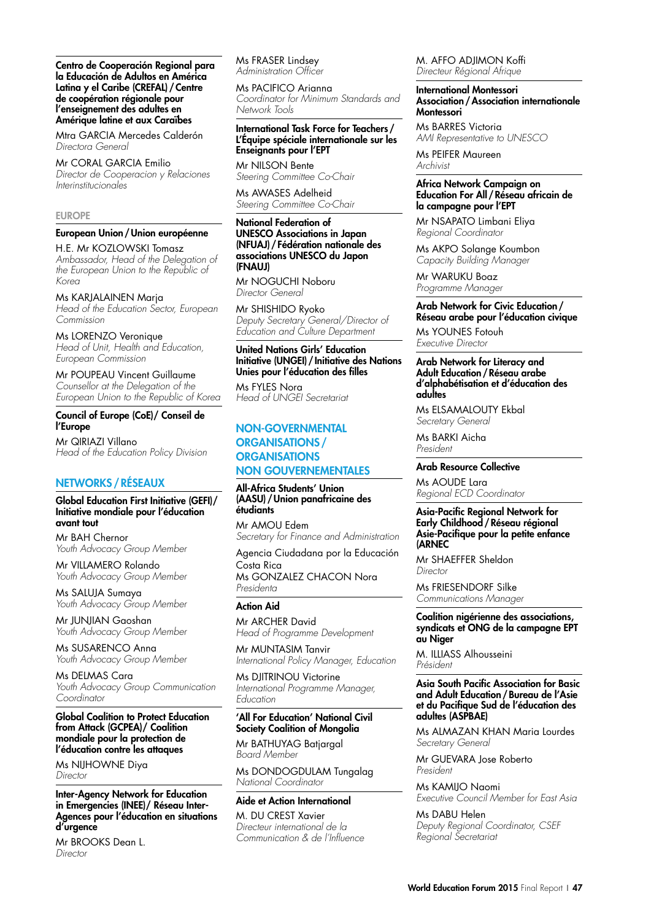Centro de Cooperación Regional para la Educación de Adultos en América Latina y el Caribe (CREFAL)/Centre de coopération régionale pour l'enseignement des adultes en Amérique latine et aux Caraïbes

Mtra GARCIA Mercedes Calderón *Directora General*

Mr CORAL GARCIA Emilio *Director de Cooperacion y Relaciones Interinstitucionales*

#### EUROPE

# European Union/Union européenne

H.E. Mr KOZLOWSKI Tomasz *Ambassador, Head of the Delegation of the European Union to the Republic of Korea*

Ms KARJALAINEN Marja *Head of the Education Sector, European Commission*

Ms LORENZO Veronique *Head of Unit, Health and Education, European Commission*

Mr POUPEAU Vincent Guillaume *Counsellor at the Delegation of the European Union to the Republic of Korea*

#### Council of Europe (CoE)/ Conseil de l'Europe

Mr QIRIAZI Villano *Head of the Education Policy Division*

# NETWORKS/RÉSEAUX

#### Global Education First Initiative (GEFI)/ Initiative mondiale pour l'éducation avant tout

Mr BAH Chernor *Youth Advocacy Group Member*

Mr VILLAMERO Rolando *Youth Advocacy Group Member*

Ms SALUJA Sumaya *Youth Advocacy Group Member*

Mr IUNIIAN Gaoshan *Youth Advocacy Group Member*

Ms SUSARENCO Anna *Youth Advocacy Group Member*

Ms DELMAS Cara *Youth Advocacy Group Communication Coordinator*

#### Global Coalition to Protect Education from Attack (GCPEA)/ Coalition mondiale pour la protection de l'éducation contre les attaques

Ms NIJHOWNE Diya *Director*

Inter-Agency Network for Education in Emergencies (INEE)/ Réseau Inter-Agences pour l'éducation en situations d'urgence

Mr BROOKS Dean L. *Director*

Ms FRASER Lindsey *Administration Officer*

Ms PACIFICO Arianna *Coordinator for Minimum Standards and Network Tools*

#### International Task Force for Teachers/ L'Équipe spéciale internationale sur les Enseignants pour l'EPT

Mr NILSON Bente *Steering Committee Co-Chair*

Ms AWASES Adelheid *Steering Committee Co-Chair*

# National Federation of UNESCO Associations in Japan

(NFUAJ)/Fédération nationale des associations UNESCO du Japon (FNAUJ)

Mr NOGUCHI Noboru *Director General*

Mr SHISHIDO Ryoko *Deputy Secretary General/Director of Education and Culture Department*

#### United Nations Girls' Education Initiative (UNGEI)/Initiative des Nations Unies pour l'éducation des filles

Ms FYLES Nora *Head of UNGEI Secretariat*

## NON-GOVERNMENTAL ORGANISATIONS/ **ORGANISATIONS** NON GOUVERNEMENTALES

#### All-Africa Students' Union (AASU)/Union panafricaine des étudiants

Mr AMOU Edem *Secretary for Finance and Administration*

Agencia Ciudadana por la Educación Costa Rica Ms GONZALEZ CHACON Nora

*Presidenta*

# Action Aid

Mr ARCHER David *Head of Programme Development*

Mr MUNTASIM Tanvir *International Policy Manager, Education*

Ms DJITRINOU Victorine *International Programme Manager, Education*

## 'All For Education' National Civil Society Coalition of Mongolia

Mr BATHUYAG Batjargal *Board Member*

Ms DONDOGDULAM Tungalag *National Coordinator*

#### Aide et Action International

M. DU CREST Xavier *Directeur international de la Communication & de l'Influence* M. AFFO ADJIMON Koffi *Directeur Régional Afrique*

#### International Montessori Association/Association internationale **Montessori**

Ms BARRES Victoria *AMI Representative to UNESCO*

Ms PEIFER Maureen *Archivist*

#### Africa Network Campaign on Education For All/Réseau africain de la campagne pour l'EPT

Mr NSAPATO Limbani Eliya *Regional Coordinator*

Ms AKPO Solange Koumbon *Capacity Building Manager*

Mr WARUKU Boaz *Programme Manager*

#### Arab Network for Civic Education/ Réseau arabe pour l'éducation civique

Ms YOUNES Fotouh *Executive Director*

#### Arab Network for Literacy and Adult Education / Réseau arabe d'alphabétisation et d'éducation des adultes

Ms ELSAMALOUTY Ekbal *Secretary General*

Ms BARKI Aicha *President*

#### Arab Resource Collective

Ms AOUDE Lara *Regional ECD Coordinator*

#### Asia-Pacific Regional Network for Early Childhood/Réseau régional Asie-Pacifique pour la petite enfance (ARNEC

Mr SHAEFFER Sheldon *Director*

Ms FRIESENDORF Silke *Communications Manager*

#### Coalition nigérienne des associations, syndicats et ONG de la campagne EPT au Niger

M. ILLIASS Alhousseini *Président*

#### Asia South Pacific Association for Basic and Adult Education/Bureau de l'Asie et du Pacifique Sud de l'éducation des adultes (ASPBAE)

Ms ALMAZAN KHAN Maria Lourdes *Secretary General*

Mr GUEVARA Jose Roberto *President*

Ms KAMIJO Naomi *Executive Council Member for East Asia*

#### Ms DABU Helen *Deputy Regional Coordinator, CSEF Regional Secretariat*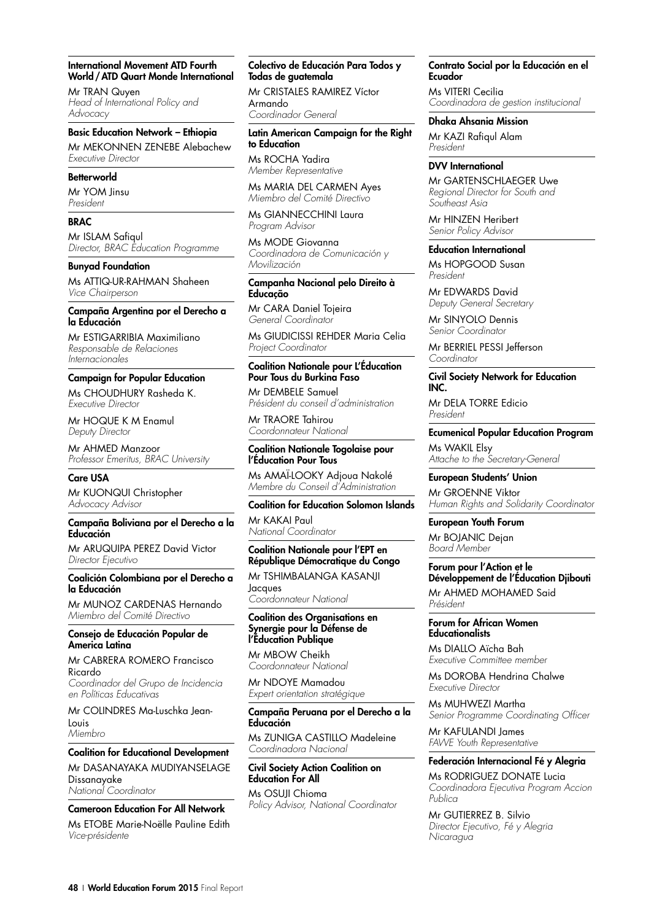#### International Movement ATD Fourth World/ATD Quart Monde International

Mr TRAN Quyen *Head of International Policy and Advocacy*

#### Basic Education Network – Ethiopia

Mr MEKONNEN ZENEBE Alebachew *Executive Director*

#### **Betterworld**

Mr YOM Jinsu *President*

#### **BRAC**

Mr ISLAM Safiqul *Director, BRAC Education Programme*

#### Bunyad Foundation

Ms ATTIQ-UR-RAHMAN Shaheen *Vice Chairperson*

#### Campaña Argentina por el Derecho a la Educación

Mr ESTIGARRIBIA Maximiliano *Responsable de Relaciones Internacionales*

#### Campaign for Popular Education

Ms CHOUDHURY Rasheda K. *Executive Director*

Mr HOQUE K M Enamul *Deputy Director*

Mr AHMED Manzoor *Professor Emeritus, BRAC University*

#### Care USA

Mr KUONQUI Christopher *Advocacy Advisor*

#### Campaña Boliviana por el Derecho a la Educación

Mr ARUQUIPA PEREZ David Victor *Director Ejecutivo*

#### Coalición Colombiana por el Derecho a la Educación

Mr MUNOZ CARDENAS Hernando *Miembro del Comité Directivo*

#### Consejo de Educación Popular de America Latina

Mr CABRERA ROMERO Francisco Ricardo

*Coordinador del Grupo de Incidencia en Políticas Educativas*

#### Mr COLINDRES Ma-Luschka Jean-Louis *Miembro*

Coalition for Educational Development Mr DASANAYAKA MUDIYANSELAGE Dissanayake

*National Coordinator*

#### Cameroon Education For All Network

Ms ETOBE Marie-Noëlle Pauline Edith *Vice-présidente*

# Colectivo de Educación Para Todos y Todas de guatemala

Mr CRISTALES RAMIREZ Víctor Armando *Coordinador General*

#### Latin American Campaign for the Right to Education

Ms ROCHA Yadira *Member Representative*

Ms MARIA DEL CARMEN Ayes *Miembro del Comité Directivo*

Ms GIANNECCHINI Laura *Program Advisor*

Ms MODE Giovanna *Coordinadora de Comunicación y Movilización*

Campanha Nacional pelo Direito à Educação

Mr CARA Daniel Tojeira *General Coordinator*

Ms GIUDICISSI REHDER Maria Celia *Project Coordinator*

#### Coalition Nationale pour L'Éducation Pour Tous du Burkina Faso

Mr DEMBELE Samuel *Président du conseil d'administration*

Mr TRAORE Tahirou *Coordonnateur National*

Coalition Nationale Togolaise pour l'Éducation Pour Tous Ms AMAÏ-LOOKY Adjoua Nakolé *Membre du Conseil d'Administration*

#### Coalition for Education Solomon Islands

Mr KAKAI Paul *National Coordinator*

#### Coalition Nationale pour l'EPT en République Démocratique du Congo

Mr TSHIMBALANGA KASANJI Jacques *Coordonnateur National*

#### Coalition des Organisations en Synergie pour la Défense de l'Éducation Publique

Mr MBOW Cheikh *Coordonnateur National*

Mr NDOYE Mamadou *Expert orientation stratégique*

#### Campaña Peruana por el Derecho a la Educación

Ms ZUNIGA CASTILLO Madeleine *Coordinadora Nacional*

#### Civil Society Action Coalition on Education For All

Ms OSUJI Chioma *Policy Advisor, National Coordinator*

#### Contrato Social por la Educación en el Ecuador

Ms VITERI Cecilia *Coordinadora de gestion institucional*

#### Dhaka Ahsania Mission

Mr KAZI Rafiqul Alam *President*

#### DVV International

Mr GARTENSCHLAEGER Uwe *Regional Director for South and Southeast Asia*

Mr HINZEN Heribert *Senior Policy Advisor*

#### Education International

Ms HOPGOOD Susan *President*

Mr EDWARDS David *Deputy General Secretary*

Mr SINYOLO Dennis *Senior Coordinator*

Mr BERRIEL PESSI Jefferson *Coordinator*

Civil Society Network for Education INC.

Mr DELA TORRE Edicio *President*

#### Ecumenical Popular Education Program

Ms WAKIL Elsy *Attache to the Secretary-General*

European Students' Union Mr GROENNE Viktor *Human Rights and Solidarity Coordinator*

European Youth Forum Mr BOJANIC Dejan *Board Member*

Forum pour l'Action et le Développement de l'Éducation Djibouti

Mr AHMED MOHAMED Said *Président*

Forum for African Women **Educationalists** 

Ms DIALLO Aïcha Bah *Executive Committee member*

Ms DOROBA Hendrina Chalwe *Executive Director*

Ms MUHWEZI Martha *Senior Programme Coordinating Officer*

Mr KAFULANDI James *FAWE Youth Representative*

#### Federación Internacional Fé y Alegria

Ms RODRIGUEZ DONATE Lucia *Coordinadora Ejecutiva Program Accion Publica*

Mr GUTIERREZ B. Silvio *Director Ejecutivo, Fé y Alegria Nicaragua*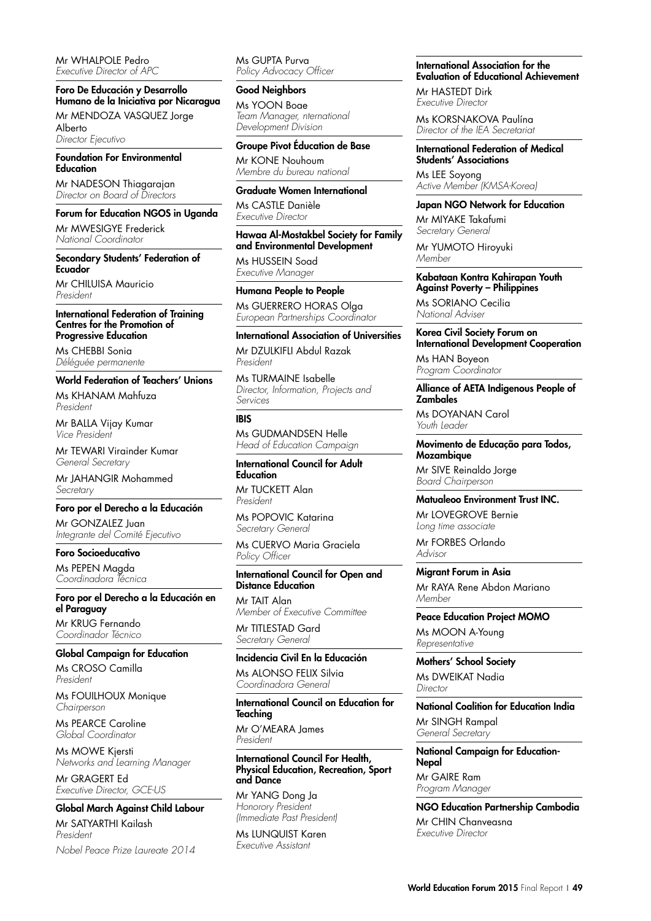Mr WHALPOLE Pedro *Executive Director of APC*

## Foro De Educación y Desarrollo Humano de la Iniciativa por Nicaragua

Mr MENDOZA VASQUEZ Jorge Alberto *Director Ejecutivo*

#### Foundation For Environmental Education

Mr NADESON Thiagarajan *Director on Board of Directors*

## Forum for Education NGOS in Uganda

Mr MWESIGYE Frederick *National Coordinator*

#### Secondary Students' Federation of Ecuador

Mr CHILUISA Mauricio *President*

#### International Federation of Training Centres for the Promotion of Progressive Education

Ms CHEBBI Sonia *Déléguée permanente*

#### World Federation of Teachers' Unions

Ms KHANAM Mahfuza *President*

Mr BALLA Vijay Kumar *Vice President*

Mr TEWARI Virainder Kumar *General Secretary*

Mr JAHANGIR Mohammed *Secretary*

## Foro por el Derecho a la Educación

Mr GONZALEZ Juan *Integrante del Comité Ejecutivo*

#### Foro Socioeducativo

Ms PEPEN Magda *Coordinadora Técnica*

#### Foro por el Derecho a la Educación en el Paraguay Mr KRUG Fernando *Coordinador Técnico*

#### Global Campaign for Education

Ms CROSO Camilla *President*

Ms FOUILHOUX Monique *Chairperson*

Ms PEARCE Caroline *Global Coordinator*

Ms MOWE Kjersti *Networks and Learning Manager*

Mr GRAGERT Ed *Executive Director, GCE-US*

#### Global March Against Child Labour

Mr SATYARTHI Kailash *President Nobel Peace Prize Laureate 2014* Ms GUPTA Purva *Policy Advocacy Officer*

#### Good Neighbors

Ms YOON Boae *Team Manager, nternational Development Division*

Groupe Pivot Éducation de Base

Mr KONE Nouhoum *Membre du bureau national*

#### Graduate Women International Ms CASTLE Danièle *Executive Director*

Hawaa Al-Mostakbel Society for Family

and Environmental Development Ms HUSSEIN Soad *Executive Manager*

# Humana People to People

Ms GUERRERO HORAS Olga *European Partnerships Coordinator*

## International Association of Universities

Mr DZULKIFLI Abdul Razak *President*

Ms TURMAINE Isabelle *Director, Information, Projects and Services*

#### IBIS

Ms GUDMANDSEN Helle *Head of Education Campaign*

#### International Council for Adult **Education**

Mr TUCKETT Alan *President*

Ms POPOVIC Katarina *Secretary General*

Ms CUERVO Maria Graciela *Policy Officer*

## International Council for Open and Distance Education

Mr TAIT Alan *Member of Executive Committee*

Mr TITLESTAD Gard *Secretary General*

#### Incidencia Civil En la Educación Ms ALONSO FELIX Silvia *Coordinadora General*

International Council on Education for Teaching Mr O'MEARA James *President*

International Council For Health, Physical Education, Recreation, Sport and Dance

Mr YANG Dong Ja *Honorory President (Immediate Past President)*

Ms LUNQUIST Karen *Executive Assistant*

## International Association for the Evaluation of Educational Achievement

Mr HASTEDT Dirk *Executive Director*

Ms KORSNAKOVA Paulína *Director of the IEA Secretariat*

## International Federation of Medical Students' Associations

Ms LEE Soyong *Active Member (KMSA-Korea)*

#### Japan NGO Network for Education

Mr MIYAKE Takafumi *Secretary General*

Mr YUMOTO Hiroyuki *Member*

#### Kabataan Kontra Kahirapan Youth Against Poverty – Philippines

Ms SORIANO Cecilia *National Adviser*

#### Korea Civil Society Forum on International Development Cooperation

Ms HAN Boyeon *Program Coordinator*

#### Alliance of AETA Indigenous People of **Zambales**

Ms DOYANAN Carol *Youth Leader*

#### Movimento de Educação para Todos, **Mozambiaue**

Mr SIVE Reinaldo Jorge *Board Chairperson*

#### Matualeoo Environment Trust INC.

Mr LOVEGROVE Bernie *Long time associate*

Mr FORBES Orlando *Advisor*

# Migrant Forum in Asia

Mr RAYA Rene Abdon Mariano *Member*

#### Peace Education Project MOMO Ms MOON A-Young

*Representative*

Mothers' School Society Ms DWEIKAT Nadia *Director*

National Coalition for Education India Mr SINGH Rampal *General Secretary*

National Campaign for Education-Nepal

Mr GAIRE Ram *Program Manager*

# NGO Education Partnership Cambodia

Mr CHIN Chanveasna *Executive Director*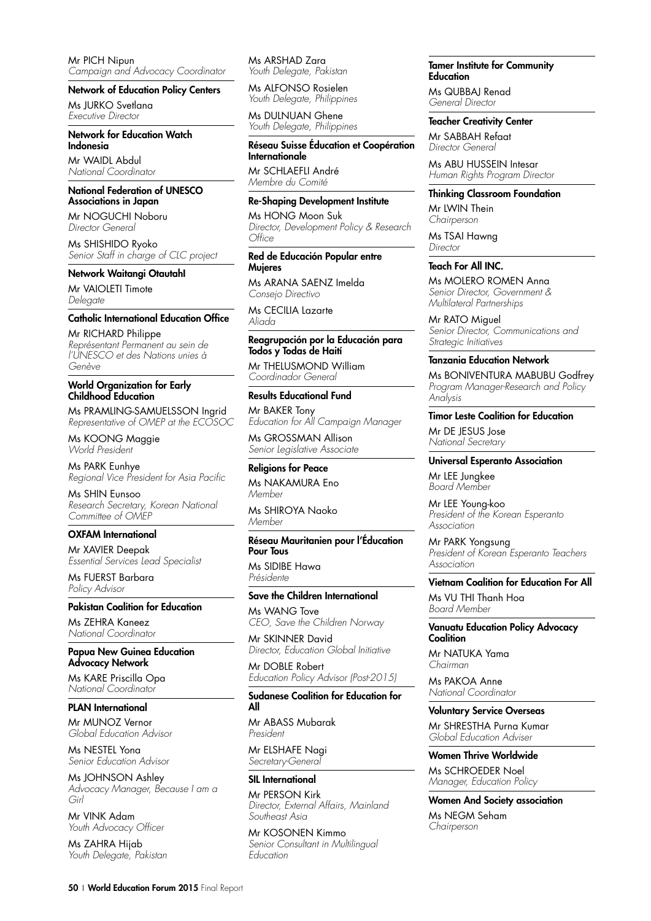Mr PICH Nipun *Campaign and Advocacy Coordinator*

#### Network of Education Policy Centers

Ms JURKO Svetlana *Executive Director*

#### Network for Education Watch Indonesia

Mr WAIDL Abdul *National Coordinator*

#### National Federation of UNESCO Associations in Japan

Mr NOGUCHI Noboru *Director General*

Ms SHISHIDO Ryoko *Senior Staff in charge of CLC project*

#### Network Waitangi OtautahI

Mr VAIOLETI Timote *Delegate*

#### Catholic International Education Office

Mr RICHARD Philippe *Représentant Permanent au sein de l'UNESCO et des Nations unies à Genève*

#### World Organization for Early Childhood Education

Ms PRAMLING-SAMUELSSON Ingrid *Representative of OMEP at the ECOSOC*

Ms KOONG Maggie *World President*

Ms PARK Eunhye *Regional Vice President for Asia Pacific*

Ms SHIN Eunsoo *Research Secretary, Korean National Committee of OMEP*

# OXFAM International

Mr XAVIER Deepak *Essential Services Lead Specialist*

Ms FUERST Barbara *Policy Advisor*

#### Pakistan Coalition for Education

Ms ZEHRA Kaneez *National Coordinator*

Papua New Guinea Education Advocacy Network

Ms KARE Priscilla Opa *National Coordinator*

#### PLAN International

Mr MUNOZ Vernor *Global Education Advisor*

Ms NESTEL Yona *Senior Education Advisor*

Ms JOHNSON Ashley *Advocacy Manager, Because I am a Girl*

Mr VINK Adam *Youth Advocacy Officer*

Ms ZAHRA Hijab *Youth Delegate, Pakistan* Ms ARSHAD Zara *Youth Delegate, Pakistan*

Ms ALFONSO Rosielen *Youth Delegate, Philippines*

Ms DULNUAN Ghene *Youth Delegate, Philippines*

#### Réseau Suisse Éducation et Coopération **Internationale** Mr SCHLAEFLI André

*Membre du Comité*

#### Re-Shaping Development Institute

Ms HONG Moon Suk *Director, Development Policy & Research Office*

Red de Educación Popular entre Mujeres

Ms ARANA SAENZ Imelda *Consejo Directivo*

Ms CECILIA Lazarte *Aliada*

Reagrupación por la Educación para Todos y Todas de Haití

Mr THELUSMOND William *Coordinador General*

# Results Educational Fund

Mr BAKER Tony *Education for All Campaign Manager*

Ms GROSSMAN Allison *Senior Legislative Associate*

#### Religions for Peace

Ms NAKAMURA Eno *Member*

Ms SHIROYA Naoko *Member*

#### Réseau Mauritanien pour l'Éducation Pour Tous

Ms SIDIBE Hawa *Présidente*

#### Save the Children International

Ms WANG Tove *CEO, Save the Children Norway*

Mr SKINNER David *Director, Education Global Initiative*

Mr DOBLE Robert *Education Policy Advisor (Post-2015)*

#### Sudanese Coalition for Education for All

Mr ABASS Mubarak *President*

Mr ELSHAFE Nagi *Secretary-General*

#### SIL International

Mr PERSON Kirk *Director, External Affairs, Mainland Southeast Asia*

Mr KOSONEN Kimmo *Senior Consultant in Multilingual Education*

#### Tamer Institute for Community **Education**

Ms QUBBAJ Renad *General Director*

#### Teacher Creativity Center

Mr SABBAH Refaat *Director General*

Ms ABU HUSSEIN Intesar *Human Rights Program Director*

#### Thinking Classroom Foundation

Mr LWIN Thein *Chairperson*

Ms TSAI Hawng *Director*

#### Teach For All INC.

Ms MOLERO ROMEN Anna *Senior Director, Government & Multilateral Partnerships*

Mr RATO Miguel *Senior Director, Communications and Strategic Initiatives*

#### Tanzania Education Network

Ms BONIVENTURA MABUBU Godfrey *Program Manager-Research and Policy Analysis*

Timor Leste Coalition for Education

Mr DE JESUS Jose *National Secretary*

#### Universal Esperanto Association

Mr LEE Jungkee *Board Member*

Mr LEE Young-koo *President of the Korean Esperanto Association*

Mr PARK Yongsung *President of Korean Esperanto Teachers Association*

#### Vietnam Coalition for Education For All

Ms VU THI Thanh Hoa *Board Member*

Vanuatu Education Policy Advocacy **Coalition** 

Mr NATUKA Yama *Chairman*

Ms PAKOA Anne *National Coordinator*

#### Voluntary Service Overseas

Mr SHRESTHA Purna Kumar *Global Education Adviser*

Women Thrive Worldwide Ms SCHROEDER Noel *Manager, Education Policy*

Women And Society association

Ms NEGM Seham *Chairperson*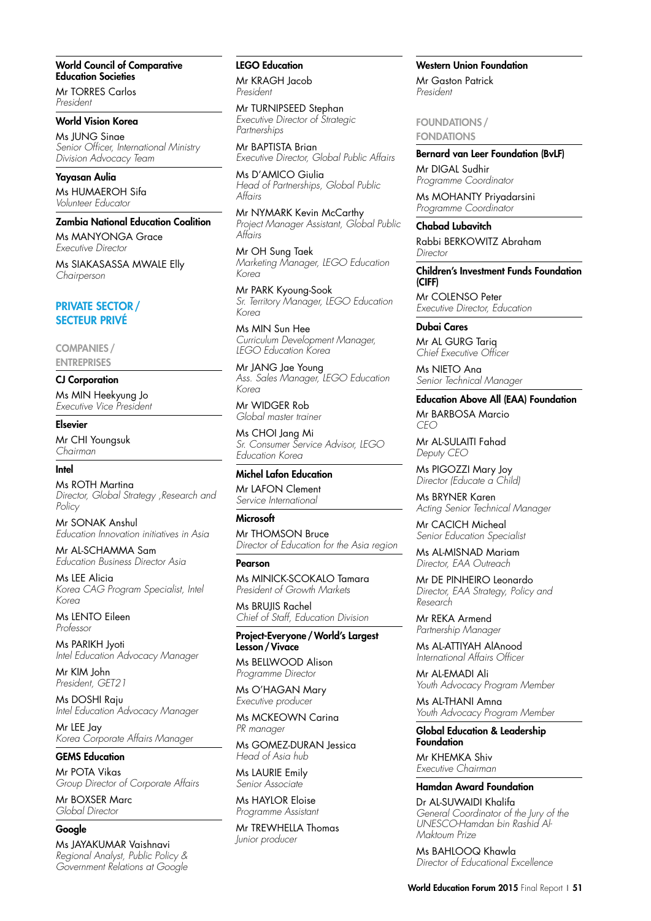#### World Council of Comparative **Education Societies**

Mr TORRES Carlos *President*

#### World Vision Korea

Ms JUNG Sinae *Senior Officer, International Ministry Division Advocacy Team*

#### Yayasan Aulia

Ms HUMAEROH Sifa *Volunteer Educator*

#### Zambia National Education Coalition

Ms MANYONGA Grace *Executive Director*

Ms SIAKASASSA MWALE Elly *Chairperson*

## PRIVATE SECTOR/ SECTEUR PRIVÉ

COMPANIES/ ENTREPRISES

CJ Corporation Ms MIN Heekyung Jo *Executive Vice President*

Elsevier Mr CHI Youngsuk *Chairman*

#### Intel

Ms ROTH Martina *Director, Global Strategy ,Research and Policy*

Mr SONAK Anshul *Education Innovation initiatives in Asia*

Mr AL-SCHAMMA Sam *Education Business Director Asia*

Ms LEE Alicia *Korea CAG Program Specialist, Intel Korea*

Ms LENTO Eileen *Professor*

Ms PARIKH Jyoti *Intel Education Advocacy Manager*

Mr KIM John *President, GET21*

Ms DOSHI Raju *Intel Education Advocacy Manager*

Mr LEE Jay *Korea Corporate Affairs Manager*

GEMS Education Mr POTA Vikas *Group Director of Corporate Affairs*

Mr BOXSER Marc *Global Director*

Google Ms JAYAKUMAR Vaishnavi *Regional Analyst, Public Policy & Government Relations at Google*

#### LEGO Education

Mr KRAGH Jacob *President*

Mr TURNIPSEED Stephan *Executive Director of Strategic Partnerships*

Mr BAPTISTA Brian *Executive Director, Global Public Affairs*

Ms D'AMICO Giulia *Head of Partnerships, Global Public Affairs*

Mr NYMARK Kevin McCarthy *Project Manager Assistant, Global Public Affairs*

Mr OH Sung Taek *Marketing Manager, LEGO Education Korea*

Mr PARK Kyoung-Sook *Sr. Territory Manager, LEGO Education Korea*

Ms MIN Sun Hee *Curriculum Development Manager, LEGO Education Korea*

Mr JANG Jae Young *Ass. Sales Manager, LEGO Education Korea*

Mr WIDGER Rob *Global master trainer*

Ms CHOI Jang Mi *Sr. Consumer Service Advisor, LEGO Education Korea*

#### Michel Lafon Education

Mr LAFON Clement *Service International*

## **Microsoft**

Mr THOMSON Bruce *Director of Education for the Asia region*

Pearson

Ms MINICK-SCOKALO Tamara *President of Growth Markets*

Ms BRUJIS Rachel *Chief of Staff, Education Division*

Project-Everyone/World's Largest Lesson/Vivace

Ms BELLWOOD Alison *Programme Director*

Ms O'HAGAN Mary *Executive producer*

Ms MCKEOWN Carina *PR manager*

Ms GOMEZ-DURAN Jessica *Head of Asia hub*

Ms LAURIE Emily *Senior Associate*

Ms HAYLOR Eloise *Programme Assistant*

Mr TREWHELLA Thomas *Junior producer*

#### Western Union Foundation

Mr Gaston Patrick *President*

FOUNDATIONS/ **FONDATIONS** 

#### Bernard van Leer Foundation (BvLF)

Mr DIGAL Sudhir *Programme Coordinator*

Ms MOHANTY Priyadarsini *Programme Coordinator*

Chabad Lubavitch Rabbi BERKOWITZ Abraham *Director*

Children's Investment Funds Foundation (CIFF)

Mr COLENSO Peter *Executive Director, Education*

Dubai Cares Mr AL GURG Tariq *Chief Executive Officer*

Ms NIETO Ana *Senior Technical Manager*

#### Education Above All (EAA) Foundation

Mr BARBOSA Marcio *CEO*

Mr AL-SULAITI Fahad *Deputy CEO*

Ms PIGOZZI Mary Joy *Director (Educate a Child)*

Ms BRYNER Karen *Acting Senior Technical Manager*

Mr CACICH Micheal *Senior Education Specialist*

Ms AL-MISNAD Mariam *Director, EAA Outreach*

Mr DE PINHEIRO Leonardo *Director, EAA Strategy, Policy and Research*

Mr REKA Armend *Partnership Manager*

Ms AL-ATTIYAH AlAnood *International Affairs Officer*

Mr AL-EMADI Ali *Youth Advocacy Program Member*

Ms AL-THANI Amna *Youth Advocacy Program Member*

#### Global Education & Leadership **Foundation**

Mr KHEMKA Shiv *Executive Chairman*

#### Hamdan Award Foundation

Dr AL-SUWAIDI Khalifa *General Coordinator of the Jury of the UNESCO-Hamdan bin Rashid Al-Maktoum Prize*

Ms BAHLOOQ Khawla *Director of Educational Excellence*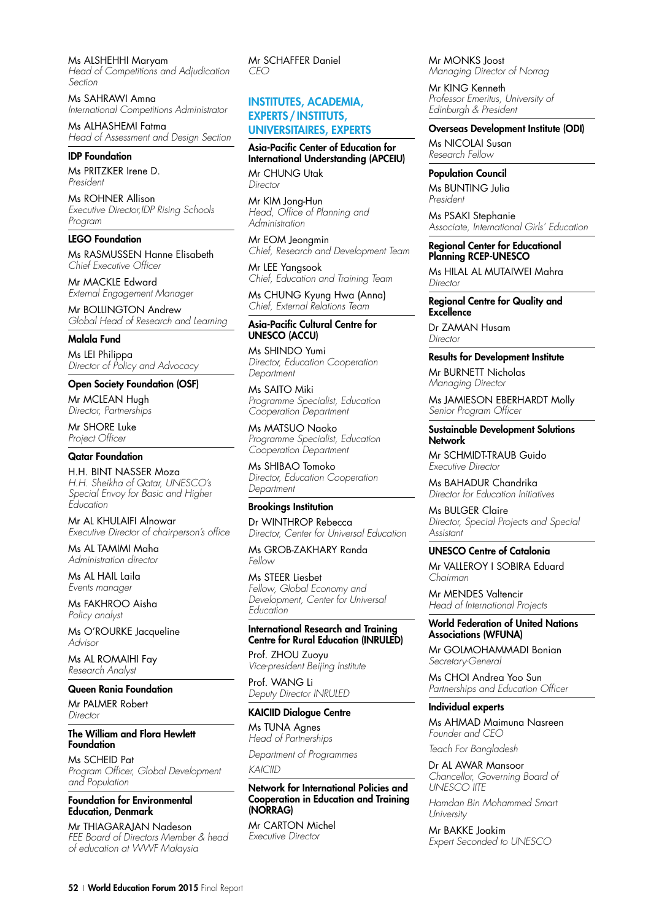Ms ALSHEHHI Maryam *Head of Competitions and Adjudication Section*

Ms SAHRAWI Amna *International Competitions Administrator*

Ms ALHASHEMI Fatma *Head of Assessment and Design Section*

IDP Foundation Ms PRITZKER Irene D. *President*

Ms ROHNER Allison *Executive Director,IDP Rising Schools Program*

#### LEGO Foundation

Ms RASMUSSEN Hanne Elisabeth *Chief Executive Officer*

Mr MACKLE Edward *External Engagement Manager*

Mr BOLLINGTON Andrew *Global Head of Research and Learning*

Malala Fund

Ms LEI Philippa *Director of Policy and Advocacy*

Open Society Foundation (OSF) Mr MCLEAN Hugh

*Director, Partnerships*

Mr SHORE Luke *Project Officer*

#### Qatar Foundation

H.H. BINT NASSER Moza *H.H. Sheikha of Qatar, UNESCO's Special Envoy for Basic and Higher Education*

Mr AL KHULAIFI Alnowar *Executive Director of chairperson's office*

Ms AL TAMIMI Maha *Administration director*

Ms AL HAIL Laila *Events manager*

Ms FAKHROO Aisha *Policy analyst*

Ms O'ROURKE Jacqueline *Advisor*

Ms AL ROMAIHI Fay *Research Analyst*

# Queen Rania Foundation

Mr PALMER Robert *Director*

The William and Flora Hewlett Foundation

Ms SCHEID Pat *Program Officer, Global Development and Population*

Foundation for Environmental Education, Denmark

Mr THIAGARAJAN Nadeson *FEE Board of Directors Member & head of education at WWF Malaysia*

Mr SCHAFFER Daniel *CEO*

## INSTITUTES, ACADEMIA, EXPERTS/INSTITUTS, UNIVERSITAIRES, EXPERTS

Asia-Pacific Center of Education for International Understanding (APCEIU) Mr CHUNG Utak

*Director*

Mr KIM Jong-Hun *Head, Office of Planning and Administration*

Mr EOM Jeongmin *Chief, Research and Development Team*

Mr LEE Yangsook *Chief, Education and Training Team*

Ms CHUNG Kyung Hwa (Anna) *Chief, External Relations Team*

#### Asia-Pacific Cultural Centre for UNESCO (ACCU)

Ms SHINDO Yumi *Director, Education Cooperation Department*

Ms SAITO Miki *Programme Specialist, Education Cooperation Department*

Ms MATSUO Naoko *Programme Specialist, Education Cooperation Department*

Ms SHIBAO Tomoko *Director, Education Cooperation Department*

#### Brookings Institution

Dr WINTHROP Rebecca *Director, Center for Universal Education*

Ms GROB-ZAKHARY Randa *Fellow*

Ms STEER Liesbet *Fellow, Global Economy and Development, Center for Universal Education*

#### International Research and Training Centre for Rural Education (INRULED)

Prof. ZHOU Zuoyu *Vice-president Beijing Institute*

Prof. WANG Li *Deputy Director INRULED*

#### KAICIID Dialogue Centre

Ms TUNA Agnes *Head of Partnerships*

*Department of Programmes KAICIID*

#### Network for International Policies and Cooperation in Education and Training (NORRAG)

Mr CARTON Michel *Executive Director*

Mr MONKS Joost *Managing Director of Norrag*

Mr KING Kenneth *Professor Emeritus, University of Edinburgh & President*

#### Overseas Development Institute (ODI)

Ms NICOLAI Susan *Research Fellow*

Population Council Ms BUNTING Julia *President*

Ms PSAKI Stephanie *Associate, International Girls' Education*

Regional Center for Educational Planning RCEP-UNESCO

Ms HILAL AL MUTAIWEI Mahra *Director*

Regional Centre for Quality and **Excellence** 

Dr ZAMAN Husam *Director*

Results for Development Institute

Mr BURNETT Nicholas *Managing Director*

Ms JAMIESON EBERHARDT Molly *Senior Program Officer*

Sustainable Development Solutions Network

Mr SCHMIDT-TRAUB Guido *Executive Director*

Ms BAHADUR Chandrika *Director for Education Initiatives*

Ms BULGER Claire *Director, Special Projects and Special Assistant*

#### UNESCO Centre of Catalonia

Mr VALLEROY I SOBIRA Eduard *Chairman*

Mr MENDES Valtencir *Head of International Projects*

#### World Federation of United Nations Associations (WFUNA)

Mr GOLMOHAMMADI Bonian *Secretary-General*

Ms CHOI Andrea Yoo Sun *Partnerships and Education Officer*

Individual experts Ms AHMAD Maimuna Nasreen

*Founder and CEO Teach For Bangladesh*

Dr AL AWAR Mansoor *Chancellor, Governing Board of UNESCO IITE*

*Hamdan Bin Mohammed Smart University*

Mr BAKKE Joakim *Expert Seconded to UNESCO*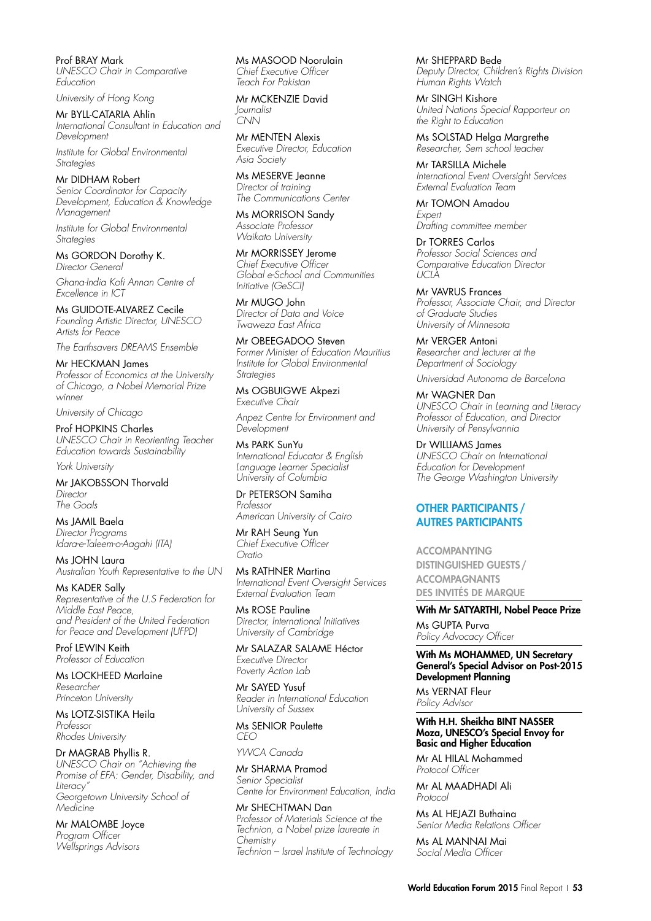Prof BRAY Mark *UNESCO Chair in Comparative Education*

*University of Hong Kong*

Mr BYLL-CATARIA Ahlin *International Consultant in Education and Development*

*Institute for Global Environmental Strategies*

Mr DIDHAM Robert *Senior Coordinator for Capacity Development, Education & Knowledge Management*

*Institute for Global Environmental Strategies*

Ms GORDON Dorothy K. *Director General*

*Ghana-India Kofi Annan Centre of Excellence in ICT*

Ms GUIDOTE-ALVAREZ Cecile *Founding Artistic Director, UNESCO Artists for Peace*

*The Earthsavers DREAMS Ensemble*

Mr HECKMAN James *Professor of Economics at the University of Chicago, a Nobel Memorial Prize winner*

*University of Chicago*

Prof HOPKINS Charles *UNESCO Chair in Reorienting Teacher Education towards Sustainability*

*York University*

Mr JAKOBSSON Thorvald *Director The Goals*

Ms JAMIL Baela *Director Programs Idara-e-Taleem-o-Aagahi (ITA)*

Ms JOHN Laura *Australian Youth Representative to the UN*

Ms KADER Sally *Representative of the U.S Federation for Middle East Peace, and President of the United Federation for Peace and Development (UFPD)*

Prof LEWIN Keith *Professor of Education*

Ms LOCKHEED Marlaine *Researcher Princeton University*

Ms LOTZ-SISTIKA Heila *Professor Rhodes University*

Dr MAGRAB Phyllis R. *UNESCO Chair on "Achieving the Promise of EFA: Gender, Disability, and Literacy" Georgetown University School of Medicine*

Mr MALOMBE Joyce *Program Officer Wellsprings Advisors*

Ms MASOOD Noorulain *Chief Executive Officer Teach For Pakistan*

Mr MCKENZIE David *Journalist CNN*

Mr MENTEN Alexis *Executive Director, Education Asia Society*

Ms MESERVE Jeanne *Director of training The Communications Center*

Ms MORRISON Sandy *Associate Professor Waikato University*

Mr MORRISSEY Jerome *Chief Executive Officer Global e-School and Communities Initiative (GeSCI)*

Mr MUGO John *Director of Data and Voice Twaweza East Africa*

Mr OBEEGADOO Steven *Former Minister of Education Mauritius Institute for Global Environmental Strategies*

Ms OGBUIGWE Akpezi *Executive Chair*

*Anpez Centre for Environment and Development*

Ms PARK SunYu *International Educator & English Language Learner Specialist University of Columbia*

Dr PETERSON Samiha *Professor American University of Cairo*

Mr RAH Seung Yun *Chief Executive Officer Oratio*

Ms RATHNER Martina *International Event Oversight Services External Evaluation Team*

Ms ROSE Pauline *Director, International Initiatives University of Cambridge*

Mr SALAZAR SALAME Héctor *Executive Director Poverty Action Lab*

Mr SAYED Yusuf *Reader in International Education University of Sussex*

Ms SENIOR Paulette *CEO*

*YWCA Canada* Mr SHARMA Pramod

*Senior Specialist Centre for Environment Education, India*

Mr SHECHTMAN Dan *Professor of Materials Science at the Technion, a Nobel prize laureate in Chemistry Technion – Israel Institute of Technology* Mr SHEPPARD Bede *Deputy Director, Children's Rights Division Human Rights Watch*

Mr SINGH Kishore *United Nations Special Rapporteur on the Right to Education*

Ms SOLSTAD Helga Margrethe *Researcher, Sem school teacher*

Mr TARSILLA Michele *International Event Oversight Services External Evaluation Team*

Mr TOMON Amadou *Expert Drafting committee member*

Dr TORRES Carlos *Professor Social Sciences and Comparative Education Director UCLA*

Mr VAVRUS Frances *Professor, Associate Chair, and Director of Graduate Studies University of Minnesota*

Mr VERGER Antoni *Researcher and lecturer at the Department of Sociology*

*Universidad Autonoma de Barcelona*

Mr WAGNER Dan *UNESCO Chair in Learning and Literacy Professor of Education, and Director University of Pensylvannia*

Dr WILLIAMS James *UNESCO Chair on International Education for Development The George Washington University*

## OTHER PARTICIPANTS/ AUTRES PARTICIPANTS

ACCOMPANYING DISTINGUISHED GUESTS/ **ACCOMPAGNANTS** DES INVITÉS DE MARQUE

With Mr SATYARTHI, Nobel Peace Prize Ms GUPTA Purva *Policy Advocacy Officer*

With Ms MOHAMMED, UN Secretary General's Special Advisor on Post-2015 Development Planning

Ms VERNAT Fleur *Policy Advisor*

#### With H.H. Sheikha BINT NASSER Moza, UNESCO's Special Envoy for Basic and Higher Education

Mr AL HILAL Mohammed *Protocol Officer*

Mr AL MAADHADI Ali *Protocol*

Ms AL HEJAZI Buthaina *Senior Media Relations Officer*

Ms AL MANNAI Mai *Social Media Officer*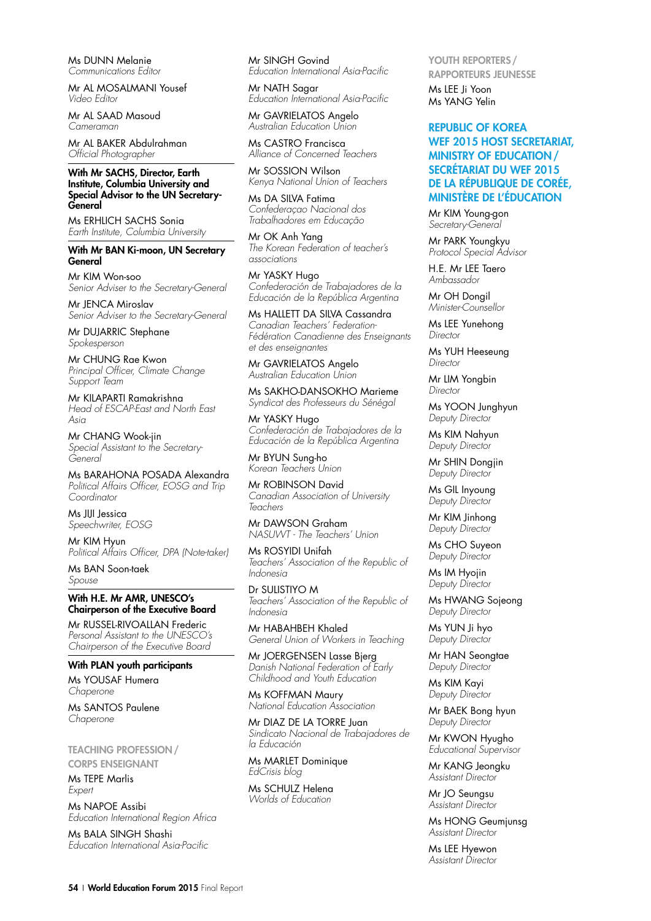Ms DUNN Melanie *Communications Editor*

Mr AL MOSALMANI Yousef *Video Editor*

Mr AL SAAD Masoud *Cameraman*

Mr AL BAKER Abdulrahman *Official Photographer*

With Mr SACHS, Director, Earth Institute, Columbia University and Special Advisor to the UN Secretary-General

Ms ERHLICH SACHS Sonia *Earth Institute, Columbia University*

#### With Mr BAN Ki-moon, UN Secretary General

Mr KIM Won-soo *Senior Adviser to the Secretary-General*

Mr JENCA Miroslav *Senior Adviser to the Secretary-General*

Mr DUJARRIC Stephane *Spokesperson*

Mr CHUNG Rae Kwon *Principal Officer, Climate Change Support Team*

Mr KILAPARTI Ramakrishna *Head of ESCAP-East and North East Asia*

Mr CHANG Wook-jin *Special Assistant to the Secretary-General*

Ms BARAHONA POSADA Alexandra *Political Affairs Officer, EOSG and Trip Coordinator*

Ms JIJI Jessica *Speechwriter, EOSG*

Mr KIM Hyun *Political Affairs Officer, DPA (Note-taker)*

Ms BAN Soon-taek *Spouse* 

#### With H.E. Mr AMR, UNESCO's Chairperson of the Executive Board

Mr RUSSEL-RIVOALLAN Frederic *Personal Assistant to the UNESCO's Chairperson of the Executive Board*

#### With PLAN youth participants

Ms YOUSAF Humera *Chaperone*

Ms SANTOS Paulene *Chaperone*

TEACHING PROFESSION/ CORPS ENSEIGNANT

Ms TEPE Marlis *Expert*

Ms NAPOE Assibi *Education International Region Africa*

Ms BALA SINGH Shashi *Education International Asia-Pacific* Mr SINGH Govind *Education International Asia-Pacific*

Mr NATH Sagar *Education International Asia-Pacific*

Mr GAVRIELATOS Angelo *Australian Education Union*

Ms CASTRO Francisca *Alliance of Concerned Teachers*

Mr SOSSION Wilson *Kenya National Union of Teachers*

Ms DA SILVA Fatima *Confederaçao Nacional dos Trabalhadores em Educação*

Mr OK Anh Yang *The Korean Federation of teacher's associations*

Mr YASKY Hugo *Confederación de Trabajadores de la Educación de la República Argentina*

Ms HALLETT DA SILVA Cassandra *Canadian Teachers' Federation-Fédération Canadienne des Enseignants et des enseignantes*

Mr GAVRIELATOS Angelo *Australian Education Union*

Ms SAKHO-DANSOKHO Marieme *Syndicat des Professeurs du Sénégal*

Mr YASKY Hugo *Confederación de Trabajadores de la Educación de la República Argentina*

Mr BYUN Sung-ho *Korean Teachers Union*

Mr ROBINSON David *Canadian Association of University Teachers*

Mr DAWSON Graham *NASUWT - The Teachers' Union*

Ms ROSYIDI Unifah *Teachers' Association of the Republic of Indonesia*

Dr SULISTIYO M *Teachers' Association of the Republic of Indonesia*

Mr HABAHBEH Khaled *General Union of Workers in Teaching*

Mr JOERGENSEN Lasse Bjerg *Danish National Federation of Early Childhood and Youth Education*

Ms KOFFMAN Maury *National Education Association*

Mr DIAZ DE LA TORRE Juan *Sindicato Nacional de Trabajadores de la Educación*

Ms MARLET Dominique *EdCrisis blog*

Ms SCHULZ Helena *Worlds of Education*

YOUTH REPORTERS/ RAPPORTEURS JEUNESSE

Ms LEE Ji Yoon Ms YANG Yelin

## REPUBLIC OF KOREA WEF 2015 HOST SECRETARIAT, MINISTRY OF EDUCATION/ SECRÉTARIAT DU WEF 2015 DE LA RÉPUBLIQUE DE CORÉE, MINISTÈRE DE L'ÉDUCATION

Mr KIM Young-gon *Secretary-General*

Mr PARK Youngkyu *Protocol Special Advisor*

H.E. Mr LEE Taero *Ambassador*

Mr OH Dongil *Minister-Counsellor*

Ms LEE Yunehong *Director*

Ms YUH Heeseung *Director*

Mr LIM Yongbin *Director*

Ms YOON Junghyun *Deputy Director*

Ms KIM Nahyun *Deputy Director*

Mr SHIN Dongjin *Deputy Director*

Ms GIL Inyoung *Deputy Director*

Mr KIM Jinhong *Deputy Director*

Ms CHO Suyeon *Deputy Director*

Ms IM Hyojin *Deputy Director*

Ms HWANG Sojeong *Deputy Director*

Ms YUN Ji hyo *Deputy Director*

Mr HAN Seongtae *Deputy Director*

Ms KIM Kayi *Deputy Director*

Mr BAEK Bong hyun *Deputy Director*

Mr KWON Hyugho *Educational Supervisor*

Mr KANG Jeongku *Assistant Director*

Mr JO Seungsu *Assistant Director*

Ms HONG Geumjunsg *Assistant Director*

Ms LEE Hyewon *Assistant Director*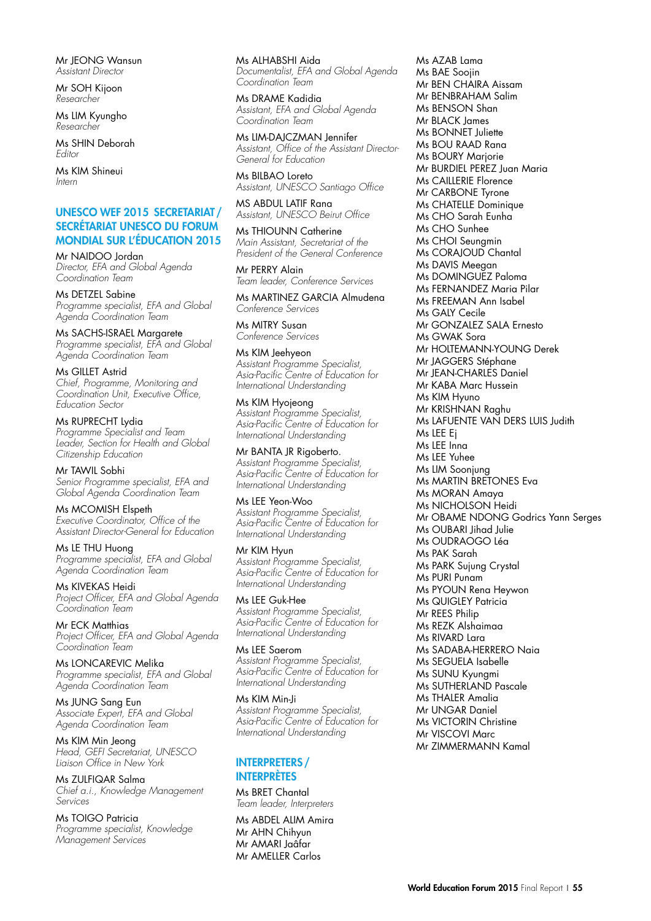Mr JEONG Wansun *Assistant Director*

Mr SOH Kijoon *Researcher*

Ms LIM Kyungho *Researcher*

Ms SHIN Deborah *Editor*

Ms KIM Shineui *Intern*

## UNESCO WEF 2015 SECRETARIAT/ SECRÉTARIAT UNESCO DU FORUM MONDIAL SUR L'ÉDUCATION 2015

Mr NAIDOO Jordan *Director, EFA and Global Agenda Coordination Team*

Ms DETZEL Sabine *Programme specialist, EFA and Global Agenda Coordination Team*

Ms SACHS-ISRAEL Margarete *Programme specialist, EFA and Global Agenda Coordination Team*

Ms GILLET Astrid *Chief, Programme, Monitoring and Coordination Unit, Executive Office, Education Sector*

Ms RUPRECHT Lydia *Programme Specialist and Team Leader, Section for Health and Global Citizenship Education*

Mr TAWIL Sobhi *Senior Programme specialist, EFA and Global Agenda Coordination Team*

Ms MCOMISH Elspeth *Executive Coordinator, Office of the Assistant Director-General for Education*

Ms LE THU Huong *Programme specialist, EFA and Global Agenda Coordination Team*

Ms KIVEKAS Heidi *Project Officer, EFA and Global Agenda Coordination Team*

Mr ECK Matthias *Project Officer, EFA and Global Agenda Coordination Team*

Ms LONCAREVIC Melika *Programme specialist, EFA and Global Agenda Coordination Team*

Ms JUNG Sang Eun *Associate Expert, EFA and Global Agenda Coordination Team*

Ms KIM Min Jeong *Head, GEFI Secretariat, UNESCO Liaison Office in New York*

Ms ZULFIQAR Salma *Chief a.i., Knowledge Management Services*

Ms TOIGO Patricia *Programme specialist, Knowledge Management Services*

Ms ALHABSHI Aida *Documentalist, EFA and Global Agenda Coordination Team*

Ms DRAME Kadidia *Assistant, EFA and Global Agenda Coordination Team*

Ms LIM-DAJCZMAN Jennifer *Assistant, Office of the Assistant Director-General for Education*

Ms BILBAO Loreto *Assistant, UNESCO Santiago Office*

MS ABDUL LATIF Rana *Assistant, UNESCO Beirut Office*

Ms THIOUNN Catherine *Main Assistant, Secretariat of the President of the General Conference* 

Mr PERRY Alain *Team leader, Conference Services*

Ms MARTINEZ GARCIA Almudena *Conference Services*

Ms MITRY Susan *Conference Services*

Ms KIM Jeehyeon *Assistant Programme Specialist, Asia-Pacific Centre of Education for International Understanding*

Ms KIM Hyojeong *Assistant Programme Specialist, Asia-Pacific Centre of Education for International Understanding*

Mr BANTA JR Rigoberto. *Assistant Programme Specialist, Asia-Pacific Centre of Education for International Understanding*

Ms LEE Yeon-Woo *Assistant Programme Specialist, Asia-Pacific Centre of Education for International Understanding*

Mr KIM Hyun *Assistant Programme Specialist, Asia-Pacific Centre of Education for International Understanding*

Ms LEE Guk-Hee *Assistant Programme Specialist, Asia-Pacific Centre of Education for International Understanding*

Ms LEE Saerom *Assistant Programme Specialist, Asia-Pacific Centre of Education for International Understanding*

Ms KIM Min-Ji *Assistant Programme Specialist, Asia-Pacific Centre of Education for International Understanding*

INTERPRETERS/ INTERPRÈTES

Ms BRET Chantal *Team leader, Interpreters*

Ms ABDEL ALIM Amira Mr AHN Chihyun Mr AMARI Jaâfar Mr AMELLER Carlos

Ms AZAB Lama Ms BAE Soojin Mr BEN CHAIRA Aissam Mr BENBRAHAM Salim Ms BENSON Shan Mr BLACK James Ms BONNET Juliette Ms BOU RAAD Rana Ms BOURY Marjorie Mr BURDIEL PEREZ Juan Maria Ms CAILLERIE Florence Mr CARBONE Tyrone Ms CHATELLE Dominique Ms CHO Sarah Eunha Ms CHO Sunhee Ms CHOI Seungmin Ms CORAJOUD Chantal Ms DAVIS Meegan Ms DOMINGUEZ Paloma Ms FERNANDEZ Maria Pilar Ms FREEMAN Ann Isabel Ms GALY Cecile Mr GONZALEZ SALA Ernesto Ms GWAK Sora Mr HOLTEMANN-YOUNG Derek Mr JAGGERS Stéphane Mr JEAN-CHARLES Daniel Mr KABA Marc Hussein Ms KIM Hyuno Mr KRISHNAN Raghu Ms LAFUENTE VAN DERS LUIS Judith Ms LEE Ej Ms LEE Inna Ms LEE Yuhee Ms LIM Soonjung Ms MARTIN BRETONES Eva Ms MORAN Amaya Ms NICHOLSON Heidi Mr OBAME NDONG Godrics Yann Serges Ms OUBARI Jihad Julie Ms OUDRAOGO Léa Ms PAK Sarah Ms PARK Sujung Crystal Ms PURI Punam Ms PYOUN Rena Heywon Ms QUIGLEY Patricia Mr REES Philip Ms REZK Alshaimaa Ms RIVARD Lara Ms SADABA-HERRERO Naia Ms SEGUELA Isabelle Ms SUNU Kyungmi Ms SUTHERLAND Pascale Ms THALER Amalia Mr UNGAR Daniel Ms VICTORIN Christine Mr VISCOVI Marc Mr ZIMMERMANN Kamal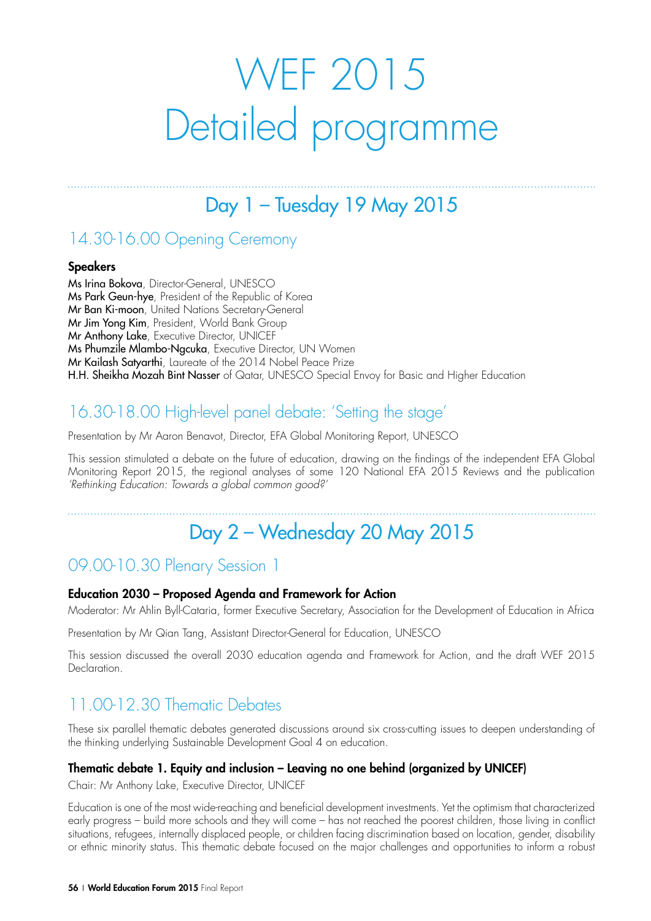# WEF 2015 Detailed programme

# Day 1 – Tuesday 19 May 2015

# 14.30-16.00 Opening Ceremony

# Speakers

Ms Irina Bokova, Director-General, UNESCO Ms Park Geun-hye, President of the Republic of Korea Mr Ban Ki-moon, United Nations Secretary-General Mr Jim Yong Kim, President, World Bank Group Mr Anthony Lake, Executive Director, UNICEF Ms Phumzile Mlambo-Ngcuka, Executive Director, UN Women Mr Kailash Satyarthi, Laureate of the 2014 Nobel Peace Prize H.H. Sheikha Mozah Bint Nasser of Qatar, UNESCO Special Envoy for Basic and Higher Education

# 16.30-18.00 High-level panel debate: 'Setting the stage'

Presentation by Mr Aaron Benavot, Director, EFA Global Monitoring Report, UNESCO

This session stimulated a debate on the future of education, drawing on the findings of the independent EFA Global Monitoring Report 2015, the regional analyses of some 120 National EFA 2015 Reviews and the publication *'Rethinking Education: Towards a global common good?'*

# Day 2 – Wednesday 20 May 2015

# 09.00-10.30 Plenary Session 1

# Education 2030 – Proposed Agenda and Framework for Action

Moderator: Mr Ahlin Byll-Cataria, former Executive Secretary, Association for the Development of Education in Africa

Presentation by Mr Qian Tang, Assistant Director-General for Education, UNESCO

This session discussed the overall 2030 education agenda and Framework for Action, and the draft WEF 2015 Declaration.

# 11.00-12.30 Thematic Debates

These six parallel thematic debates generated discussions around six cross-cutting issues to deepen understanding of the thinking underlying Sustainable Development Goal 4 on education.

# Thematic debate 1. Equity and inclusion – Leaving no one behind (organized by UNICEF)

Chair: Mr Anthony Lake, Executive Director, UNICEF

Education is one of the most wide-reaching and beneficial development investments. Yet the optimism that characterized early progress – build more schools and they will come – has not reached the poorest children, those living in conflict situations, refugees, internally displaced people, or children facing discrimination based on location, gender, disability or ethnic minority status. This thematic debate focused on the major challenges and opportunities to inform a robust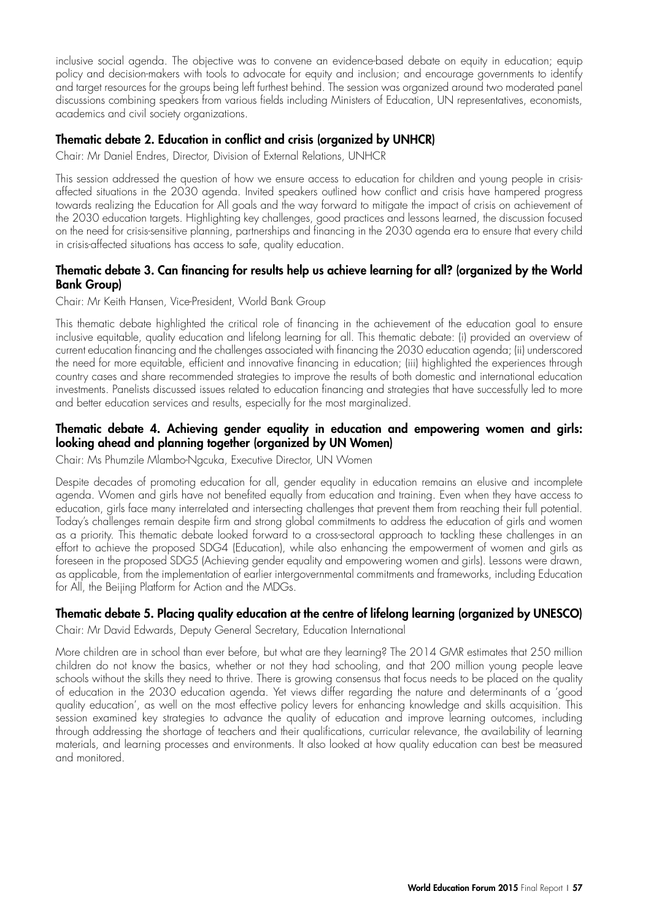inclusive social agenda. The objective was to convene an evidence-based debate on equity in education; equip policy and decision-makers with tools to advocate for equity and inclusion; and encourage governments to identify and target resources for the groups being left furthest behind. The session was organized around two moderated panel discussions combining speakers from various fields including Ministers of Education, UN representatives, economists, academics and civil society organizations.

# Thematic debate 2. Education in conflict and crisis (organized by UNHCR)

Chair: Mr Daniel Endres, Director, Division of External Relations, UNHCR

This session addressed the question of how we ensure access to education for children and young people in crisisaffected situations in the 2030 agenda. Invited speakers outlined how conflict and crisis have hampered progress towards realizing the Education for All goals and the way forward to mitigate the impact of crisis on achievement of the 2030 education targets. Highlighting key challenges, good practices and lessons learned, the discussion focused on the need for crisis-sensitive planning, partnerships and financing in the 2030 agenda era to ensure that every child in crisis-affected situations has access to safe, quality education.

# Thematic debate 3. Can financing for results help us achieve learning for all? (organized by the World Bank Group)

Chair: Mr Keith Hansen, Vice-President, World Bank Group

This thematic debate highlighted the critical role of financing in the achievement of the education goal to ensure inclusive equitable, quality education and lifelong learning for all. This thematic debate: (i) provided an overview of current education financing and the challenges associated with financing the 2030 education agenda; (ii) underscored the need for more equitable, efficient and innovative financing in education; (iii) highlighted the experiences through country cases and share recommended strategies to improve the results of both domestic and international education investments. Panelists discussed issues related to education financing and strategies that have successfully led to more and better education services and results, especially for the most marginalized.

# Thematic debate 4. Achieving gender equality in education and empowering women and girls: looking ahead and planning together (organized by UN Women)

Chair: Ms Phumzile Mlambo-Ngcuka, Executive Director, UN Women

Despite decades of promoting education for all, gender equality in education remains an elusive and incomplete agenda. Women and girls have not benefited equally from education and training. Even when they have access to education, girls face many interrelated and intersecting challenges that prevent them from reaching their full potential. Today's challenges remain despite firm and strong global commitments to address the education of girls and women as a priority. This thematic debate looked forward to a cross-sectoral approach to tackling these challenges in an effort to achieve the proposed SDG4 (Education), while also enhancing the empowerment of women and girls as foreseen in the proposed SDG5 (Achieving gender equality and empowering women and girls). Lessons were drawn, as applicable, from the implementation of earlier intergovernmental commitments and frameworks, including Education for All, the Beijing Platform for Action and the MDGs.

# Thematic debate 5. Placing quality education at the centre of lifelong learning (organized by UNESCO)

Chair: Mr David Edwards, Deputy General Secretary, Education International

More children are in school than ever before, but what are they learning? The 2014 GMR estimates that 250 million children do not know the basics, whether or not they had schooling, and that 200 million young people leave schools without the skills they need to thrive. There is growing consensus that focus needs to be placed on the quality of education in the 2030 education agenda. Yet views differ regarding the nature and determinants of a 'good quality education', as well on the most effective policy levers for enhancing knowledge and skills acquisition. This session examined key strategies to advance the quality of education and improve learning outcomes, including through addressing the shortage of teachers and their qualifications, curricular relevance, the availability of learning materials, and learning processes and environments. It also looked at how quality education can best be measured and monitored.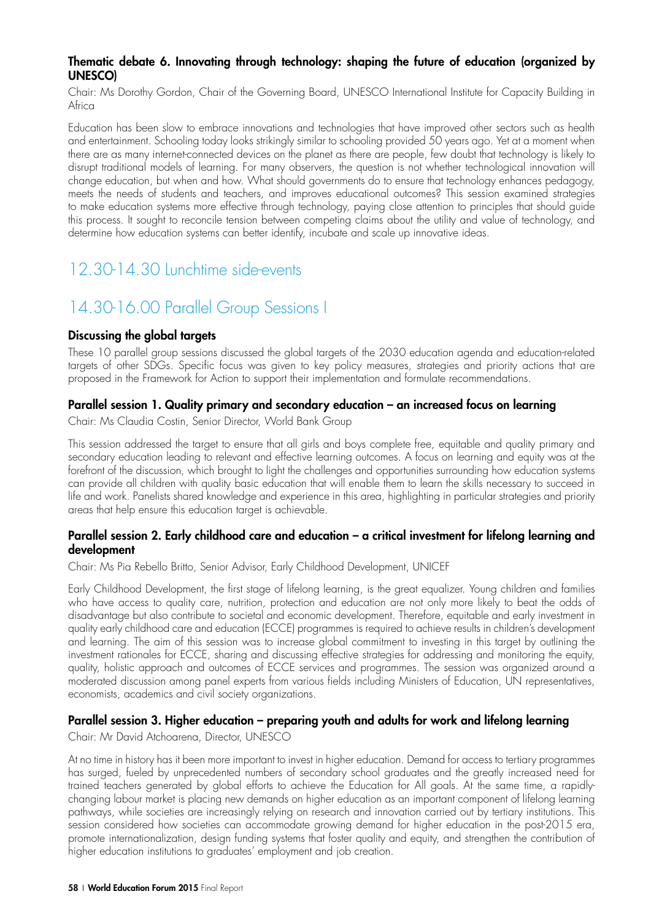# Thematic debate 6. Innovating through technology: shaping the future of education (organized by UNESCO)

Chair: Ms Dorothy Gordon, Chair of the Governing Board, UNESCO International Institute for Capacity Building in Africa

Education has been slow to embrace innovations and technologies that have improved other sectors such as health and entertainment. Schooling today looks strikingly similar to schooling provided 50 years ago. Yet at a moment when there are as many internet-connected devices on the planet as there are people, few doubt that technology is likely to disrupt traditional models of learning. For many observers, the question is not whether technological innovation will change education, but when and how. What should governments do to ensure that technology enhances pedagogy, meets the needs of students and teachers, and improves educational outcomes? This session examined strategies to make education systems more effective through technology, paying close attention to principles that should guide this process. It sought to reconcile tension between competing claims about the utility and value of technology, and determine how education systems can better identify, incubate and scale up innovative ideas.

# 12.30-14.30 Lunchtime side-events

# 14.30-16.00 Parallel Group Sessions I

# Discussing the global targets

These 10 parallel group sessions discussed the global targets of the 2030 education agenda and education-related targets of other SDGs. Specific focus was given to key policy measures, strategies and priority actions that are proposed in the Framework for Action to support their implementation and formulate recommendations.

# Parallel session 1. Quality primary and secondary education – an increased focus on learning

Chair: Ms Claudia Costin, Senior Director, World Bank Group

This session addressed the target to ensure that all girls and boys complete free, equitable and quality primary and secondary education leading to relevant and effective learning outcomes. A focus on learning and equity was at the forefront of the discussion, which brought to light the challenges and opportunities surrounding how education systems can provide all children with quality basic education that will enable them to learn the skills necessary to succeed in life and work. Panelists shared knowledge and experience in this area, highlighting in particular strategies and priority areas that help ensure this education target is achievable.

# Parallel session 2. Early childhood care and education – a critical investment for lifelong learning and development

Chair: Ms Pia Rebello Britto, Senior Advisor, Early Childhood Development, UNICEF

Early Childhood Development, the first stage of lifelong learning, is the great equalizer. Young children and families who have access to quality care, nutrition, protection and education are not only more likely to beat the odds of disadvantage but also contribute to societal and economic development. Therefore, equitable and early investment in quality early childhood care and education (ECCE) programmes is required to achieve results in children's development and learning. The aim of this session was to increase global commitment to investing in this target by outlining the investment rationales for ECCE, sharing and discussing effective strategies for addressing and monitoring the equity, quality, holistic approach and outcomes of ECCE services and programmes. The session was organized around a moderated discussion among panel experts from various fields including Ministers of Education, UN representatives, economists, academics and civil society organizations.

# Parallel session 3. Higher education – preparing youth and adults for work and lifelong learning

Chair: Mr David Atchoarena, Director, UNESCO

At no time in history has it been more important to invest in higher education. Demand for access to tertiary programmes has surged, fueled by unprecedented numbers of secondary school graduates and the greatly increased need for trained teachers generated by global efforts to achieve the Education for All goals. At the same time, a rapidlychanging labour market is placing new demands on higher education as an important component of lifelong learning pathways, while societies are increasingly relying on research and innovation carried out by tertiary institutions. This session considered how societies can accommodate growing demand for higher education in the post-2015 era, promote internationalization, design funding systems that foster quality and equity, and strengthen the contribution of higher education institutions to graduates' employment and job creation.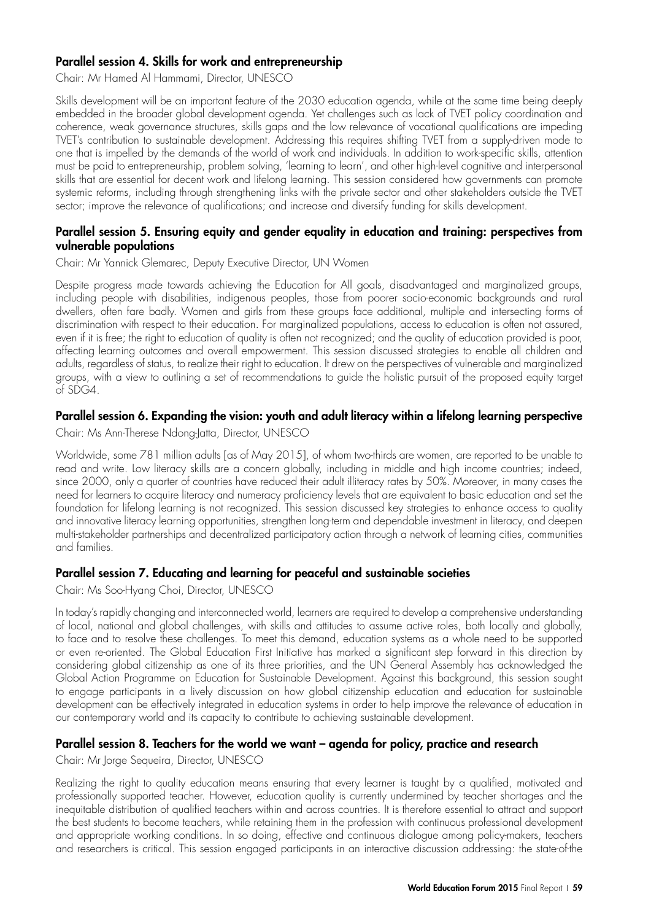# Parallel session 4. Skills for work and entrepreneurship

Chair: Mr Hamed Al Hammami, Director, UNESCO

Skills development will be an important feature of the 2030 education agenda, while at the same time being deeply embedded in the broader global development agenda. Yet challenges such as lack of TVET policy coordination and coherence, weak governance structures, skills gaps and the low relevance of vocational qualifications are impeding TVET's contribution to sustainable development. Addressing this requires shifting TVET from a supply-driven mode to one that is impelled by the demands of the world of work and individuals. In addition to work-specific skills, attention must be paid to entrepreneurship, problem solving, 'learning to learn', and other high-level cognitive and interpersonal skills that are essential for decent work and lifelong learning. This session considered how governments can promote systemic reforms, including through strengthening links with the private sector and other stakeholders outside the TVET sector; improve the relevance of qualifications; and increase and diversify funding for skills development.

# Parallel session 5. Ensuring equity and gender equality in education and training: perspectives from vulnerable populations

Chair: Mr Yannick Glemarec, Deputy Executive Director, UN Women

Despite progress made towards achieving the Education for All goals, disadvantaged and marginalized groups, including people with disabilities, indigenous peoples, those from poorer socio-economic backgrounds and rural dwellers, often fare badly. Women and girls from these groups face additional, multiple and intersecting forms of discrimination with respect to their education. For marginalized populations, access to education is often not assured, even if it is free; the right to education of quality is often not recognized; and the quality of education provided is poor, affecting learning outcomes and overall empowerment. This session discussed strategies to enable all children and adults, regardless of status, to realize their right to education. It drew on the perspectives of vulnerable and marginalized groups, with a view to outlining a set of recommendations to guide the holistic pursuit of the proposed equity target of SDG4.

# Parallel session 6. Expanding the vision: youth and adult literacy within a lifelong learning perspective

Chair: Ms Ann-Therese Ndong-Jatta, Director, UNESCO

Worldwide, some 781 million adults [as of May 2015], of whom two-thirds are women, are reported to be unable to read and write. Low literacy skills are a concern globally, including in middle and high income countries; indeed, since 2000, only a quarter of countries have reduced their adult illiteracy rates by 50%. Moreover, in many cases the need for learners to acquire literacy and numeracy proficiency levels that are equivalent to basic education and set the foundation for lifelong learning is not recognized. This session discussed key strategies to enhance access to quality and innovative literacy learning opportunities, strengthen long-term and dependable investment in literacy, and deepen multi-stakeholder partnerships and decentralized participatory action through a network of learning cities, communities and families.

# Parallel session 7. Educating and learning for peaceful and sustainable societies

Chair: Ms Soo-Hyang Choi, Director, UNESCO

In today's rapidly changing and interconnected world, learners are required to develop a comprehensive understanding of local, national and global challenges, with skills and attitudes to assume active roles, both locally and globally, to face and to resolve these challenges. To meet this demand, education systems as a whole need to be supported or even re-oriented. The Global Education First Initiative has marked a significant step forward in this direction by considering global citizenship as one of its three priorities, and the UN General Assembly has acknowledged the Global Action Programme on Education for Sustainable Development. Against this background, this session sought to engage participants in a lively discussion on how global citizenship education and education for sustainable development can be effectively integrated in education systems in order to help improve the relevance of education in our contemporary world and its capacity to contribute to achieving sustainable development.

# Parallel session 8. Teachers for the world we want – agenda for policy, practice and research

Chair: Mr Jorge Sequeira, Director, UNESCO

Realizing the right to quality education means ensuring that every learner is taught by a qualified, motivated and professionally supported teacher. However, education quality is currently undermined by teacher shortages and the inequitable distribution of qualified teachers within and across countries. It is therefore essential to attract and support the best students to become teachers, while retaining them in the profession with continuous professional development and appropriate working conditions. In so doing, effective and continuous dialogue among policy-makers, teachers and researchers is critical. This session engaged participants in an interactive discussion addressing: the state-of-the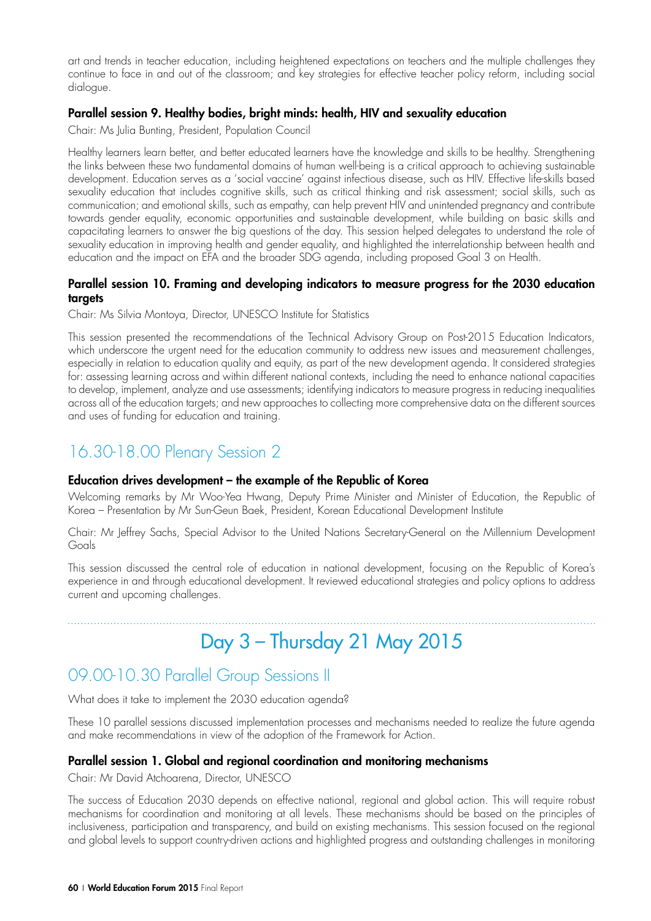art and trends in teacher education, including heightened expectations on teachers and the multiple challenges they continue to face in and out of the classroom; and key strategies for effective teacher policy reform, including social dialogue.

# Parallel session 9. Healthy bodies, bright minds: health, HIV and sexuality education

Chair: Ms Julia Bunting, President, Population Council

Healthy learners learn better, and better educated learners have the knowledge and skills to be healthy. Strengthening the links between these two fundamental domains of human well-being is a critical approach to achieving sustainable development. Education serves as a 'social vaccine' against infectious disease, such as HIV. Effective life-skills based sexuality education that includes cognitive skills, such as critical thinking and risk assessment; social skills, such as communication; and emotional skills, such as empathy, can help prevent HIV and unintended pregnancy and contribute towards gender equality, economic opportunities and sustainable development, while building on basic skills and capacitating learners to answer the big questions of the day. This session helped delegates to understand the role of sexuality education in improving health and gender equality, and highlighted the interrelationship between health and education and the impact on EFA and the broader SDG agenda, including proposed Goal 3 on Health.

# Parallel session 10. Framing and developing indicators to measure progress for the 2030 education targets

Chair: Ms Silvia Montoya, Director, UNESCO Institute for Statistics

This session presented the recommendations of the Technical Advisory Group on Post-2015 Education Indicators, which underscore the urgent need for the education community to address new issues and measurement challenges, especially in relation to education quality and equity, as part of the new development agenda. It considered strategies for: assessing learning across and within different national contexts, including the need to enhance national capacities to develop, implement, analyze and use assessments; identifying indicators to measure progress in reducing inequalities across all of the education targets; and new approaches to collecting more comprehensive data on the different sources and uses of funding for education and training.

# 16.30-18.00 Plenary Session 2

## Education drives development – the example of the Republic of Korea

Welcoming remarks by Mr Woo-Yea Hwang, Deputy Prime Minister and Minister of Education, the Republic of Korea – Presentation by Mr Sun-Geun Baek, President, Korean Educational Development Institute

Chair: Mr Jeffrey Sachs, Special Advisor to the United Nations Secretary-General on the Millennium Development Goals

This session discussed the central role of education in national development, focusing on the Republic of Korea's experience in and through educational development. It reviewed educational strategies and policy options to address current and upcoming challenges.

# Day 3 – Thursday 21 May 2015

# 09.00-10.30 Parallel Group Sessions II

What does it take to implement the 2030 education agenda?

These 10 parallel sessions discussed implementation processes and mechanisms needed to realize the future agenda and make recommendations in view of the adoption of the Framework for Action.

# Parallel session 1. Global and regional coordination and monitoring mechanisms

Chair: Mr David Atchoarena, Director, UNESCO

The success of Education 2030 depends on effective national, regional and global action. This will require robust mechanisms for coordination and monitoring at all levels. These mechanisms should be based on the principles of inclusiveness, participation and transparency, and build on existing mechanisms. This session focused on the regional and global levels to support country-driven actions and highlighted progress and outstanding challenges in monitoring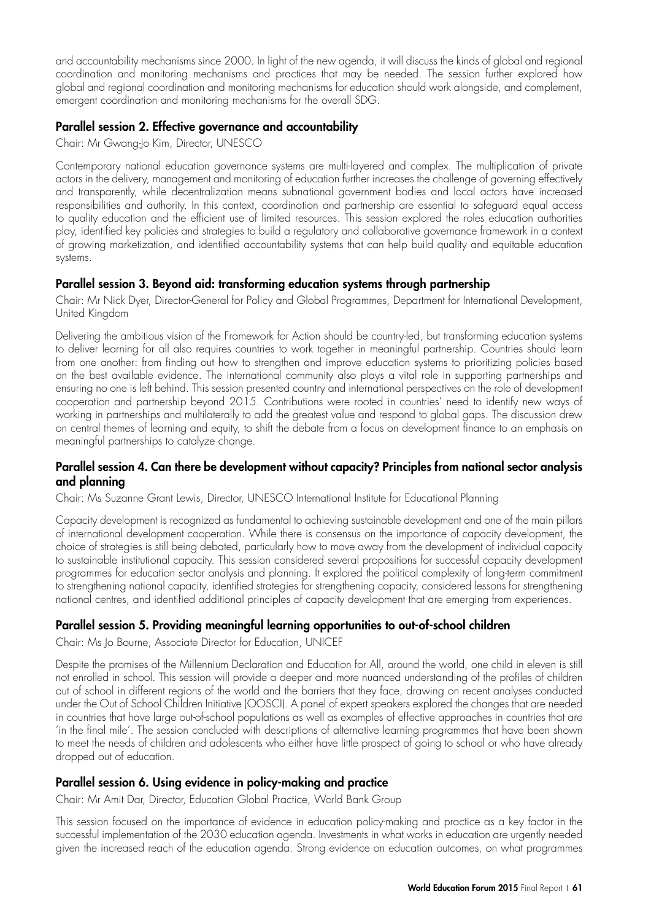and accountability mechanisms since 2000. In light of the new agenda, it will discuss the kinds of global and regional coordination and monitoring mechanisms and practices that may be needed. The session further explored how global and regional coordination and monitoring mechanisms for education should work alongside, and complement, emergent coordination and monitoring mechanisms for the overall SDG.

# Parallel session 2. Effective governance and accountability

Chair: Mr Gwang-Jo Kim, Director, UNESCO

Contemporary national education governance systems are multi-layered and complex. The multiplication of private actors in the delivery, management and monitoring of education further increases the challenge of governing effectively and transparently, while decentralization means subnational government bodies and local actors have increased responsibilities and authority. In this context, coordination and partnership are essential to safeguard equal access to quality education and the efficient use of limited resources. This session explored the roles education authorities play, identified key policies and strategies to build a regulatory and collaborative governance framework in a context of growing marketization, and identified accountability systems that can help build quality and equitable education systems.

# Parallel session 3. Beyond aid: transforming education systems through partnership

Chair: Mr Nick Dyer, Director-General for Policy and Global Programmes, Department for International Development, United Kingdom

Delivering the ambitious vision of the Framework for Action should be country-led, but transforming education systems to deliver learning for all also requires countries to work together in meaningful partnership. Countries should learn from one another: from finding out how to strengthen and improve education systems to prioritizing policies based on the best available evidence. The international community also plays a vital role in supporting partnerships and ensuring no one is left behind. This session presented country and international perspectives on the role of development cooperation and partnership beyond 2015. Contributions were rooted in countries' need to identify new ways of working in partnerships and multilaterally to add the greatest value and respond to global gaps. The discussion drew on central themes of learning and equity, to shift the debate from a focus on development finance to an emphasis on meaningful partnerships to catalyze change.

# Parallel session 4. Can there be development without capacity? Principles from national sector analysis and planning

Chair: Ms Suzanne Grant Lewis, Director, UNESCO International Institute for Educational Planning

Capacity development is recognized as fundamental to achieving sustainable development and one of the main pillars of international development cooperation. While there is consensus on the importance of capacity development, the choice of strategies is still being debated, particularly how to move away from the development of individual capacity to sustainable institutional capacity. This session considered several propositions for successful capacity development programmes for education sector analysis and planning. It explored the political complexity of long-term commitment to strengthening national capacity, identified strategies for strengthening capacity, considered lessons for strengthening national centres, and identified additional principles of capacity development that are emerging from experiences.

# Parallel session 5. Providing meaningful learning opportunities to out-of-school children

Chair: Ms Jo Bourne, Associate Director for Education, UNICEF

Despite the promises of the Millennium Declaration and Education for All, around the world, one child in eleven is still not enrolled in school. This session will provide a deeper and more nuanced understanding of the profiles of children out of school in different regions of the world and the barriers that they face, drawing on recent analyses conducted under the Out of School Children Initiative (OOSCI). A panel of expert speakers explored the changes that are needed in countries that have large out-of-school populations as well as examples of effective approaches in countries that are 'in the final mile'. The session concluded with descriptions of alternative learning programmes that have been shown to meet the needs of children and adolescents who either have little prospect of going to school or who have already dropped out of education.

# Parallel session 6. Using evidence in policy-making and practice

Chair: Mr Amit Dar, Director, Education Global Practice, World Bank Group

This session focused on the importance of evidence in education policy-making and practice as a key factor in the successful implementation of the 2030 education agenda. Investments in what works in education are urgently needed given the increased reach of the education agenda. Strong evidence on education outcomes, on what programmes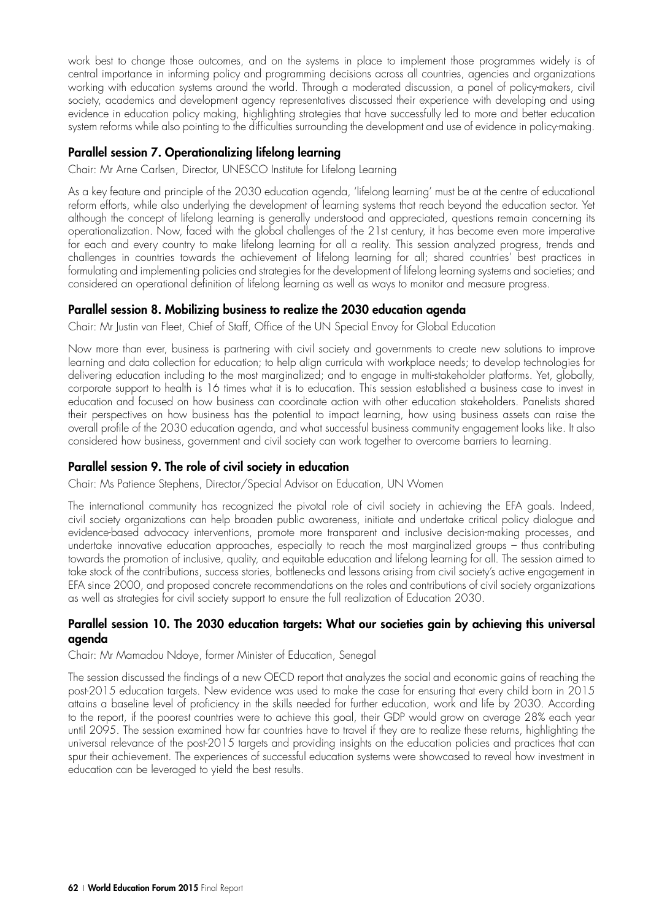work best to change those outcomes, and on the systems in place to implement those programmes widely is of central importance in informing policy and programming decisions across all countries, agencies and organizations working with education systems around the world. Through a moderated discussion, a panel of policy-makers, civil society, academics and development agency representatives discussed their experience with developing and using evidence in education policy making, highlighting strategies that have successfully led to more and better education system reforms while also pointing to the difficulties surrounding the development and use of evidence in policy-making.

# Parallel session 7. Operationalizing lifelong learning

Chair: Mr Arne Carlsen, Director, UNESCO Institute for Lifelong Learning

As a key feature and principle of the 2030 education agenda, 'lifelong learning' must be at the centre of educational reform efforts, while also underlying the development of learning systems that reach beyond the education sector. Yet although the concept of lifelong learning is generally understood and appreciated, questions remain concerning its operationalization. Now, faced with the global challenges of the 21st century, it has become even more imperative for each and every country to make lifelong learning for all a reality. This session analyzed progress, trends and challenges in countries towards the achievement of lifelong learning for all; shared countries' best practices in formulating and implementing policies and strategies for the development of lifelong learning systems and societies; and considered an operational definition of lifelong learning as well as ways to monitor and measure progress.

# Parallel session 8. Mobilizing business to realize the 2030 education agenda

Chair: Mr Justin van Fleet, Chief of Staff, Office of the UN Special Envoy for Global Education

Now more than ever, business is partnering with civil society and governments to create new solutions to improve learning and data collection for education; to help align curricula with workplace needs; to develop technologies for delivering education including to the most marginalized; and to engage in multi-stakeholder platforms. Yet, globally, corporate support to health is 16 times what it is to education. This session established a business case to invest in education and focused on how business can coordinate action with other education stakeholders. Panelists shared their perspectives on how business has the potential to impact learning, how using business assets can raise the overall profile of the 2030 education agenda, and what successful business community engagement looks like. It also considered how business, government and civil society can work together to overcome barriers to learning.

# Parallel session 9. The role of civil society in education

Chair: Ms Patience Stephens, Director/Special Advisor on Education, UN Women

The international community has recognized the pivotal role of civil society in achieving the EFA goals. Indeed, civil society organizations can help broaden public awareness, initiate and undertake critical policy dialogue and evidence-based advocacy interventions, promote more transparent and inclusive decision-making processes, and undertake innovative education approaches, especially to reach the most marginalized groups – thus contributing towards the promotion of inclusive, quality, and equitable education and lifelong learning for all. The session aimed to take stock of the contributions, success stories, bottlenecks and lessons arising from civil society's active engagement in EFA since 2000, and proposed concrete recommendations on the roles and contributions of civil society organizations as well as strategies for civil society support to ensure the full realization of Education 2030.

# Parallel session 10. The 2030 education targets: What our societies gain by achieving this universal agenda

Chair: Mr Mamadou Ndoye, former Minister of Education, Senegal

The session discussed the findings of a new OECD report that analyzes the social and economic gains of reaching the post-2015 education targets. New evidence was used to make the case for ensuring that every child born in 2015 attains a baseline level of proficiency in the skills needed for further education, work and life by 2030. According to the report, if the poorest countries were to achieve this goal, their GDP would grow on average 28% each year until 2095. The session examined how far countries have to travel if they are to realize these returns, highlighting the universal relevance of the post-2015 targets and providing insights on the education policies and practices that can spur their achievement. The experiences of successful education systems were showcased to reveal how investment in education can be leveraged to yield the best results.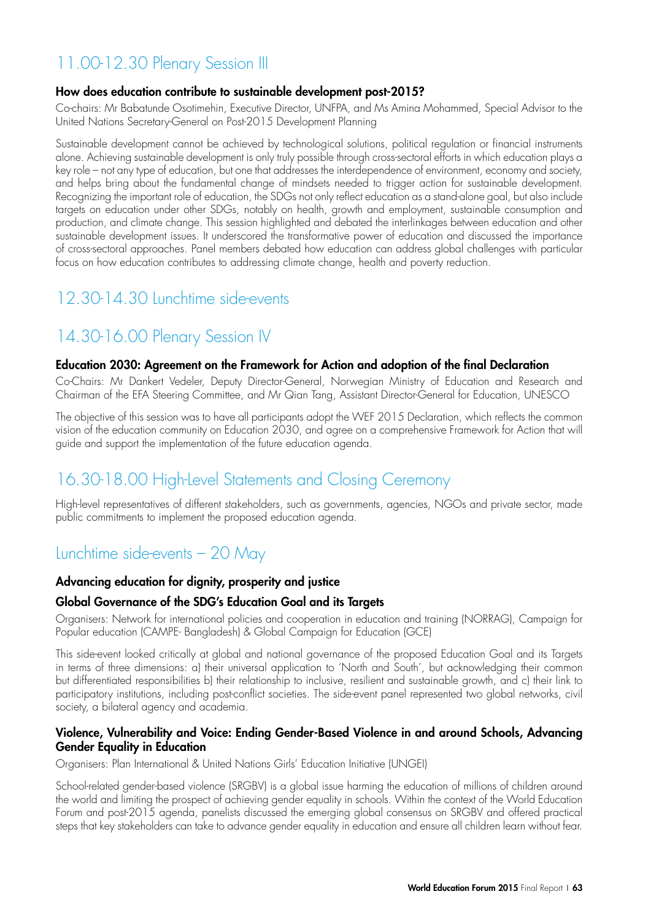# 11.00-12.30 Plenary Session III

# How does education contribute to sustainable development post-2015?

Co-chairs: Mr Babatunde Osotimehin, Executive Director, UNFPA, and Ms Amina Mohammed, Special Advisor to the United Nations Secretary-General on Post-2015 Development Planning

Sustainable development cannot be achieved by technological solutions, political regulation or financial instruments alone. Achieving sustainable development is only truly possible through cross-sectoral efforts in which education plays a key role – not any type of education, but one that addresses the interdependence of environment, economy and society, and helps bring about the fundamental change of mindsets needed to trigger action for sustainable development. Recognizing the important role of education, the SDGs not only reflect education as a stand-alone goal, but also include targets on education under other SDGs, notably on health, growth and employment, sustainable consumption and production, and climate change. This session highlighted and debated the interlinkages between education and other sustainable development issues. It underscored the transformative power of education and discussed the importance of cross-sectoral approaches. Panel members debated how education can address global challenges with particular focus on how education contributes to addressing climate change, health and poverty reduction.

# 12.30-14.30 Lunchtime side-events

# 14.30-16.00 Plenary Session IV

# Education 2030: Agreement on the Framework for Action and adoption of the final Declaration

Co-Chairs: Mr Dankert Vedeler, Deputy Director-General, Norwegian Ministry of Education and Research and Chairman of the EFA Steering Committee, and Mr Qian Tang, Assistant Director-General for Education, UNESCO

The objective of this session was to have all participants adopt the WEF 2015 Declaration, which reflects the common vision of the education community on Education 2030, and agree on a comprehensive Framework for Action that will guide and support the implementation of the future education agenda.

# 16.30-18.00 High-Level Statements and Closing Ceremony

High-level representatives of different stakeholders, such as governments, agencies, NGOs and private sector, made public commitments to implement the proposed education agenda.

# Lunchtime side-events – 20 May

# Advancing education for dignity, prosperity and justice

# Global Governance of the SDG's Education Goal and its Targets

Organisers: Network for international policies and cooperation in education and training (NORRAG), Campaign for Popular education (CAMPE- Bangladesh) & Global Campaign for Education (GCE)

This side-event looked critically at global and national governance of the proposed Education Goal and its Targets in terms of three dimensions: a) their universal application to 'North and South', but acknowledging their common but differentiated responsibilities b) their relationship to inclusive, resilient and sustainable growth, and c) their link to participatory institutions, including post-conflict societies. The side-event panel represented two global networks, civil society, a bilateral agency and academia.

# Violence, Vulnerability and Voice: Ending Gender-Based Violence in and around Schools, Advancing Gender Equality in Education

Organisers: Plan International & United Nations Girls' Education Initiative (UNGEI)

School-related gender-based violence (SRGBV) is a global issue harming the education of millions of children around the world and limiting the prospect of achieving gender equality in schools. Within the context of the World Education Forum and post-2015 agenda, panelists discussed the emerging global consensus on SRGBV and offered practical steps that key stakeholders can take to advance gender equality in education and ensure all children learn without fear.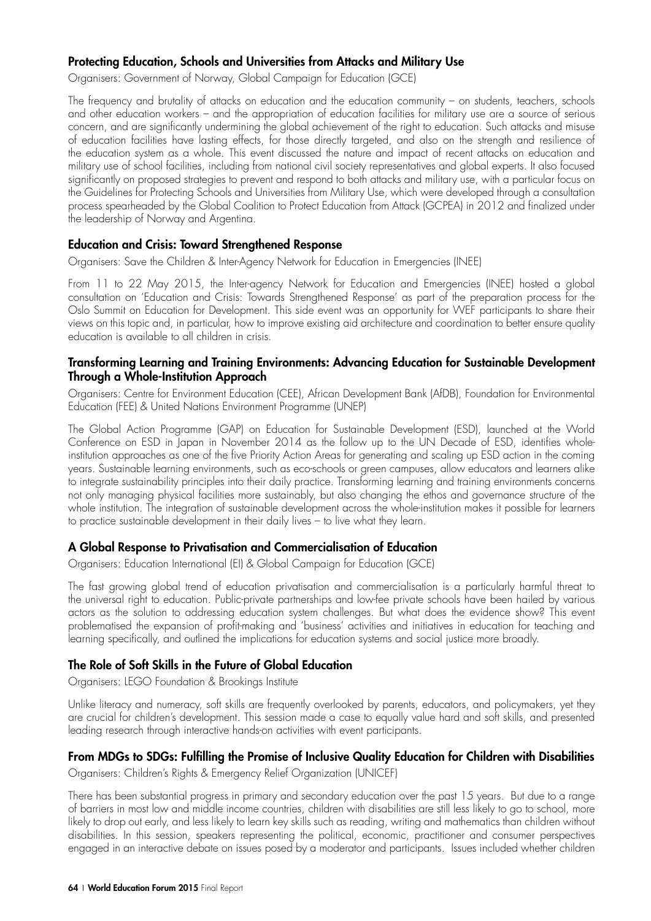# Protecting Education, Schools and Universities from Attacks and Military Use

Organisers: Government of Norway, Global Campaign for Education (GCE)

The frequency and brutality of attacks on education and the education community – on students, teachers, schools and other education workers – and the appropriation of education facilities for military use are a source of serious concern, and are significantly undermining the global achievement of the right to education. Such attacks and misuse of education facilities have lasting effects, for those directly targeted, and also on the strength and resilience of the education system as a whole. This event discussed the nature and impact of recent attacks on education and military use of school facilities, including from national civil society representatives and global experts. It also focused significantly on proposed strategies to prevent and respond to both attacks and military use, with a particular focus on the Guidelines for Protecting Schools and Universities from Military Use, which were developed through a consultation process spearheaded by the Global Coalition to Protect Education from Attack (GCPEA) in 2012 and finalized under the leadership of Norway and Argentina.

# Education and Crisis: Toward Strengthened Response

Organisers: Save the Children & Inter-Agency Network for Education in Emergencies (INEE)

From 11 to 22 May 2015, the Inter-agency Network for Education and Emergencies (INEE) hosted a global consultation on 'Education and Crisis: Towards Strengthened Response' as part of the preparation process for the Oslo Summit on Education for Development. This side event was an opportunity for WEF participants to share their views on this topic and, in particular, how to improve existing aid architecture and coordination to better ensure quality education is available to all children in crisis.

# Transforming Learning and Training Environments: Advancing Education for Sustainable Development Through a Whole-Institution Approach

Organisers: Centre for Environment Education (CEE), African Development Bank (AfDB), Foundation for Environmental Education (FEE) & United Nations Environment Programme (UNEP)

The Global Action Programme (GAP) on Education for Sustainable Development (ESD), launched at the World Conference on ESD in Japan in November 2014 as the follow up to the UN Decade of ESD, identifies wholeinstitution approaches as one of the five Priority Action Areas for generating and scaling up ESD action in the coming years. Sustainable learning environments, such as eco-schools or green campuses, allow educators and learners alike to integrate sustainability principles into their daily practice. Transforming learning and training environments concerns not only managing physical facilities more sustainably, but also changing the ethos and governance structure of the whole institution. The integration of sustainable development across the whole-institution makes it possible for learners to practice sustainable development in their daily lives – to live what they learn.

# A Global Response to Privatisation and Commercialisation of Education

Organisers: Education International (EI) & Global Campaign for Education (GCE)

The fast growing global trend of education privatisation and commercialisation is a particularly harmful threat to the universal right to education. Public-private partnerships and low-fee private schools have been hailed by various actors as the solution to addressing education system challenges. But what does the evidence show? This event problematised the expansion of profit-making and 'business' activities and initiatives in education for teaching and learning specifically, and outlined the implications for education systems and social justice more broadly.

# The Role of Soft Skills in the Future of Global Education

Organisers: LEGO Foundation & Brookings Institute

Unlike literacy and numeracy, soft skills are frequently overlooked by parents, educators, and policymakers, yet they are crucial for children's development. This session made a case to equally value hard and soft skills, and presented leading research through interactive hands-on activities with event participants.

# From MDGs to SDGs: Fulfilling the Promise of Inclusive Quality Education for Children with Disabilities

Organisers: Children's Rights & Emergency Relief Organization (UNICEF)

There has been substantial progress in primary and secondary education over the past 15 years. But due to a range of barriers in most low and middle income countries, children with disabilities are still less likely to go to school, more likely to drop out early, and less likely to learn key skills such as reading, writing and mathematics than children without disabilities. In this session, speakers representing the political, economic, practitioner and consumer perspectives engaged in an interactive debate on issues posed by a moderator and participants. Issues included whether children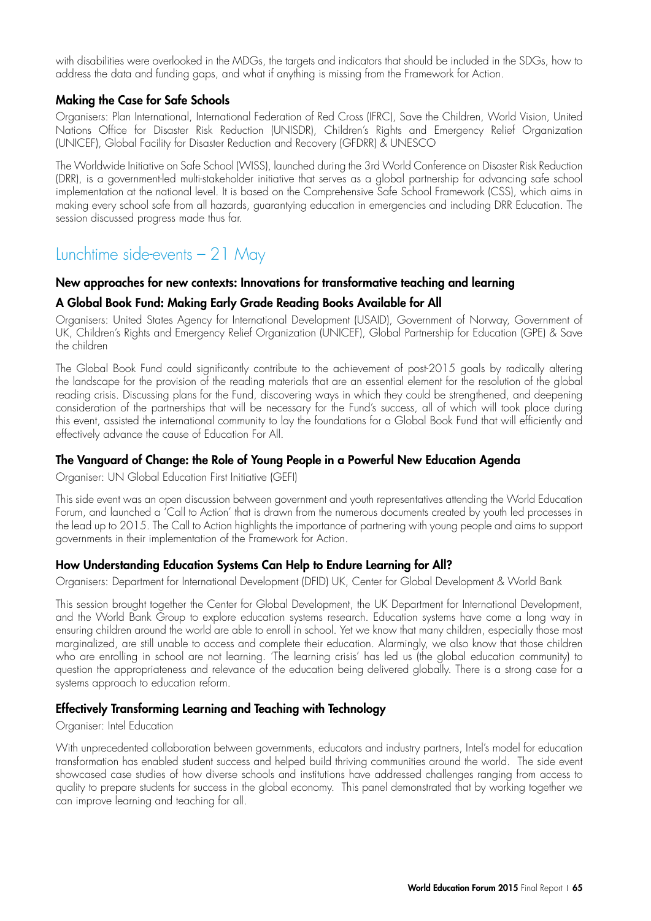with disabilities were overlooked in the MDGs, the targets and indicators that should be included in the SDGs, how to address the data and funding gaps, and what if anything is missing from the Framework for Action.

# Making the Case for Safe Schools

Organisers: Plan International, International Federation of Red Cross (IFRC), Save the Children, World Vision, United Nations Office for Disaster Risk Reduction (UNISDR), Children's Rights and Emergency Relief Organization (UNICEF), Global Facility for Disaster Reduction and Recovery (GFDRR) & UNESCO

The Worldwide Initiative on Safe School (WISS), launched during the 3rd World Conference on Disaster Risk Reduction (DRR), is a government-led multi-stakeholder initiative that serves as a global partnership for advancing safe school implementation at the national level. It is based on the Comprehensive Safe School Framework (CSS), which aims in making every school safe from all hazards, guarantying education in emergencies and including DRR Education. The session discussed progress made thus far.

# Lunchtime side-events – 21 May

## New approaches for new contexts: Innovations for transformative teaching and learning

# A Global Book Fund: Making Early Grade Reading Books Available for All

Organisers: United States Agency for International Development (USAID), Government of Norway, Government of UK, Children's Rights and Emergency Relief Organization (UNICEF), Global Partnership for Education (GPE) & Save the children

The Global Book Fund could significantly contribute to the achievement of post-2015 goals by radically altering the landscape for the provision of the reading materials that are an essential element for the resolution of the global reading crisis. Discussing plans for the Fund, discovering ways in which they could be strengthened, and deepening consideration of the partnerships that will be necessary for the Fund's success, all of which will took place during this event, assisted the international community to lay the foundations for a Global Book Fund that will efficiently and effectively advance the cause of Education For All.

# The Vanguard of Change: the Role of Young People in a Powerful New Education Agenda

Organiser: UN Global Education First Initiative (GEFI)

This side event was an open discussion between government and youth representatives attending the World Education Forum, and launched a 'Call to Action' that is drawn from the numerous documents created by youth led processes in the lead up to 2015. The Call to Action highlights the importance of partnering with young people and aims to support governments in their implementation of the Framework for Action.

# How Understanding Education Systems Can Help to Endure Learning for All?

Organisers: Department for International Development (DFID) UK, Center for Global Development & World Bank

This session brought together the Center for Global Development, the UK Department for International Development, and the World Bank Group to explore education systems research. Education systems have come a long way in ensuring children around the world are able to enroll in school. Yet we know that many children, especially those most marginalized, are still unable to access and complete their education. Alarmingly, we also know that those children who are enrolling in school are not learning. 'The learning crisis' has led us (the global education community) to question the appropriateness and relevance of the education being delivered globally. There is a strong case for a systems approach to education reform.

# Effectively Transforming Learning and Teaching with Technology

#### Organiser: Intel Education

With unprecedented collaboration between governments, educators and industry partners, Intel's model for education transformation has enabled student success and helped build thriving communities around the world. The side event showcased case studies of how diverse schools and institutions have addressed challenges ranging from access to quality to prepare students for success in the global economy. This panel demonstrated that by working together we can improve learning and teaching for all.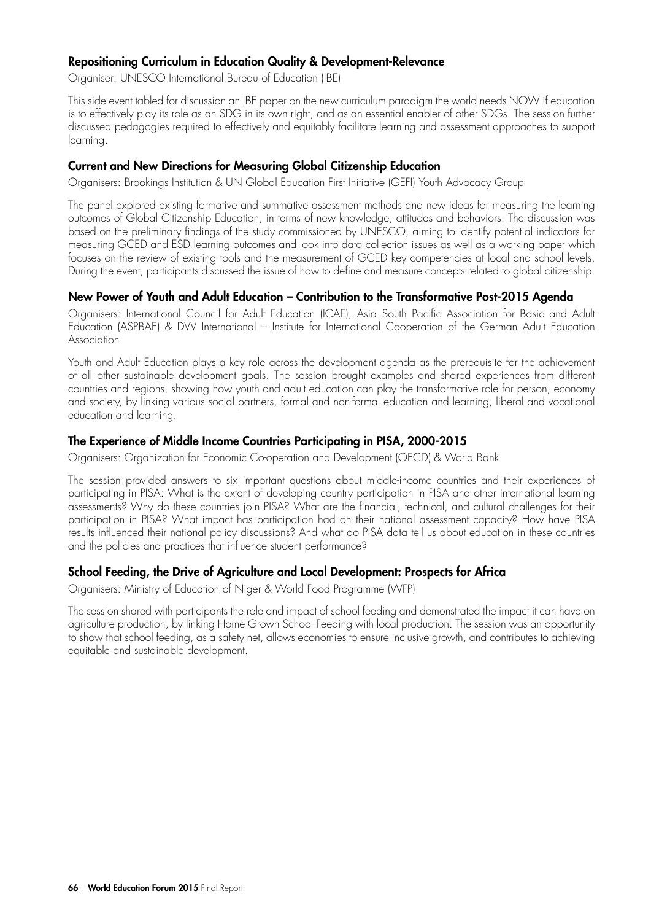# Repositioning Curriculum in Education Quality & Development-Relevance

Organiser: UNESCO International Bureau of Education (IBE)

This side event tabled for discussion an IBE paper on the new curriculum paradigm the world needs NOW if education is to effectively play its role as an SDG in its own right, and as an essential enabler of other SDGs. The session further discussed pedagogies required to effectively and equitably facilitate learning and assessment approaches to support learning.

# Current and New Directions for Measuring Global Citizenship Education

Organisers: Brookings Institution & UN Global Education First Initiative (GEFI) Youth Advocacy Group

The panel explored existing formative and summative assessment methods and new ideas for measuring the learning outcomes of Global Citizenship Education, in terms of new knowledge, attitudes and behaviors. The discussion was based on the preliminary findings of the study commissioned by UNESCO, aiming to identify potential indicators for measuring GCED and ESD learning outcomes and look into data collection issues as well as a working paper which focuses on the review of existing tools and the measurement of GCED key competencies at local and school levels. During the event, participants discussed the issue of how to define and measure concepts related to global citizenship.

# New Power of Youth and Adult Education – Contribution to the Transformative Post-2015 Agenda

Organisers: International Council for Adult Education (ICAE), Asia South Pacific Association for Basic and Adult Education (ASPBAE) & DVV International – Institute for International Cooperation of the German Adult Education Association

Youth and Adult Education plays a key role across the development agenda as the prerequisite for the achievement of all other sustainable development goals. The session brought examples and shared experiences from different countries and regions, showing how youth and adult education can play the transformative role for person, economy and society, by linking various social partners, formal and non-formal education and learning, liberal and vocational education and learning.

# The Experience of Middle Income Countries Participating in PISA, 2000-2015

Organisers: Organization for Economic Co-operation and Development (OECD) & World Bank

The session provided answers to six important questions about middle-income countries and their experiences of participating in PISA: What is the extent of developing country participation in PISA and other international learning assessments? Why do these countries join PISA? What are the financial, technical, and cultural challenges for their participation in PISA? What impact has participation had on their national assessment capacity? How have PISA results influenced their national policy discussions? And what do PISA data tell us about education in these countries and the policies and practices that influence student performance?

# School Feeding, the Drive of Agriculture and Local Development: Prospects for Africa

Organisers: Ministry of Education of Niger & World Food Programme (WFP)

The session shared with participants the role and impact of school feeding and demonstrated the impact it can have on agriculture production, by linking Home Grown School Feeding with local production. The session was an opportunity to show that school feeding, as a safety net, allows economies to ensure inclusive growth, and contributes to achieving equitable and sustainable development.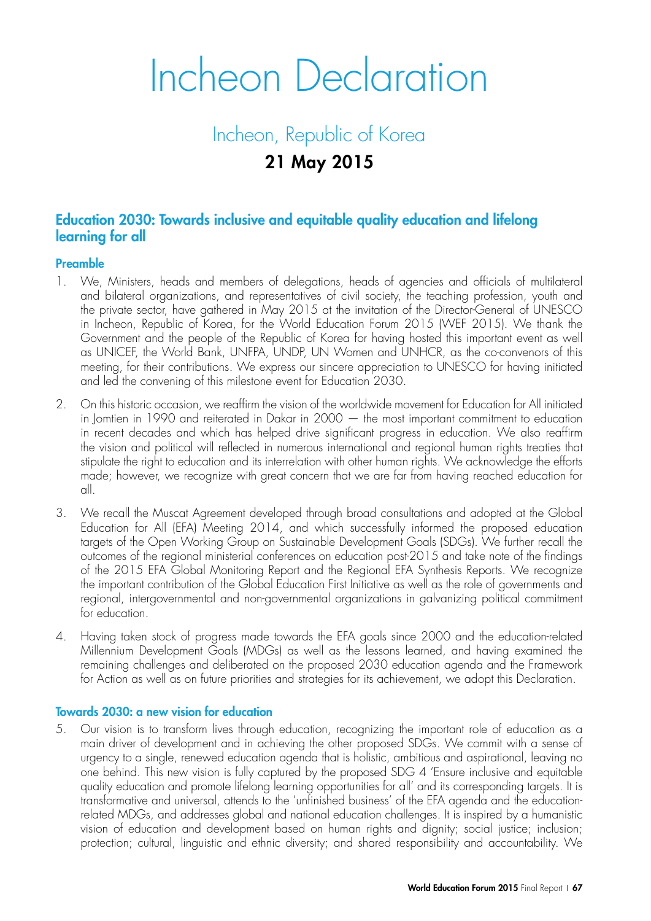# Incheon Declaration

# Incheon, Republic of Korea 21 May 2015

# Education 2030: Towards inclusive and equitable quality education and lifelong learning for all

# Preamble

- 1. We, Ministers, heads and members of delegations, heads of agencies and officials of multilateral and bilateral organizations, and representatives of civil society, the teaching profession, youth and the private sector, have gathered in May 2015 at the invitation of the Director-General of UNESCO in Incheon, Republic of Korea, for the World Education Forum 2015 (WEF 2015). We thank the Government and the people of the Republic of Korea for having hosted this important event as well as UNICEF, the World Bank, UNFPA, UNDP, UN Women and UNHCR, as the co-convenors of this meeting, for their contributions. We express our sincere appreciation to UNESCO for having initiated and led the convening of this milestone event for Education 2030.
- 2. On this historic occasion, we reaffirm the vision of the worldwide movement for Education for All initiated in Jomtien in 1990 and reiterated in Dakar in 2000 — the most important commitment to education in recent decades and which has helped drive significant progress in education. We also reaffirm the vision and political will reflected in numerous international and regional human rights treaties that stipulate the right to education and its interrelation with other human rights. We acknowledge the efforts made; however, we recognize with great concern that we are far from having reached education for all.
- 3. We recall the Muscat Agreement developed through broad consultations and adopted at the Global Education for All (EFA) Meeting 2014, and which successfully informed the proposed education targets of the Open Working Group on Sustainable Development Goals (SDGs). We further recall the outcomes of the regional ministerial conferences on education post-2015 and take note of the findings of the 2015 EFA Global Monitoring Report and the Regional EFA Synthesis Reports. We recognize the important contribution of the Global Education First Initiative as well as the role of governments and regional, intergovernmental and non-governmental organizations in galvanizing political commitment for education.
- 4. Having taken stock of progress made towards the EFA goals since 2000 and the education-related Millennium Development Goals (MDGs) as well as the lessons learned, and having examined the remaining challenges and deliberated on the proposed 2030 education agenda and the Framework for Action as well as on future priorities and strategies for its achievement, we adopt this Declaration.

# Towards 2030: a new vision for education

5. Our vision is to transform lives through education, recognizing the important role of education as a main driver of development and in achieving the other proposed SDGs. We commit with a sense of urgency to a single, renewed education agenda that is holistic, ambitious and aspirational, leaving no one behind. This new vision is fully captured by the proposed SDG 4 'Ensure inclusive and equitable quality education and promote lifelong learning opportunities for all' and its corresponding targets. It is transformative and universal, attends to the 'unfinished business' of the EFA agenda and the educationrelated MDGs, and addresses global and national education challenges. It is inspired by a humanistic vision of education and development based on human rights and dignity; social justice; inclusion; protection; cultural, linguistic and ethnic diversity; and shared responsibility and accountability. We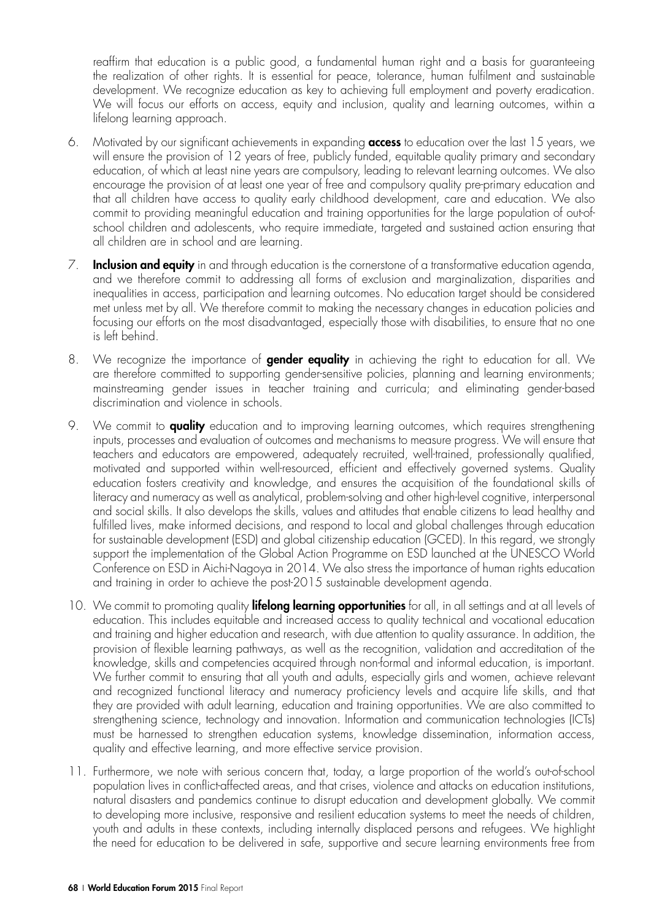reaffirm that education is a public good, a fundamental human right and a basis for guaranteeing the realization of other rights. It is essential for peace, tolerance, human fulfilment and sustainable development. We recognize education as key to achieving full employment and poverty eradication. We will focus our efforts on access, equity and inclusion, quality and learning outcomes, within a lifelong learning approach.

- 6. Motivated by our significant achievements in expanding **access** to education over the last 15 years, we will ensure the provision of 12 years of free, publicly funded, equitable quality primary and secondary education, of which at least nine years are compulsory, leading to relevant learning outcomes. We also encourage the provision of at least one year of free and compulsory quality pre-primary education and that all children have access to quality early childhood development, care and education. We also commit to providing meaningful education and training opportunities for the large population of out-ofschool children and adolescents, who require immediate, targeted and sustained action ensuring that all children are in school and are learning.
- 7. **Inclusion and equity** in and through education is the cornerstone of a transformative education agenda, and we therefore commit to addressing all forms of exclusion and marginalization, disparities and inequalities in access, participation and learning outcomes. No education target should be considered met unless met by all. We therefore commit to making the necessary changes in education policies and focusing our efforts on the most disadvantaged, especially those with disabilities, to ensure that no one is left behind.
- 8. We recognize the importance of **gender equality** in achieving the right to education for all. We are therefore committed to supporting gender-sensitive policies, planning and learning environments; mainstreaming gender issues in teacher training and curricula; and eliminating gender-based discrimination and violence in schools.
- 9. We commit to **quality** education and to improving learning outcomes, which requires strengthening inputs, processes and evaluation of outcomes and mechanisms to measure progress. We will ensure that teachers and educators are empowered, adequately recruited, well-trained, professionally qualified, motivated and supported within well-resourced, efficient and effectively governed systems. Quality education fosters creativity and knowledge, and ensures the acquisition of the foundational skills of literacy and numeracy as well as analytical, problem-solving and other high-level cognitive, interpersonal and social skills. It also develops the skills, values and attitudes that enable citizens to lead healthy and fulfilled lives, make informed decisions, and respond to local and global challenges through education for sustainable development (ESD) and global citizenship education (GCED). In this regard, we strongly support the implementation of the Global Action Programme on ESD launched at the UNESCO World Conference on ESD in Aichi-Nagoya in 2014. We also stress the importance of human rights education and training in order to achieve the post-2015 sustainable development agenda.
- 10. We commit to promoting quality **lifelong learning opportunities** for all, in all settings and at all levels of education. This includes equitable and increased access to quality technical and vocational education and training and higher education and research, with due attention to quality assurance. In addition, the provision of flexible learning pathways, as well as the recognition, validation and accreditation of the knowledge, skills and competencies acquired through non-formal and informal education, is important. We further commit to ensuring that all youth and adults, especially girls and women, achieve relevant and recognized functional literacy and numeracy proficiency levels and acquire life skills, and that they are provided with adult learning, education and training opportunities. We are also committed to strengthening science, technology and innovation. Information and communication technologies (ICTs) must be harnessed to strengthen education systems, knowledge dissemination, information access, quality and effective learning, and more effective service provision.
- 11. Furthermore, we note with serious concern that, today, a large proportion of the world's out-of-school population lives in conflict-affected areas, and that crises, violence and attacks on education institutions, natural disasters and pandemics continue to disrupt education and development globally. We commit to developing more inclusive, responsive and resilient education systems to meet the needs of children, youth and adults in these contexts, including internally displaced persons and refugees. We highlight the need for education to be delivered in safe, supportive and secure learning environments free from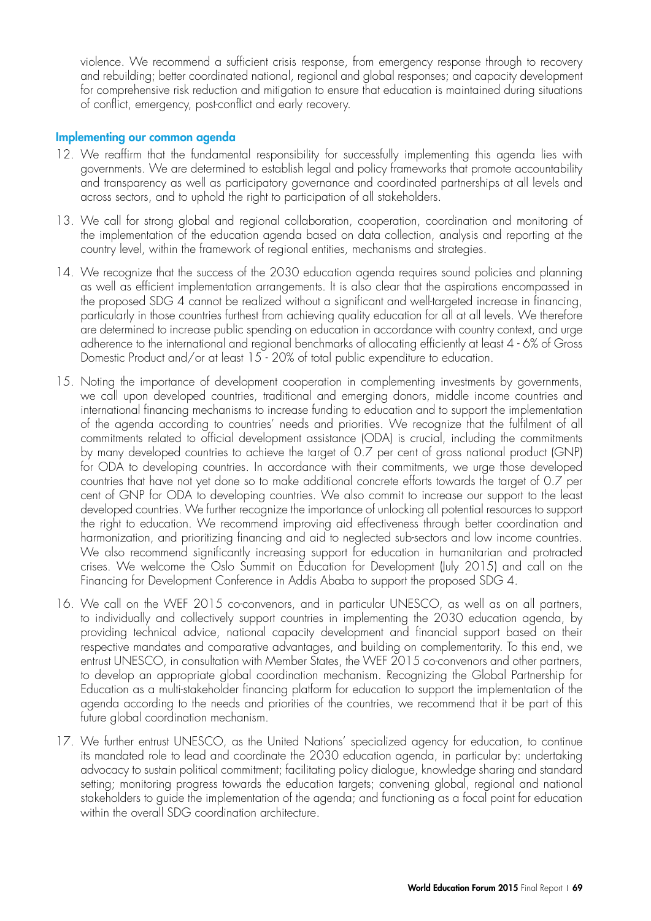violence. We recommend a sufficient crisis response, from emergency response through to recovery and rebuilding; better coordinated national, regional and global responses; and capacity development for comprehensive risk reduction and mitigation to ensure that education is maintained during situations of conflict, emergency, post-conflict and early recovery.

# Implementing our common agenda

- 12. We reaffirm that the fundamental responsibility for successfully implementing this agenda lies with governments. We are determined to establish legal and policy frameworks that promote accountability and transparency as well as participatory governance and coordinated partnerships at all levels and across sectors, and to uphold the right to participation of all stakeholders.
- 13. We call for strong global and regional collaboration, cooperation, coordination and monitoring of the implementation of the education agenda based on data collection, analysis and reporting at the country level, within the framework of regional entities, mechanisms and strategies.
- 14. We recognize that the success of the 2030 education agenda requires sound policies and planning as well as efficient implementation arrangements. It is also clear that the aspirations encompassed in the proposed SDG 4 cannot be realized without a significant and well-targeted increase in financing, particularly in those countries furthest from achieving quality education for all at all levels. We therefore are determined to increase public spending on education in accordance with country context, and urge adherence to the international and regional benchmarks of allocating efficiently at least 4 - 6% of Gross Domestic Product and/or at least 15 - 20% of total public expenditure to education.
- 15. Noting the importance of development cooperation in complementing investments by governments, we call upon developed countries, traditional and emerging donors, middle income countries and international financing mechanisms to increase funding to education and to support the implementation of the agenda according to countries' needs and priorities. We recognize that the fulfilment of all commitments related to official development assistance (ODA) is crucial, including the commitments by many developed countries to achieve the target of 0.7 per cent of gross national product (GNP) for ODA to developing countries. In accordance with their commitments, we urge those developed countries that have not yet done so to make additional concrete efforts towards the target of 0.7 per cent of GNP for ODA to developing countries. We also commit to increase our support to the least developed countries. We further recognize the importance of unlocking all potential resources to support the right to education. We recommend improving aid effectiveness through better coordination and harmonization, and prioritizing financing and aid to neglected sub-sectors and low income countries. We also recommend significantly increasing support for education in humanitarian and protracted crises. We welcome the Oslo Summit on Education for Development (July 2015) and call on the Financing for Development Conference in Addis Ababa to support the proposed SDG 4.
- 16. We call on the WEF 2015 co-convenors, and in particular UNESCO, as well as on all partners, to individually and collectively support countries in implementing the 2030 education agenda, by providing technical advice, national capacity development and financial support based on their respective mandates and comparative advantages, and building on complementarity. To this end, we entrust UNESCO, in consultation with Member States, the WEF 2015 co-convenors and other partners, to develop an appropriate global coordination mechanism. Recognizing the Global Partnership for Education as a multi-stakeholder financing platform for education to support the implementation of the agenda according to the needs and priorities of the countries, we recommend that it be part of this future global coordination mechanism.
- 17. We further entrust UNESCO, as the United Nations' specialized agency for education, to continue its mandated role to lead and coordinate the 2030 education agenda, in particular by: undertaking advocacy to sustain political commitment; facilitating policy dialogue, knowledge sharing and standard setting; monitoring progress towards the education targets; convening global, regional and national stakeholders to guide the implementation of the agenda; and functioning as a focal point for education within the overall SDG coordination architecture.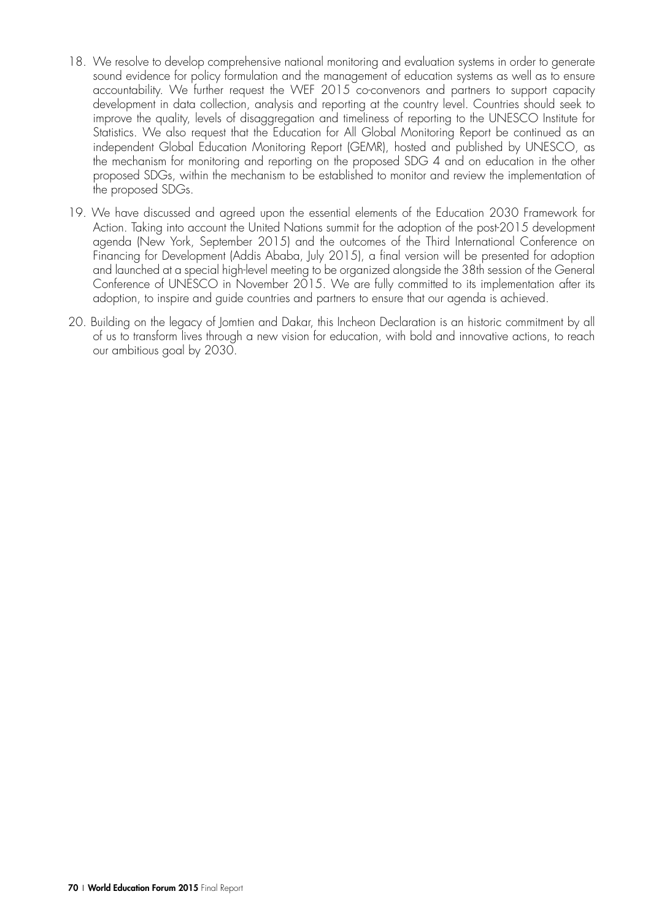- 18. We resolve to develop comprehensive national monitoring and evaluation systems in order to generate sound evidence for policy formulation and the management of education systems as well as to ensure accountability. We further request the WEF 2015 co-convenors and partners to support capacity development in data collection, analysis and reporting at the country level. Countries should seek to improve the quality, levels of disaggregation and timeliness of reporting to the UNESCO Institute for Statistics. We also request that the Education for All Global Monitoring Report be continued as an independent Global Education Monitoring Report (GEMR), hosted and published by UNESCO, as the mechanism for monitoring and reporting on the proposed SDG 4 and on education in the other proposed SDGs, within the mechanism to be established to monitor and review the implementation of the proposed SDGs.
- 19. We have discussed and agreed upon the essential elements of the Education 2030 Framework for Action. Taking into account the United Nations summit for the adoption of the post-2015 development agenda (New York, September 2015) and the outcomes of the Third International Conference on Financing for Development (Addis Ababa, July 2015), a final version will be presented for adoption and launched at a special high-level meeting to be organized alongside the 38th session of the General Conference of UNESCO in November 2015. We are fully committed to its implementation after its adoption, to inspire and guide countries and partners to ensure that our agenda is achieved.
- 20. Building on the legacy of Jomtien and Dakar, this Incheon Declaration is an historic commitment by all of us to transform lives through a new vision for education, with bold and innovative actions, to reach our ambitious goal by 2030.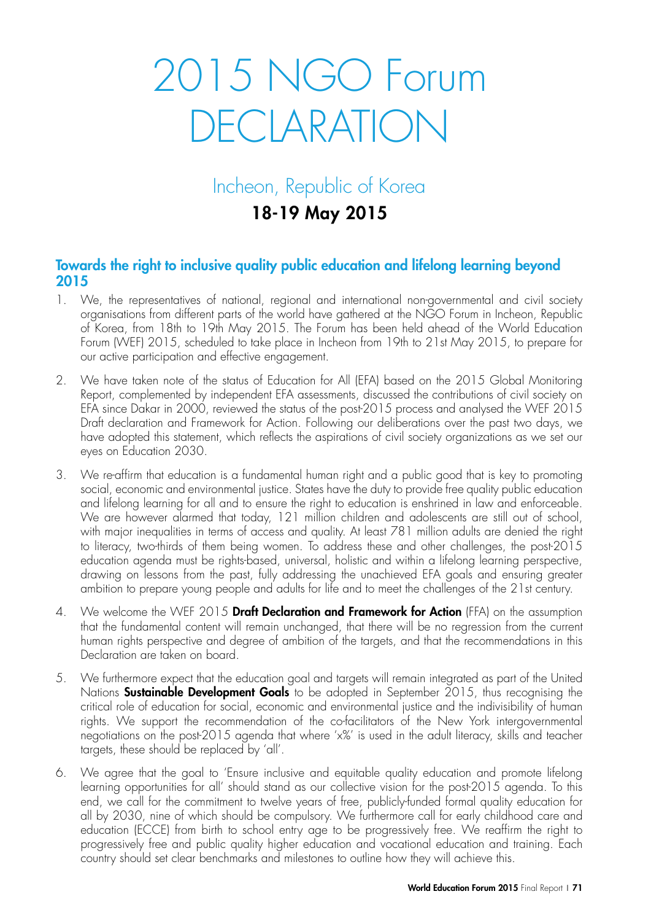# 2015 NGO Forum DECLARATION

# Incheon, Republic of Korea

# 18-19 May 2015

# Towards the right to inclusive quality public education and lifelong learning beyond 2015

- 1. We, the representatives of national, regional and international non-governmental and civil society organisations from different parts of the world have gathered at the NGO Forum in Incheon, Republic of Korea, from 18th to 19th May 2015. The Forum has been held ahead of the World Education Forum (WEF) 2015, scheduled to take place in Incheon from 19th to 21st May 2015, to prepare for our active participation and effective engagement.
- 2. We have taken note of the status of Education for All (EFA) based on the 2015 Global Monitoring Report, complemented by independent EFA assessments, discussed the contributions of civil society on EFA since Dakar in 2000, reviewed the status of the post-2015 process and analysed the WEF 2015 Draft declaration and Framework for Action. Following our deliberations over the past two days, we have adopted this statement, which reflects the aspirations of civil society organizations as we set our eyes on Education 2030.
- 3. We re-affirm that education is a fundamental human right and a public good that is key to promoting social, economic and environmental justice. States have the duty to provide free quality public education and lifelong learning for all and to ensure the right to education is enshrined in law and enforceable. We are however alarmed that today, 121 million children and adolescents are still out of school, with major inequalities in terms of access and quality. At least 781 million adults are denied the right to literacy, two-thirds of them being women. To address these and other challenges, the post-2015 education agenda must be rights-based, universal, holistic and within a lifelong learning perspective, drawing on lessons from the past, fully addressing the unachieved EFA goals and ensuring greater ambition to prepare young people and adults for life and to meet the challenges of the 21st century.
- 4. We welcome the WEF 2015 Draft Declaration and Framework for Action (FFA) on the assumption that the fundamental content will remain unchanged, that there will be no regression from the current human rights perspective and degree of ambition of the targets, and that the recommendations in this Declaration are taken on board.
- 5. We furthermore expect that the education goal and targets will remain integrated as part of the United Nations **Sustainable Development Goals** to be adopted in September 2015, thus recognising the critical role of education for social, economic and environmental justice and the indivisibility of human rights. We support the recommendation of the co-facilitators of the New York intergovernmental negotiations on the post-2015 agenda that where 'x%' is used in the adult literacy, skills and teacher targets, these should be replaced by 'all'.
- 6. We agree that the goal to 'Ensure inclusive and equitable quality education and promote lifelong learning opportunities for all' should stand as our collective vision for the post-2015 agenda. To this end, we call for the commitment to twelve years of free, publicly-funded formal quality education for all by 2030, nine of which should be compulsory. We furthermore call for early childhood care and education (ECCE) from birth to school entry age to be progressively free. We reaffirm the right to progressively free and public quality higher education and vocational education and training. Each country should set clear benchmarks and milestones to outline how they will achieve this.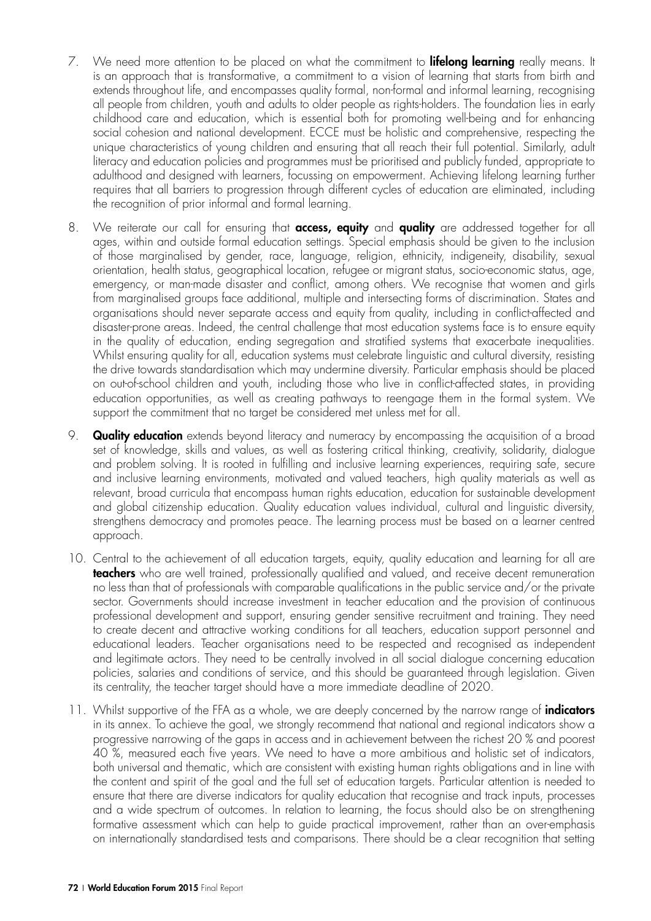- 7. We need more attention to be placed on what the commitment to **lifelong learning** really means. It is an approach that is transformative, a commitment to a vision of learning that starts from birth and extends throughout life, and encompasses quality formal, non-formal and informal learning, recognising all people from children, youth and adults to older people as rights-holders. The foundation lies in early childhood care and education, which is essential both for promoting well-being and for enhancing social cohesion and national development. ECCE must be holistic and comprehensive, respecting the unique characteristics of young children and ensuring that all reach their full potential. Similarly, adult literacy and education policies and programmes must be prioritised and publicly funded, appropriate to adulthood and designed with learners, focussing on empowerment. Achieving lifelong learning further requires that all barriers to progression through different cycles of education are eliminated, including the recognition of prior informal and formal learning.
- 8. We reiterate our call for ensuring that **access, equity** and **quality** are addressed together for all ages, within and outside formal education settings. Special emphasis should be given to the inclusion of those marginalised by gender, race, language, religion, ethnicity, indigeneity, disability, sexual orientation, health status, geographical location, refugee or migrant status, socio-economic status, age, emergency, or man-made disaster and conflict, among others. We recognise that women and girls from marginalised groups face additional, multiple and intersecting forms of discrimination. States and organisations should never separate access and equity from quality, including in conflict-affected and disaster-prone areas. Indeed, the central challenge that most education systems face is to ensure equity in the quality of education, ending segregation and stratified systems that exacerbate inequalities. Whilst ensuring quality for all, education systems must celebrate linguistic and cultural diversity, resisting the drive towards standardisation which may undermine diversity. Particular emphasis should be placed on out-of-school children and youth, including those who live in conflict-affected states, in providing education opportunities, as well as creating pathways to reengage them in the formal system. We support the commitment that no target be considered met unless met for all.
- 9. **Quality education** extends beyond literacy and numeracy by encompassing the acquisition of a broad set of knowledge, skills and values, as well as fostering critical thinking, creativity, solidarity, dialogue and problem solving. It is rooted in fulfilling and inclusive learning experiences, requiring safe, secure and inclusive learning environments, motivated and valued teachers, high quality materials as well as relevant, broad curricula that encompass human rights education, education for sustainable development and global citizenship education. Quality education values individual, cultural and linguistic diversity, strengthens democracy and promotes peace. The learning process must be based on a learner centred approach.
- 10. Central to the achievement of all education targets, equity, quality education and learning for all are teachers who are well trained, professionally qualified and valued, and receive decent remuneration no less than that of professionals with comparable qualifications in the public service and/or the private sector. Governments should increase investment in teacher education and the provision of continuous professional development and support, ensuring gender sensitive recruitment and training. They need to create decent and attractive working conditions for all teachers, education support personnel and educational leaders. Teacher organisations need to be respected and recognised as independent and legitimate actors. They need to be centrally involved in all social dialogue concerning education policies, salaries and conditions of service, and this should be guaranteed through legislation. Given its centrality, the teacher target should have a more immediate deadline of 2020.
- 11. Whilst supportive of the FFA as a whole, we are deeply concerned by the narrow range of *indicators* in its annex. To achieve the goal, we strongly recommend that national and regional indicators show a progressive narrowing of the gaps in access and in achievement between the richest 20 % and poorest 40 %, measured each five years. We need to have a more ambitious and holistic set of indicators, both universal and thematic, which are consistent with existing human rights obligations and in line with the content and spirit of the goal and the full set of education targets. Particular attention is needed to ensure that there are diverse indicators for quality education that recognise and track inputs, processes and a wide spectrum of outcomes. In relation to learning, the focus should also be on strengthening formative assessment which can help to guide practical improvement, rather than an over-emphasis on internationally standardised tests and comparisons. There should be a clear recognition that setting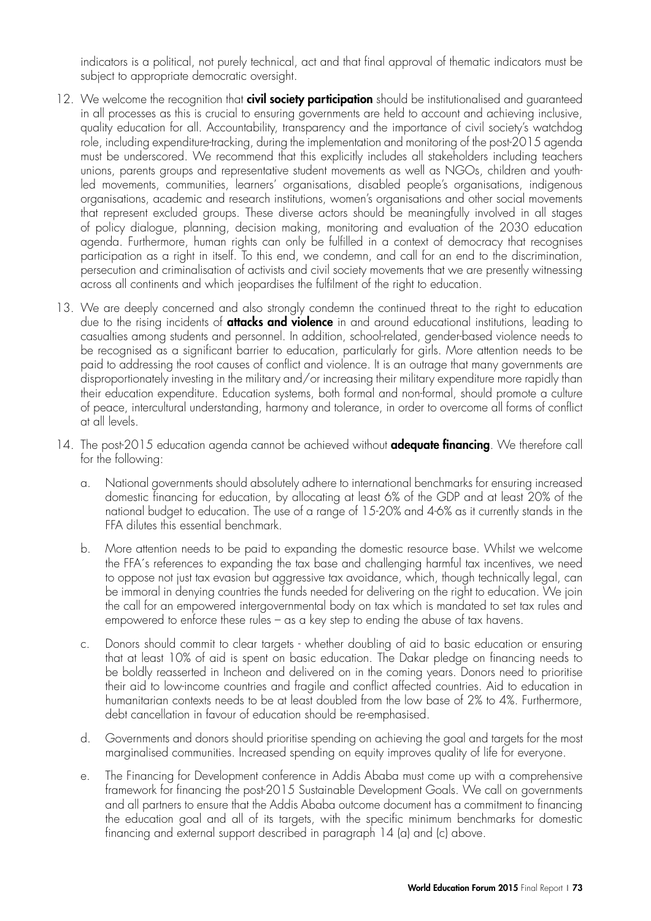indicators is a political, not purely technical, act and that final approval of thematic indicators must be subject to appropriate democratic oversight.

- 12. We welcome the recognition that civil society participation should be institutionalised and guaranteed in all processes as this is crucial to ensuring governments are held to account and achieving inclusive, quality education for all. Accountability, transparency and the importance of civil society's watchdog role, including expenditure-tracking, during the implementation and monitoring of the post-2015 agenda must be underscored. We recommend that this explicitly includes all stakeholders including teachers unions, parents groups and representative student movements as well as NGOs, children and youthled movements, communities, learners' organisations, disabled people's organisations, indigenous organisations, academic and research institutions, women's organisations and other social movements that represent excluded groups. These diverse actors should be meaningfully involved in all stages of policy dialogue, planning, decision making, monitoring and evaluation of the 2030 education agenda. Furthermore, human rights can only be fulfilled in a context of democracy that recognises participation as a right in itself. To this end, we condemn, and call for an end to the discrimination, persecution and criminalisation of activists and civil society movements that we are presently witnessing across all continents and which jeopardises the fulfilment of the right to education.
- 13. We are deeply concerned and also strongly condemn the continued threat to the right to education due to the rising incidents of **attacks and violence** in and around educational institutions, leading to casualties among students and personnel. In addition, school-related, gender-based violence needs to be recognised as a significant barrier to education, particularly for girls. More attention needs to be paid to addressing the root causes of conflict and violence. It is an outrage that many governments are disproportionately investing in the military and/or increasing their military expenditure more rapidly than their education expenditure. Education systems, both formal and non-formal, should promote a culture of peace, intercultural understanding, harmony and tolerance, in order to overcome all forms of conflict at all levels.
- 14. The post-2015 education agenda cannot be achieved without **adequate financing**. We therefore call for the following:
	- a. National governments should absolutely adhere to international benchmarks for ensuring increased domestic financing for education, by allocating at least 6% of the GDP and at least 20% of the national budget to education. The use of a range of 15-20% and 4-6% as it currently stands in the FFA dilutes this essential benchmark.
	- b. More attention needs to be paid to expanding the domestic resource base. Whilst we welcome the FFA´s references to expanding the tax base and challenging harmful tax incentives, we need to oppose not just tax evasion but aggressive tax avoidance, which, though technically legal, can be immoral in denying countries the funds needed for delivering on the right to education. We join the call for an empowered intergovernmental body on tax which is mandated to set tax rules and empowered to enforce these rules – as a key step to ending the abuse of tax havens.
	- c. Donors should commit to clear targets whether doubling of aid to basic education or ensuring that at least 10% of aid is spent on basic education. The Dakar pledge on financing needs to be boldly reasserted in Incheon and delivered on in the coming years. Donors need to prioritise their aid to low-income countries and fragile and conflict affected countries. Aid to education in humanitarian contexts needs to be at least doubled from the low base of 2% to 4%. Furthermore, debt cancellation in favour of education should be re-emphasised.
	- d. Governments and donors should prioritise spending on achieving the goal and targets for the most marginalised communities. Increased spending on equity improves quality of life for everyone.
	- e. The Financing for Development conference in Addis Ababa must come up with a comprehensive framework for financing the post-2015 Sustainable Development Goals. We call on governments and all partners to ensure that the Addis Ababa outcome document has a commitment to financing the education goal and all of its targets, with the specific minimum benchmarks for domestic financing and external support described in paragraph 14 (a) and (c) above.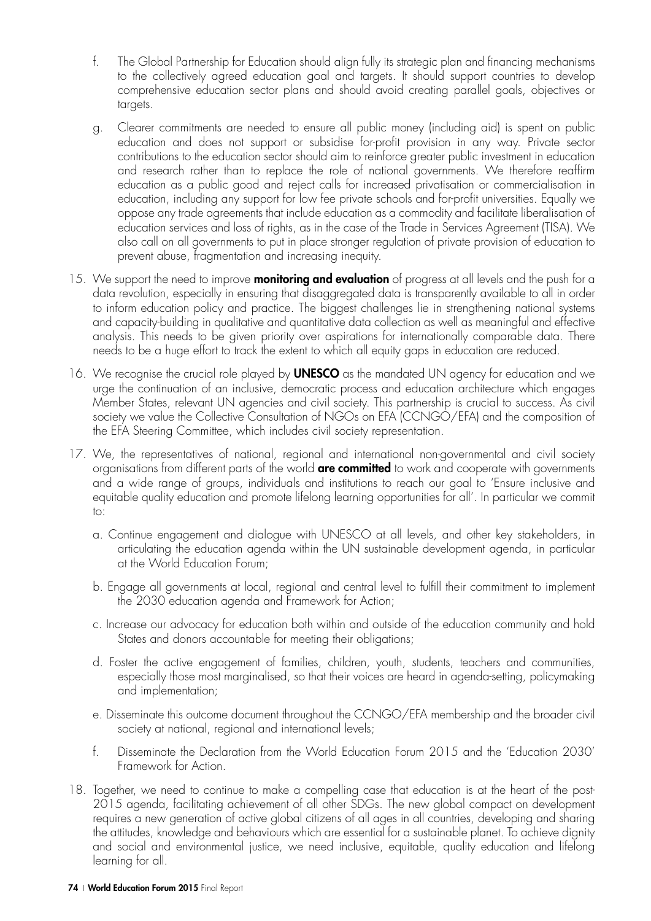- f. The Global Partnership for Education should align fully its strategic plan and financing mechanisms to the collectively agreed education goal and targets. It should support countries to develop comprehensive education sector plans and should avoid creating parallel goals, objectives or targets.
- g. Clearer commitments are needed to ensure all public money (including aid) is spent on public education and does not support or subsidise for-profit provision in any way. Private sector contributions to the education sector should aim to reinforce greater public investment in education and research rather than to replace the role of national governments. We therefore reaffirm education as a public good and reject calls for increased privatisation or commercialisation in education, including any support for low fee private schools and for-profit universities. Equally we oppose any trade agreements that include education as a commodity and facilitate liberalisation of education services and loss of rights, as in the case of the Trade in Services Agreement (TISA). We also call on all governments to put in place stronger regulation of private provision of education to prevent abuse, fragmentation and increasing inequity.
- 15. We support the need to improve **monitoring and evaluation** of progress at all levels and the push for a data revolution, especially in ensuring that disaggregated data is transparently available to all in order to inform education policy and practice. The biggest challenges lie in strengthening national systems and capacity-building in qualitative and quantitative data collection as well as meaningful and effective analysis. This needs to be given priority over aspirations for internationally comparable data. There needs to be a huge effort to track the extent to which all equity gaps in education are reduced.
- 16. We recognise the crucial role played by **UNESCO** as the mandated UN agency for education and we urge the continuation of an inclusive, democratic process and education architecture which engages Member States, relevant UN agencies and civil society. This partnership is crucial to success. As civil society we value the Collective Consultation of NGOs on EFA (CCNGO/EFA) and the composition of the EFA Steering Committee, which includes civil society representation.
- 17. We, the representatives of national, regional and international non-governmental and civil society organisations from different parts of the world **are committed** to work and cooperate with governments and a wide range of groups, individuals and institutions to reach our goal to 'Ensure inclusive and equitable quality education and promote lifelong learning opportunities for all'. In particular we commit to:
	- a. Continue engagement and dialogue with UNESCO at all levels, and other key stakeholders, in articulating the education agenda within the UN sustainable development agenda, in particular at the World Education Forum;
	- b. Engage all governments at local, regional and central level to fulfill their commitment to implement the 2030 education agenda and Framework for Action;
	- c. Increase our advocacy for education both within and outside of the education community and hold States and donors accountable for meeting their obligations;
	- d. Foster the active engagement of families, children, youth, students, teachers and communities, especially those most marginalised, so that their voices are heard in agenda-setting, policymaking and implementation;
	- e. Disseminate this outcome document throughout the CCNGO/EFA membership and the broader civil society at national, regional and international levels;
	- f. Disseminate the Declaration from the World Education Forum 2015 and the 'Education 2030' Framework for Action.
- 18. Together, we need to continue to make a compelling case that education is at the heart of the post-2015 agenda, facilitating achievement of all other SDGs. The new global compact on development requires a new generation of active global citizens of all ages in all countries, developing and sharing the attitudes, knowledge and behaviours which are essential for a sustainable planet. To achieve dignity and social and environmental justice, we need inclusive, equitable, quality education and lifelong learning for all.